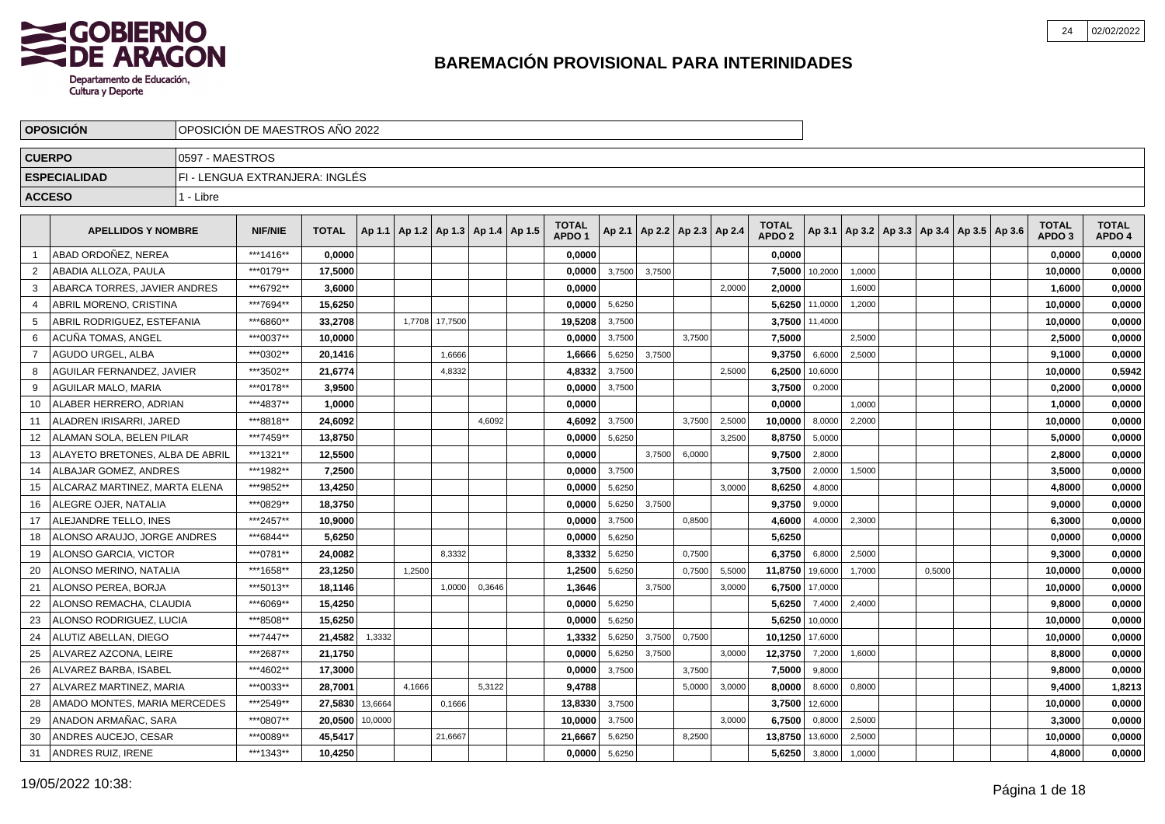

|                | <b>OPOSICION</b>                |                 | OPOSICION DE MAESTROS ANO 2022 |              |         |        |                                   |        |                                   |        |        |                          |        |                                   |         |                                                     |        |  |                                   |                        |
|----------------|---------------------------------|-----------------|--------------------------------|--------------|---------|--------|-----------------------------------|--------|-----------------------------------|--------|--------|--------------------------|--------|-----------------------------------|---------|-----------------------------------------------------|--------|--|-----------------------------------|------------------------|
| <b>CUERPO</b>  |                                 | 0597 - MAESTROS |                                |              |         |        |                                   |        |                                   |        |        |                          |        |                                   |         |                                                     |        |  |                                   |                        |
|                | <b>ESPECIALIDAD</b>             |                 | FI - LENGUA EXTRANJERA: INGLÉS |              |         |        |                                   |        |                                   |        |        |                          |        |                                   |         |                                                     |        |  |                                   |                        |
| <b>ACCESO</b>  |                                 | 1 - Libre       |                                |              |         |        |                                   |        |                                   |        |        |                          |        |                                   |         |                                                     |        |  |                                   |                        |
|                |                                 |                 |                                |              |         |        |                                   |        |                                   |        |        |                          |        |                                   |         |                                                     |        |  |                                   |                        |
|                | <b>APELLIDOS Y NOMBRE</b>       |                 | <b>NIF/NIE</b>                 | <b>TOTAL</b> | Ap 1.1  |        | Ap 1.2   Ap 1.3   Ap 1.4   Ap 1.5 |        | <b>TOTAL</b><br>APDO <sub>1</sub> | Ap 2.1 |        | Ap 2.2   Ap 2.3   Ap 2.4 |        | <b>TOTAL</b><br>APDO <sub>2</sub> |         | Ap 3.1   Ap 3.2   Ap 3.3   Ap 3.4   Ap 3.5   Ap 3.6 |        |  | <b>TOTAL</b><br>APDO <sub>3</sub> | <b>TOTAL</b><br>APDO 4 |
| - 1            | ABAD ORDOÑEZ. NEREA             |                 | ***1416**                      | 0.0000       |         |        |                                   |        | 0.0000                            |        |        |                          |        | 0.0000                            |         |                                                     |        |  | 0,0000                            | 0,0000                 |
| 2              | ABADIA ALLOZA. PAULA            |                 | ***0179**                      | 17.5000      |         |        |                                   |        | 0.0000                            | 3,7500 | 3,7500 |                          |        | 7,5000                            | 10,2000 | 1,0000                                              |        |  | 10.0000                           | 0,0000                 |
| 3              | ABARCA TORRES, JAVIER ANDRES    |                 | ***6792**                      | 3,6000       |         |        |                                   |        | 0.0000                            |        |        |                          | 2.0000 | 2,0000                            |         | 1,6000                                              |        |  | 1,6000                            | 0,0000                 |
| $\overline{4}$ | ABRIL MORENO, CRISTINA          |                 | ***7694**                      | 15,6250      |         |        |                                   |        | 0,0000                            | 5,6250 |        |                          |        | 5,6250                            | 11,0000 | 1,2000                                              |        |  | 10,0000                           | 0,0000                 |
| 5              | ABRIL RODRIGUEZ, ESTEFANIA      |                 | ***6860**                      | 33,2708      |         | 1,7708 | 17,7500                           |        | 19,5208                           | 3,7500 |        |                          |        | 3,7500                            | 11,4000 |                                                     |        |  | 10,0000                           | 0,0000                 |
| 6              | ACUÑA TOMAS, ANGEL              |                 | ***0037**                      | 10,0000      |         |        |                                   |        | 0,0000                            | 3,7500 |        | 3,7500                   |        | 7,5000                            |         | 2,5000                                              |        |  | 2,5000                            | 0,0000                 |
| $\overline{7}$ | AGUDO URGEL, ALBA               |                 | ***0302**                      | 20,1416      |         |        | 1,6666                            |        | 1,6666                            | 5,6250 | 3,7500 |                          |        | 9,3750                            | 6,6000  | 2,5000                                              |        |  | 9,1000                            | 0,0000                 |
| 8              | AGUILAR FERNANDEZ. JAVIER       |                 | ***3502**                      | 21,6774      |         |        | 4,8332                            |        | 4,8332                            | 3,7500 |        |                          | 2.5000 | 6,2500                            | 10,6000 |                                                     |        |  | 10,0000                           | 0,5942                 |
| 9              | <b>AGUILAR MALO, MARIA</b>      |                 | ***0178**                      | 3.9500       |         |        |                                   |        | 0,0000                            | 3,7500 |        |                          |        | 3,7500                            | 0,2000  |                                                     |        |  | 0,2000                            | 0,0000                 |
| -10            | ALABER HERRERO, ADRIAN          |                 | ***4837**                      | 1,0000       |         |        |                                   |        | 0,0000                            |        |        |                          |        | 0,0000                            |         | 1,0000                                              |        |  | 1,0000                            | 0,0000                 |
| 11             | ALADREN IRISARRI, JARED         |                 | ***8818**                      | 24,6092      |         |        |                                   | 4,6092 | 4,6092                            | 3,7500 |        | 3,7500                   | 2,5000 | 10,0000                           | 8,0000  | 2,2000                                              |        |  | 10,0000                           | 0,0000                 |
| 12             | ALAMAN SOLA, BELEN PILAR        |                 | ***7459**                      | 13,8750      |         |        |                                   |        | 0,0000                            | 5,6250 |        |                          | 3,2500 | 8,8750                            | 5,0000  |                                                     |        |  | 5,0000                            | 0,0000                 |
| 13             | ALAYETO BRETONES, ALBA DE ABRIL |                 | ***1321**                      | 12,5500      |         |        |                                   |        | 0,0000                            |        | 3,7500 | 6,0000                   |        | 9,7500                            | 2,8000  |                                                     |        |  | 2,8000                            | 0,0000                 |
| 14             | ALBAJAR GOMEZ. ANDRES           |                 | ***1982**                      | 7,2500       |         |        |                                   |        | 0,0000                            | 3,7500 |        |                          |        | 3,7500                            | 2,0000  | 1,5000                                              |        |  | 3,5000                            | 0,0000                 |
| 15             | ALCARAZ MARTINEZ. MARTA ELENA   |                 | ***9852**                      | 13,4250      |         |        |                                   |        | 0.0000                            | 5,6250 |        |                          | 3.0000 | 8,6250                            | 4,8000  |                                                     |        |  | 4,8000                            | 0,0000                 |
| 16             | ALEGRE OJER, NATALIA            |                 | ***0829**                      | 18.3750      |         |        |                                   |        | 0.0000                            | 5,6250 | 3.7500 |                          |        | 9,3750                            | 9,0000  |                                                     |        |  | 9.0000                            | 0,0000                 |
| 17             | ALEJANDRE TELLO. INES           |                 | ***2457**                      | 10,9000      |         |        |                                   |        | 0,0000                            | 3,7500 |        | 0,8500                   |        | 4,6000                            | 4,0000  | 2,3000                                              |        |  | 6,3000                            | 0,0000                 |
| 18             | ALONSO ARAUJO. JORGE ANDRES     |                 | ***6844**                      | 5,6250       |         |        |                                   |        | 0,0000                            | 5,6250 |        |                          |        | 5,6250                            |         |                                                     |        |  | 0,0000                            | 0,0000                 |
| -19            | ALONSO GARCIA, VICTOR           |                 | ***0781**                      | 24,0082      |         |        | 8,3332                            |        | 8,3332                            | 5,6250 |        | 0,7500                   |        | 6,3750                            | 6,8000  | 2,5000                                              |        |  | 9,3000                            | 0,0000                 |
| 20             | ALONSO MERINO, NATALIA          |                 | ***1658**                      | 23,1250      |         | 1,2500 |                                   |        | 1,2500                            | 5,6250 |        | 0,7500                   | 5,5000 | 11,8750                           | 19,6000 | 1,7000                                              | 0,5000 |  | 10,0000                           | 0,0000                 |
| 21             | ALONSO PEREA, BORJA             |                 | ***5013**                      | 18,1146      |         |        | 1,0000                            | 0,3646 | 1,3646                            |        | 3,7500 |                          | 3,0000 | 6,7500                            | 17,0000 |                                                     |        |  | 10,0000                           | 0,0000                 |
| 22             | ALONSO REMACHA, CLAUDIA         |                 | ***6069**                      | 15,4250      |         |        |                                   |        | 0.0000                            | 5,6250 |        |                          |        | 5,6250                            | 7,4000  | 2,4000                                              |        |  | 9.8000                            | 0,0000                 |
| 23             | ALONSO RODRIGUEZ, LUCIA         |                 | ***8508**                      | 15.6250      |         |        |                                   |        | 0,0000                            | 5,6250 |        |                          |        | 5,6250                            | 10,0000 |                                                     |        |  | 10,0000                           | 0,0000                 |
| 24             | ALUTIZ ABELLAN, DIEGO           |                 | ***7447**                      | 21,4582      | 1,3332  |        |                                   |        | 1,3332                            | 5,6250 | 3,7500 | 0,7500                   |        | 10,1250                           | 17,6000 |                                                     |        |  | 10,0000                           | 0,0000                 |
| 25             | ALVAREZ AZCONA, LEIRE           |                 | ***2687**                      | 21,1750      |         |        |                                   |        | 0,0000                            | 5,6250 | 3,7500 |                          | 3,0000 | 12,3750                           | 7,2000  | 1,6000                                              |        |  | 8,8000                            | 0,0000                 |
| 26             | ALVAREZ BARBA, ISABEL           |                 | ***4602**                      | 17,3000      |         |        |                                   |        | 0,0000                            | 3,7500 |        | 3,7500                   |        | 7,5000                            | 9,8000  |                                                     |        |  | 9,8000                            | 0,0000                 |
| 27             | ALVAREZ MARTINEZ, MARIA         |                 | ***0033**                      | 28,7001      |         | 4,1666 |                                   | 5,3122 | 9,4788                            |        |        | 5,0000                   | 3,0000 | 8,0000                            | 8,6000  | 0,8000                                              |        |  | 9,4000                            | 1,8213                 |
| 28             | AMADO MONTES, MARIA MERCEDES    |                 | ***2549**                      | 27,5830      | 13,6664 |        | 0,1666                            |        | 13,8330                           | 3,7500 |        |                          |        | 3,7500                            | 12,6000 |                                                     |        |  | 10,0000                           | 0,0000                 |
| 29             | ANADON ARMAÑAC, SARA            |                 | ***0807**                      | 20,0500      | 10,0000 |        |                                   |        | 10.0000                           | 3,7500 |        |                          | 3,0000 | 6,7500                            | 0,8000  | 2,5000                                              |        |  | 3,3000                            | 0,0000                 |
| 30             | ANDRES AUCEJO, CESAR            |                 | ***0089**                      | 45,5417      |         |        | 21,6667                           |        | 21,6667                           | 5,6250 |        | 8,2500                   |        | 13,8750                           | 13,6000 | 2,5000                                              |        |  | 10,0000                           | 0,0000                 |
| 31             | <b>ANDRES RUIZ, IRENE</b>       |                 | ***1343**                      | 10,4250      |         |        |                                   |        | 0,0000                            | 5,6250 |        |                          |        | 5,6250                            | 3,8000  | 1,0000                                              |        |  | 4,8000                            | 0,0000                 |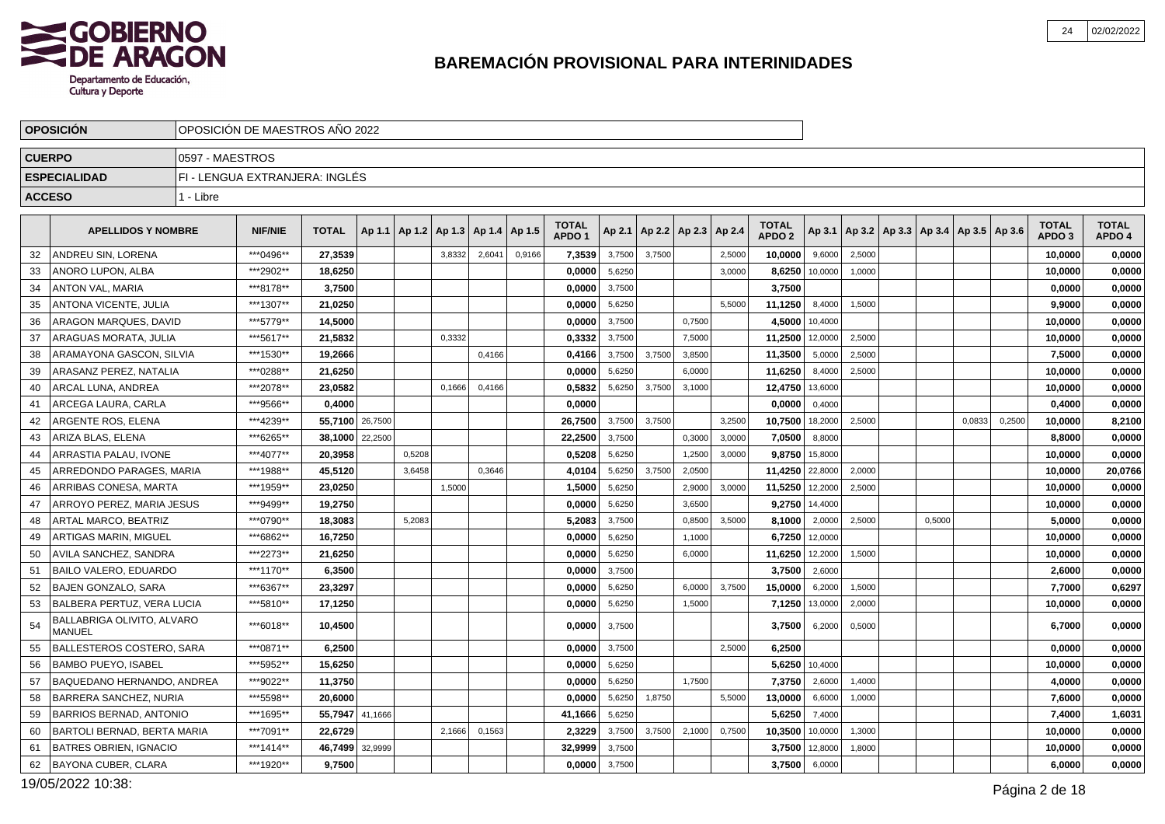

|               | <b>OPOSICION</b>                            |                 | OPOSICION DE MAESTROS ANO 2022 |              |         |        |                                            |        |        |                                   |        |        |                                   |        |                                   |         |        |                                                     |        |        |                                   |                        |
|---------------|---------------------------------------------|-----------------|--------------------------------|--------------|---------|--------|--------------------------------------------|--------|--------|-----------------------------------|--------|--------|-----------------------------------|--------|-----------------------------------|---------|--------|-----------------------------------------------------|--------|--------|-----------------------------------|------------------------|
| <b>CUERPO</b> |                                             | 0597 - MAESTROS |                                |              |         |        |                                            |        |        |                                   |        |        |                                   |        |                                   |         |        |                                                     |        |        |                                   |                        |
|               | <b>ESPECIALIDAD</b>                         |                 | FI - LENGUA EXTRANJERA: INGLÉS |              |         |        |                                            |        |        |                                   |        |        |                                   |        |                                   |         |        |                                                     |        |        |                                   |                        |
| <b>ACCESO</b> |                                             | 1 - Libre       |                                |              |         |        |                                            |        |        |                                   |        |        |                                   |        |                                   |         |        |                                                     |        |        |                                   |                        |
|               |                                             |                 |                                |              |         |        |                                            |        |        |                                   |        |        |                                   |        |                                   |         |        |                                                     |        |        |                                   |                        |
|               | <b>APELLIDOS Y NOMBRE</b>                   |                 | <b>NIF/NIE</b>                 | <b>TOTAL</b> |         |        | Ap 1.1   Ap 1.2   Ap 1.3   Ap 1.4   Ap 1.5 |        |        | <b>TOTAL</b><br>APDO <sub>1</sub> |        |        | Ap 2.1   Ap 2.2   Ap 2.3   Ap 2.4 |        | <b>TOTAL</b><br>APDO <sub>2</sub> |         |        | Ap 3.1   Ap 3.2   Ap 3.3   Ap 3.4   Ap 3.5   Ap 3.6 |        |        | <b>TOTAL</b><br>APDO <sub>3</sub> | <b>TOTAL</b><br>APDO 4 |
| 32            | ANDREU SIN, LORENA                          |                 | ***0496**                      | 27,3539      |         |        | 3,8332                                     | 2,6041 | 0,9166 | 7,3539                            | 3,7500 | 3,7500 |                                   | 2,5000 | 10,0000                           | 9,6000  | 2,5000 |                                                     |        |        | 10,0000                           | 0,0000                 |
| 33            | ANORO LUPON, ALBA                           |                 | ***2902**                      | 18.6250      |         |        |                                            |        |        | 0.0000                            | 5,6250 |        |                                   | 3,0000 | 8,6250                            | 10,0000 | 1,0000 |                                                     |        |        | 10,0000                           | 0,0000                 |
| 34            | <b>ANTON VAL, MARIA</b>                     |                 | ***8178**                      | 3,7500       |         |        |                                            |        |        | 0,0000                            | 3,7500 |        |                                   |        | 3,7500                            |         |        |                                                     |        |        | 0,0000                            | 0,0000                 |
| 35            | ANTONA VICENTE, JULIA                       |                 | ***1307**                      | 21,0250      |         |        |                                            |        |        | 0,0000                            | 5,6250 |        |                                   | 5,5000 | 11,1250                           | 8,4000  | 1,5000 |                                                     |        |        | 9,9000                            | 0,0000                 |
| 36            | ARAGON MARQUES, DAVID                       |                 | ***5779**                      | 14,5000      |         |        |                                            |        |        | 0,0000                            | 3,7500 |        | 0,7500                            |        | 4,5000                            | 10,4000 |        |                                                     |        |        | 10,0000                           | 0,0000                 |
| 37            | ARAGUAS MORATA, JULIA                       |                 | ***5617**                      | 21,5832      |         |        | 0,3332                                     |        |        | 0,3332                            | 3,7500 |        | 7,5000                            |        | 11,2500                           | 12,0000 | 2,5000 |                                                     |        |        | 10,0000                           | 0,0000                 |
| 38            | ARAMAYONA GASCON, SILVIA                    |                 | ***1530**                      | 19.2666      |         |        |                                            | 0,4166 |        | 0.4166                            | 3,7500 | 3,7500 | 3,8500                            |        | 11,3500                           | 5,0000  | 2,5000 |                                                     |        |        | 7,5000                            | 0,0000                 |
| 39            | ARASANZ PEREZ. NATALIA                      |                 | ***0288**                      | 21,6250      |         |        |                                            |        |        | 0,0000                            | 5,6250 |        | 6,0000                            |        | 11,6250                           | 8,4000  | 2,5000 |                                                     |        |        | 10,0000                           | 0,0000                 |
| 40            | ARCAL LUNA, ANDREA                          |                 | ***2078**                      | 23,0582      |         |        | 0,1666                                     | 0,4166 |        | 0,5832                            | 5,6250 | 3,7500 | 3,1000                            |        | 12,4750                           | 13,6000 |        |                                                     |        |        | 10,0000                           | 0,0000                 |
| 41            | ARCEGA LAURA, CARLA                         |                 | ***9566**                      | 0,4000       |         |        |                                            |        |        | 0,0000                            |        |        |                                   |        | 0,0000                            | 0.4000  |        |                                                     |        |        | 0,4000                            | 0,0000                 |
| 42            | ARGENTE ROS, ELENA                          |                 | ***4239**                      | 55,7100      | 26,7500 |        |                                            |        |        | 26,7500                           | 3,7500 | 3,7500 |                                   | 3,2500 | 10,7500                           | 18,2000 | 2,5000 |                                                     | 0,0833 | 0,2500 | 10,0000                           | 8,2100                 |
| 43            | ARIZA BLAS, ELENA                           |                 | ***6265**                      | 38.1000      | 22,2500 |        |                                            |        |        | 22,2500                           | 3,7500 |        | 0,3000                            | 3,0000 | 7,0500                            | 8,8000  |        |                                                     |        |        | 8,8000                            | 0,0000                 |
| 44            | ARRASTIA PALAU, IVONE                       |                 | ***4077**                      | 20,3958      |         | 0,5208 |                                            |        |        | 0,5208                            | 5,6250 |        | 1,2500                            | 3,0000 | 9,8750                            | 15,8000 |        |                                                     |        |        | 10,0000                           | 0,0000                 |
| 45            | ARREDONDO PARAGES, MARIA                    |                 | ***1988**                      | 45.5120      |         | 3,6458 |                                            | 0,3646 |        | 4,0104                            | 5,6250 | 3,7500 | 2,0500                            |        | 11,4250                           | 22,8000 | 2,0000 |                                                     |        |        | 10,0000                           | 20,0766                |
| 46            | ARRIBAS CONESA, MARTA                       |                 | ***1959**                      | 23,0250      |         |        | 1,5000                                     |        |        | 1,5000                            | 5,6250 |        | 2,9000                            | 3,0000 | 11,5250                           | 12,2000 | 2,5000 |                                                     |        |        | 10,0000                           | 0,0000                 |
| 47            | ARROYO PEREZ. MARIA JESUS                   |                 | ***9499**                      | 19,2750      |         |        |                                            |        |        | 0,0000                            | 5,6250 |        | 3,6500                            |        | 9,2750                            | 14,4000 |        |                                                     |        |        | 10,0000                           | 0,0000                 |
| 48            | <b>ARTAL MARCO, BEATRIZ</b>                 |                 | ***0790**                      | 18,3083      |         | 5,2083 |                                            |        |        | 5,2083                            | 3,7500 |        | 0,8500                            | 3,5000 | 8,1000                            | 2,0000  | 2,5000 | 0,5000                                              |        |        | 5,0000                            | 0,0000                 |
| 49            | ARTIGAS MARIN, MIGUEL                       |                 | ***6862**                      | 16,7250      |         |        |                                            |        |        | 0,0000                            | 5,6250 |        | 1,1000                            |        | 6,7250                            | 12,0000 |        |                                                     |        |        | 10,0000                           | 0,0000                 |
| 50            | AVILA SANCHEZ, SANDRA                       |                 | ***2273**                      | 21,6250      |         |        |                                            |        |        | 0.0000                            | 5,6250 |        | 6,0000                            |        | 11,6250                           | 12,2000 | 1,5000 |                                                     |        |        | 10,0000                           | 0,0000                 |
| 51            | <b>BAILO VALERO, EDUARDO</b>                |                 | ***1170**                      | 6,3500       |         |        |                                            |        |        | 0,0000                            | 3,7500 |        |                                   |        | 3,7500                            | 2,6000  |        |                                                     |        |        | 2,6000                            | 0,0000                 |
| 52            | <b>BAJEN GONZALO, SARA</b>                  |                 | ***6367**                      | 23,3297      |         |        |                                            |        |        | 0,0000                            | 5,6250 |        | 6,0000                            | 3,7500 | 15,0000                           | 6,2000  | 1,5000 |                                                     |        |        | 7,7000                            | 0,6297                 |
| 53            | BALBERA PERTUZ, VERA LUCIA                  |                 | ***5810**                      | 17.1250      |         |        |                                            |        |        | 0.0000                            | 5,6250 |        | 1,5000                            |        | 7,1250                            | 13,0000 | 2,0000 |                                                     |        |        | 10.0000                           | 0,0000                 |
| 54            | BALLABRIGA OLIVITO, ALVARO<br><b>MANUEL</b> |                 | ***6018**                      | 10,4500      |         |        |                                            |        |        | 0.0000                            | 3,7500 |        |                                   |        | 3,7500                            | 6,2000  | 0,5000 |                                                     |        |        | 6,7000                            | 0,0000                 |
| 55            | <b>BALLESTEROS COSTERO, SARA</b>            |                 | ***0871**                      | 6,2500       |         |        |                                            |        |        | 0.0000                            | 3,7500 |        |                                   | 2,5000 | 6,2500                            |         |        |                                                     |        |        | 0,0000                            | 0,0000                 |
| 56            | <b>BAMBO PUEYO. ISABEL</b>                  |                 | ***5952**                      | 15.6250      |         |        |                                            |        |        | 0.0000                            | 5,6250 |        |                                   |        | 5.6250                            | 10.4000 |        |                                                     |        |        | 10,0000                           | 0,0000                 |
| 57            | BAQUEDANO HERNANDO, ANDREA                  |                 | ***9022**                      | 11,3750      |         |        |                                            |        |        | 0,0000                            | 5,6250 |        | 1,7500                            |        | 7,3750                            | 2,6000  | 1,4000 |                                                     |        |        | 4,0000                            | 0,0000                 |
| 58            | BARRERA SANCHEZ, NURIA                      |                 | ***5598**                      | 20.6000      |         |        |                                            |        |        | 0.0000                            | 5,6250 | 1,8750 |                                   | 5,5000 | 13,0000                           | 6,6000  | 1,0000 |                                                     |        |        | 7,6000                            | 0,0000                 |
| 59            | <b>BARRIOS BERNAD, ANTONIO</b>              |                 | ***1695**                      | 55,7947      | 41,1666 |        |                                            |        |        | 41,1666                           | 5,6250 |        |                                   |        | 5,6250                            | 7,4000  |        |                                                     |        |        | 7,4000                            | 1,6031                 |
| 60            | BARTOLI BERNAD, BERTA MARIA                 |                 | ***7091**                      | 22,6729      |         |        | 2,1666                                     | 0,1563 |        | 2,3229                            | 3,7500 | 3,7500 | 2,1000                            | 0,7500 | 10,3500                           | 10,0000 | 1,3000 |                                                     |        |        | 10,0000                           | 0,0000                 |
| 61            | <b>BATRES OBRIEN, IGNACIO</b>               |                 | ***1414**                      | 46,7499      | 32,9999 |        |                                            |        |        | 32,9999                           | 3,7500 |        |                                   |        | 3,7500                            | 12,8000 | 1,8000 |                                                     |        |        | 10,0000                           | 0,0000                 |
| 62            | BAYONA CUBER, CLARA                         |                 | ***1920**                      | 9,7500       |         |        |                                            |        |        | 0,0000                            | 3,7500 |        |                                   |        | 3,7500                            | 6,0000  |        |                                                     |        |        | 6,0000                            | 0,0000                 |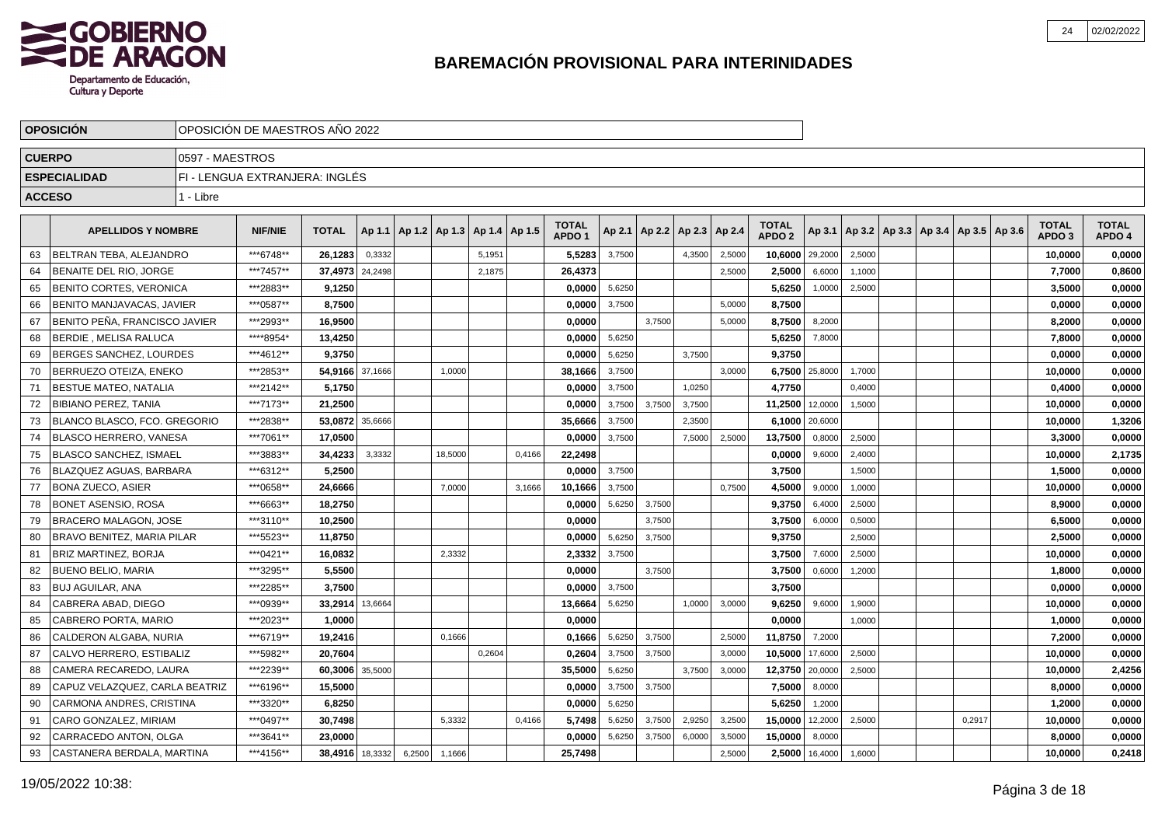

|               | <b>OPOSICION</b>                  |                 | OPOSICION DE MAESTROS ANO 2022 |                 |         |        |                          |        |        |                                   |        |        |                          |        |                                   |                |                                            |  |        |                                   |                        |
|---------------|-----------------------------------|-----------------|--------------------------------|-----------------|---------|--------|--------------------------|--------|--------|-----------------------------------|--------|--------|--------------------------|--------|-----------------------------------|----------------|--------------------------------------------|--|--------|-----------------------------------|------------------------|
| <b>CUERPO</b> |                                   | 0597 - MAESTROS |                                |                 |         |        |                          |        |        |                                   |        |        |                          |        |                                   |                |                                            |  |        |                                   |                        |
|               | <b>ESPECIALIDAD</b>               |                 | FI - LENGUA EXTRANJERA: INGLÉS |                 |         |        |                          |        |        |                                   |        |        |                          |        |                                   |                |                                            |  |        |                                   |                        |
|               | <b>ACCESO</b>                     | 1 - Libre       |                                |                 |         |        |                          |        |        |                                   |        |        |                          |        |                                   |                |                                            |  |        |                                   |                        |
|               |                                   |                 |                                |                 |         |        |                          |        |        |                                   |        |        |                          |        |                                   |                |                                            |  |        |                                   |                        |
|               | <b>APELLIDOS Y NOMBRE</b>         |                 | <b>NIF/NIE</b>                 | <b>TOTAL</b>    | Ap 1.1  |        | Ap 1.2   Ap 1.3   Ap 1.4 |        | Ap 1.5 | <b>TOTAL</b><br>APDO <sub>1</sub> | Ap 2.1 |        | Ap 2.2   Ap 2.3   Ap 2.4 |        | <b>TOTAL</b><br>APDO <sub>2</sub> | Ap 3.1         | Ap 3.2   Ap 3.3   Ap 3.4   Ap 3.5   Ap 3.6 |  |        | <b>TOTAL</b><br>APDO <sub>3</sub> | <b>TOTAL</b><br>APDO 4 |
| 63            | BELTRAN TEBA, ALEJANDRO           |                 | ***6748**                      | 26,1283         | 0,3332  |        |                          | 5,1951 |        | 5,5283                            | 3,7500 |        | 4,3500                   | 2,5000 | 10,6000                           | 29,2000        | 2,5000                                     |  |        | 10,0000                           | 0,0000                 |
| 64            | BENAITE DEL RIO, JORGE            |                 | ***7457**                      | 37,4973         | 24,2498 |        |                          | 2,1875 |        | 26,4373                           |        |        |                          | 2,5000 | 2,5000                            | 6,6000         | 1,1000                                     |  |        | 7,7000                            | 0,8600                 |
| 65            | <b>BENITO CORTES, VERONICA</b>    |                 | ***2883**                      | 9,1250          |         |        |                          |        |        | 0,0000                            | 5,6250 |        |                          |        | 5,6250                            | 1,0000         | 2,5000                                     |  |        | 3,5000                            | 0,0000                 |
| 66            | BENITO MANJAVACAS, JAVIER         |                 | ***0587**                      | 8,7500          |         |        |                          |        |        | 0,0000                            | 3,7500 |        |                          | 5,0000 | 8,7500                            |                |                                            |  |        | 0,0000                            | 0,0000                 |
| 67            | BENITO PEÑA, FRANCISCO JAVIER     |                 | ***2993**                      | 16,9500         |         |        |                          |        |        | 0,0000                            |        | 3,7500 |                          | 5,0000 | 8,7500                            | 8,2000         |                                            |  |        | 8,2000                            | 0,0000                 |
| 68            | <b>BERDIE . MELISA RALUCA</b>     |                 | ****8954*                      | 13.4250         |         |        |                          |        |        | 0.0000                            | 5,6250 |        |                          |        | 5,6250                            | 7,8000         |                                            |  |        | 7.8000                            | 0,0000                 |
| 69            | BERGES SANCHEZ, LOURDES           |                 | ***4612**                      | 9.3750          |         |        |                          |        |        | 0,0000                            | 5,6250 |        | 3,7500                   |        | 9,3750                            |                |                                            |  |        | 0,0000                            | 0,0000                 |
| 70            | BERRUEZO OTEIZA, ENEKO            |                 | ***2853**                      | 54,9166 37,1666 |         |        | 1,0000                   |        |        | 38,1666                           | 3,7500 |        |                          | 3,0000 | 6,7500                            | 25,8000        | 1,7000                                     |  |        | 10,0000                           | 0,0000                 |
| 71            | <b>BESTUE MATEO, NATALIA</b>      |                 | ***2142**                      | 5,1750          |         |        |                          |        |        | 0,0000                            | 3,7500 |        | 1,0250                   |        | 4,7750                            |                | 0,4000                                     |  |        | 0,4000                            | 0,0000                 |
| 72            | <b>BIBIANO PEREZ, TANIA</b>       |                 | ***7173**                      | 21,2500         |         |        |                          |        |        | 0,0000                            | 3,7500 | 3,7500 | 3,7500                   |        | 11,2500                           | 12,0000        | 1,5000                                     |  |        | 10,0000                           | 0,0000                 |
| 73            | BLANCO BLASCO, FCO. GREGORIO      |                 | ***2838**                      | 53,0872         | 35,6666 |        |                          |        |        | 35,6666                           | 3,7500 |        | 2,3500                   |        |                                   | 6,1000 20,6000 |                                            |  |        | 10,0000                           | 1,3206                 |
| 74            | <b>BLASCO HERRERO, VANESA</b>     |                 | ***7061**                      | 17.0500         |         |        |                          |        |        | 0,0000                            | 3,7500 |        | 7,5000                   | 2,5000 | 13,7500                           | 0,8000         | 2,5000                                     |  |        | 3,3000                            | 0,0000                 |
| 75            | <b>BLASCO SANCHEZ, ISMAEL</b>     |                 | ***3883**                      | 34,4233         | 3,3332  |        | 18,5000                  |        | 0.4166 | 22,2498                           |        |        |                          |        | 0,0000                            | 9,6000         | 2,4000                                     |  |        | 10,0000                           | 2,1735                 |
| 76            | <b>BLAZQUEZ AGUAS, BARBARA</b>    |                 | ***6312**                      | 5.2500          |         |        |                          |        |        | 0,0000                            | 3,7500 |        |                          |        | 3,7500                            |                | 1,5000                                     |  |        | 1,5000                            | 0,0000                 |
| 77            | <b>BONA ZUECO, ASIER</b>          |                 | ***0658**                      | 24,6666         |         |        | 7,0000                   |        | 3,1666 | 10,1666                           | 3,7500 |        |                          | 0,7500 | 4,5000                            | 9,0000         | 1,0000                                     |  |        | 10,0000                           | 0,0000                 |
| 78            | <b>BONET ASENSIO, ROSA</b>        |                 | ***6663**                      | 18,2750         |         |        |                          |        |        | 0,0000                            | 5,6250 | 3,7500 |                          |        | 9,3750                            | 6,4000         | 2,5000                                     |  |        | 8,9000                            | 0,0000                 |
| 79            | <b>BRACERO MALAGON, JOSE</b>      |                 | ***3110**                      | 10,2500         |         |        |                          |        |        | 0,0000                            |        | 3,7500 |                          |        | 3,7500                            | 6,0000         | 0,5000                                     |  |        | 6,5000                            | 0,0000                 |
| 80            | <b>BRAVO BENITEZ, MARIA PILAR</b> |                 | ***5523**                      | 11.8750         |         |        |                          |        |        | 0.0000                            | 5,6250 | 3.7500 |                          |        | 9,3750                            |                | 2,5000                                     |  |        | 2,5000                            | 0,0000                 |
| 81            | <b>BRIZ MARTINEZ, BORJA</b>       |                 | ***0421**                      | 16,0832         |         |        | 2,3332                   |        |        | 2,3332                            | 3,7500 |        |                          |        | 3,7500                            | 7,6000         | 2,5000                                     |  |        | 10,0000                           | 0,0000                 |
| 82            | <b>BUENO BELIO, MARIA</b>         |                 | ***3295**                      | 5,5500          |         |        |                          |        |        | 0,0000                            |        | 3,7500 |                          |        | 3,7500                            | 0,6000         | 1,2000                                     |  |        | 1,8000                            | 0,0000                 |
| 83            | <b>BUJ AGUILAR, ANA</b>           |                 | ***2285**                      | 3,7500          |         |        |                          |        |        | 0,0000                            | 3,7500 |        |                          |        | 3,7500                            |                |                                            |  |        | 0,0000                            | 0,0000                 |
| 84            | CABRERA ABAD, DIEGO               |                 | ***0939**                      | 33,2914         | 13,6664 |        |                          |        |        | 13,6664                           | 5,6250 |        | 1,0000                   | 3,0000 | 9,6250                            | 9,6000         | 1,9000                                     |  |        | 10,0000                           | 0,0000                 |
| 85            | CABRERO PORTA, MARIO              |                 | ***2023**                      | 1,0000          |         |        |                          |        |        | 0,0000                            |        |        |                          |        | 0,0000                            |                | 1,0000                                     |  |        | 1,0000                            | 0,0000                 |
| 86            | CALDERON ALGABA, NURIA            |                 | ***6719**                      | 19.2416         |         |        | 0,1666                   |        |        | 0.1666                            | 5,6250 | 3,7500 |                          | 2,5000 | 11,8750                           | 7,2000         |                                            |  |        | 7,2000                            | 0,0000                 |
| 87            | CALVO HERRERO, ESTIBALIZ          |                 | ***5982**                      | 20.7604         |         |        |                          | 0,2604 |        | 0.2604                            | 3,7500 | 3,7500 |                          | 3,0000 | 10,5000                           | 17,6000        | 2,5000                                     |  |        | 10,0000                           | 0,0000                 |
| 88            | CAMERA RECAREDO, LAURA            |                 | ***2239**                      | 60,3006         | 35,5000 |        |                          |        |        | 35,5000                           | 5,6250 |        | 3,7500                   | 3,0000 | 12,3750                           | 20,0000        | 2,5000                                     |  |        | 10,0000                           | 2,4256                 |
| 89            | CAPUZ VELAZQUEZ, CARLA BEATRIZ    |                 | ***6196**                      | 15,5000         |         |        |                          |        |        | 0,0000                            | 3,7500 | 3,7500 |                          |        | 7,5000                            | 8,0000         |                                            |  |        | 8,0000                            | 0,0000                 |
| 90            | CARMONA ANDRES, CRISTINA          |                 | ***3320**                      | 6,8250          |         |        |                          |        |        | 0,0000                            | 5,6250 |        |                          |        | 5,6250                            | 1,2000         |                                            |  |        | 1,2000                            | 0,0000                 |
| 91            | CARO GONZALEZ, MIRIAM             |                 | ***0497**                      | 30,7498         |         |        | 5,3332                   |        | 0,4166 | 5,7498                            | 5,6250 | 3,7500 | 2,9250                   | 3,2500 | 15,0000                           | 12,2000        | 2,5000                                     |  | 0,2917 | 10,0000                           | 0,0000                 |
| 92            | CARRACEDO ANTON, OLGA             |                 | ***3641**                      | 23,0000         |         |        |                          |        |        | 0,0000                            | 5,6250 | 3,7500 | 6,0000                   | 3,5000 | 15,0000                           | 8,0000         |                                            |  |        | 8.0000                            | 0,0000                 |
| 93            | CASTANERA BERDALA, MARTINA        |                 | ***4156**                      | 38,4916 18,3332 |         | 6,2500 | 1,1666                   |        |        | 25,7498                           |        |        |                          | 2,5000 | 2,5000                            | 16,4000        | 1,6000                                     |  |        | 10.0000                           | 0,2418                 |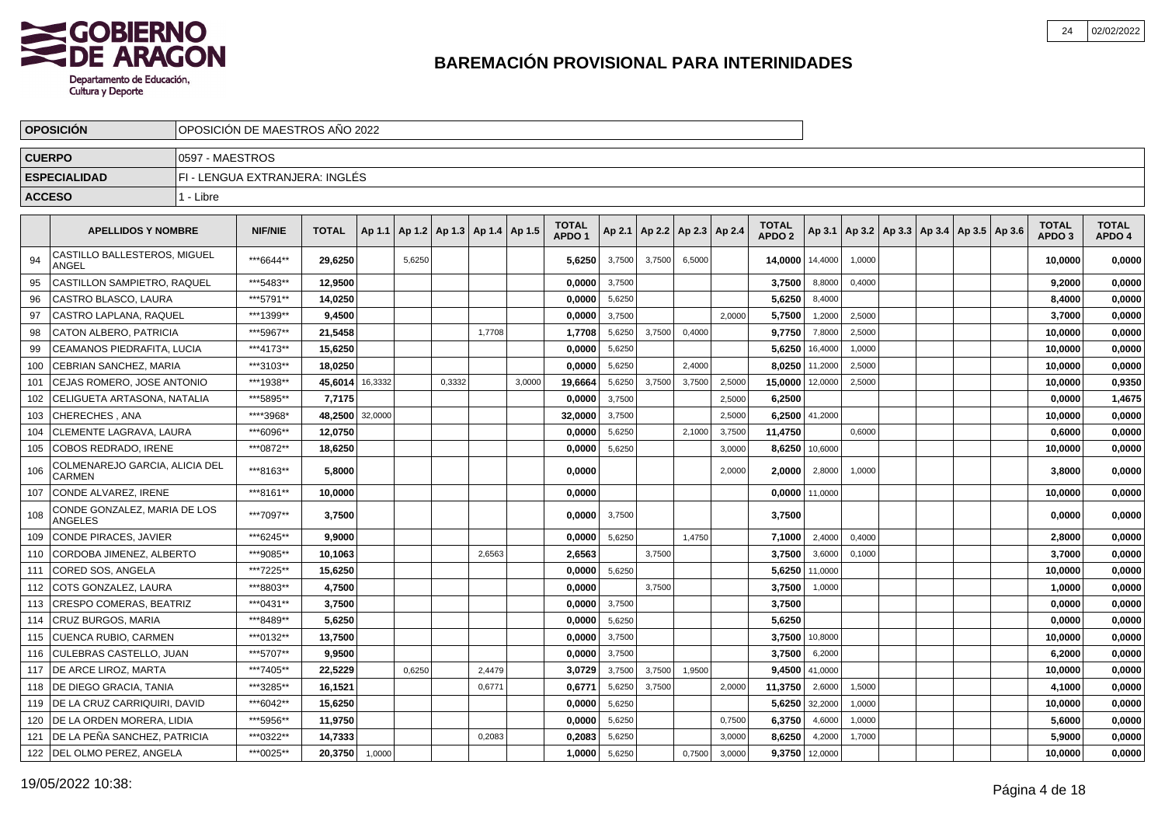

|               | <b>OPOSICION</b>                                | OPOSICIÓN DE MAESTROS AÑO 2022 |                                |              |         |                                   |        |        |        |                                   |        |        |                          |        |                                   |                |        |                                                     |  |                            |                        |
|---------------|-------------------------------------------------|--------------------------------|--------------------------------|--------------|---------|-----------------------------------|--------|--------|--------|-----------------------------------|--------|--------|--------------------------|--------|-----------------------------------|----------------|--------|-----------------------------------------------------|--|----------------------------|------------------------|
| <b>CUERPO</b> |                                                 | 0597 - MAESTROS                |                                |              |         |                                   |        |        |        |                                   |        |        |                          |        |                                   |                |        |                                                     |  |                            |                        |
|               | <b>ESPECIALIDAD</b>                             |                                | FI - LENGUA EXTRANJERA: INGLÉS |              |         |                                   |        |        |        |                                   |        |        |                          |        |                                   |                |        |                                                     |  |                            |                        |
| <b>ACCESO</b> |                                                 | 1 - Libre                      |                                |              |         |                                   |        |        |        |                                   |        |        |                          |        |                                   |                |        |                                                     |  |                            |                        |
|               |                                                 |                                |                                |              |         |                                   |        |        |        |                                   |        |        |                          |        |                                   |                |        |                                                     |  |                            |                        |
|               | <b>APELLIDOS Y NOMBRE</b>                       |                                | <b>NIF/NIE</b>                 | <b>TOTAL</b> | Ap 1.1  | Ap 1.2   Ap 1.3   Ap 1.4   Ap 1.5 |        |        |        | <b>TOTAL</b><br>APDO <sub>1</sub> | Ap 2.1 |        | Ap 2.2   Ap 2.3   Ap 2.4 |        | <b>TOTAL</b><br>APDO <sub>2</sub> |                |        | Ap 3.1   Ap 3.2   Ap 3.3   Ap 3.4   Ap 3.5   Ap 3.6 |  | TOTAL<br>APDO <sub>3</sub> | <b>TOTAL</b><br>APDO 4 |
| 94            | CASTILLO BALLESTEROS, MIGUEL<br>ANGEL           |                                | ***6644**                      | 29,6250      |         | 5,6250                            |        |        |        | 5,6250                            | 3,7500 | 3,7500 | 6,5000                   |        | 14,0000 14,4000                   |                | 1,0000 |                                                     |  | 10,0000                    | 0,0000                 |
| 95            | CASTILLON SAMPIETRO. RAQUEL                     |                                | ***5483**                      | 12.9500      |         |                                   |        |        |        | 0,0000                            | 3,7500 |        |                          |        | 3,7500                            | 8,8000         | 0,4000 |                                                     |  | 9,2000                     | 0,0000                 |
| 96            | CASTRO BLASCO, LAURA                            |                                | ***5791**                      | 14,0250      |         |                                   |        |        |        | 0,0000                            | 5,6250 |        |                          |        | 5,6250                            | 8,4000         |        |                                                     |  | 8,4000                     | 0,0000                 |
| 97            | CASTRO LAPLANA, RAQUEL                          |                                | ***1399**                      | 9,4500       |         |                                   |        |        |        | 0,0000                            | 3,7500 |        |                          | 2.0000 | 5,7500                            | 1,2000         | 2,5000 |                                                     |  | 3,7000                     | 0,0000                 |
| 98            | CATON ALBERO, PATRICIA                          |                                | ***5967**                      | 21,5458      |         |                                   |        | 1,7708 |        | 1,7708                            | 5,6250 | 3,7500 | 0,4000                   |        | 9,7750                            | 7,8000         | 2,5000 |                                                     |  | 10,0000                    | 0,0000                 |
| 99            | CEAMANOS PIEDRAFITA, LUCIA                      |                                | ***4173**                      | 15,6250      |         |                                   |        |        |        | 0,0000                            | 5,6250 |        |                          |        | 5,6250                            | 16,4000        | 1,0000 |                                                     |  | 10,0000                    | 0,0000                 |
| 100           | CEBRIAN SANCHEZ, MARIA                          |                                | ***3103**                      | 18,0250      |         |                                   |        |        |        | 0,0000                            | 5,6250 |        | 2,4000                   |        | 8,0250                            | 11,2000        | 2,5000 |                                                     |  | 10,0000                    | 0,0000                 |
| 101           | CEJAS ROMERO, JOSE ANTONIO                      |                                | ***1938**                      | 45.6014      | 16,3332 |                                   | 0,3332 |        | 3.0000 | 19,6664                           | 5,6250 | 3.7500 | 3,7500                   | 2,5000 | 15,0000                           | 12,0000        | 2,5000 |                                                     |  | 10.0000                    | 0,9350                 |
| 102           | CELIGUETA ARTASONA, NATALIA                     |                                | ***5895**                      | 7.7175       |         |                                   |        |        |        | 0.0000                            | 3,7500 |        |                          | 2,5000 | 6,2500                            |                |        |                                                     |  | 0.0000                     | 1,4675                 |
| 103           | CHERECHES, ANA                                  |                                | *****3968*                     | 48,2500      | 32,0000 |                                   |        |        |        | 32,0000                           | 3,7500 |        |                          | 2.5000 |                                   | 6,2500 41,2000 |        |                                                     |  | 10,0000                    | 0,0000                 |
| 104           | CLEMENTE LAGRAVA, LAURA                         |                                | ***6096**                      | 12.0750      |         |                                   |        |        |        | 0,0000                            | 5,6250 |        | 2,1000                   | 3,7500 | 11,4750                           |                | 0,6000 |                                                     |  | 0,6000                     | 0,0000                 |
| 105           | COBOS REDRADO, IRENE                            |                                | ***0872**                      | 18,6250      |         |                                   |        |        |        | 0,0000                            | 5,6250 |        |                          | 3,0000 | 8,6250                            | 10,6000        |        |                                                     |  | 10,0000                    | 0,0000                 |
| 106           | COLMENAREJO GARCIA, ALICIA DEL<br><b>CARMEN</b> |                                | ***8163**                      | 5,8000       |         |                                   |        |        |        | 0,0000                            |        |        |                          | 2.0000 | 2,0000                            | 2,8000         | 1,0000 |                                                     |  | 3,8000                     | 0,0000                 |
| 107           | CONDE ALVAREZ. IRENE                            |                                | ***8161**                      | 10,0000      |         |                                   |        |        |        | 0.0000                            |        |        |                          |        | $0.0000$ 11,0000                  |                |        |                                                     |  | 10.0000                    | 0,0000                 |
| 108           | CONDE GONZALEZ, MARIA DE LOS<br><b>ANGELES</b>  |                                | ***7097**                      | 3,7500       |         |                                   |        |        |        | 0,0000                            | 3,7500 |        |                          |        | 3,7500                            |                |        |                                                     |  | 0,0000                     | 0,0000                 |
| 109           | CONDE PIRACES, JAVIER                           |                                | ***6245**                      | 9,9000       |         |                                   |        |        |        | 0,0000                            | 5,6250 |        | 1,4750                   |        | 7,1000                            | 2,4000         | 0,4000 |                                                     |  | 2,8000                     | 0,0000                 |
| 110           | CORDOBA JIMENEZ, ALBERTO                        |                                | ***9085**                      | 10,1063      |         |                                   |        | 2,6563 |        | 2,6563                            |        | 3,7500 |                          |        | 3,7500                            | 3,6000         | 0,1000 |                                                     |  | 3,7000                     | 0,0000                 |
| 111           | CORED SOS. ANGELA                               |                                | ***7225**                      | 15,6250      |         |                                   |        |        |        | 0,0000                            | 5,6250 |        |                          |        | 5,6250                            | 11,0000        |        |                                                     |  | 10,0000                    | 0,0000                 |
| 112           | COTS GONZALEZ. LAURA                            |                                | ***8803**                      | 4,7500       |         |                                   |        |        |        | 0.0000                            |        | 3,7500 |                          |        | 3,7500                            | 1,0000         |        |                                                     |  | 1,0000                     | 0,0000                 |
| 113           | <b>CRESPO COMERAS. BEATRIZ</b>                  |                                | ***0431**                      | 3,7500       |         |                                   |        |        |        | 0.0000                            | 3,7500 |        |                          |        | 3,7500                            |                |        |                                                     |  | 0.0000                     | 0,0000                 |
| 114           | <b>CRUZ BURGOS, MARIA</b>                       |                                | ***8489**                      | 5,6250       |         |                                   |        |        |        | 0,0000                            | 5,6250 |        |                          |        | 5,6250                            |                |        |                                                     |  | 0,0000                     | 0,0000                 |
| 115           | <b>CUENCA RUBIO, CARMEN</b>                     |                                | ***0132**                      | 13,7500      |         |                                   |        |        |        | 0,0000                            | 3,7500 |        |                          |        |                                   | 3,7500 10,8000 |        |                                                     |  | 10,0000                    | 0,0000                 |
| 116           | CULEBRAS CASTELLO, JUAN                         |                                | ***5707**                      | 9,9500       |         |                                   |        |        |        | 0,0000                            | 3,7500 |        |                          |        | 3,7500                            | 6,2000         |        |                                                     |  | 6,2000                     | 0,0000                 |
|               | 117   DE ARCE LIROZ, MARTA                      |                                | ***7405**                      | 22,5229      |         | 0,6250                            |        | 2,4479 |        | 3,0729                            | 3,7500 | 3,7500 | 1,9500                   |        |                                   | 9,4500 41,0000 |        |                                                     |  | 10,0000                    | 0,0000                 |
|               | 118   DE DIEGO GRACIA, TANIA                    |                                | ***3285**                      | 16,1521      |         |                                   |        | 0,6771 |        | 0,6771                            | 5,6250 | 3,7500 |                          | 2,0000 | 11,3750                           | 2,6000         | 1,5000 |                                                     |  | 4,1000                     | 0,0000                 |
| 119           | DE LA CRUZ CARRIQUIRI, DAVID                    |                                | ***6042**                      | 15,6250      |         |                                   |        |        |        | 0,0000                            | 5,6250 |        |                          |        | 5,6250                            | 32,2000        | 1,0000 |                                                     |  | 10,0000                    | 0,0000                 |
| 120           | DE LA ORDEN MORERA, LIDIA                       |                                | ***5956**                      | 11,9750      |         |                                   |        |        |        | 0,0000                            | 5,6250 |        |                          | 0,7500 | 6,3750                            | 4,6000         | 1,0000 |                                                     |  | 5,6000                     | 0,0000                 |
| 121           | DE LA PEÑA SANCHEZ, PATRICIA                    |                                | ***0322**                      | 14,7333      |         |                                   |        | 0,2083 |        | 0,2083                            | 5,6250 |        |                          | 3,0000 | 8,6250                            | 4,2000         | 1,7000 |                                                     |  | 5.9000                     | 0,0000                 |
|               | 122 DEL OLMO PEREZ, ANGELA                      |                                | ***0025**                      | 20,3750      | 1,0000  |                                   |        |        |        | 1,0000                            | 5,6250 |        | 0,7500                   | 3,0000 | 9,3750 12,0000                    |                |        |                                                     |  | 10.0000                    | 0,0000                 |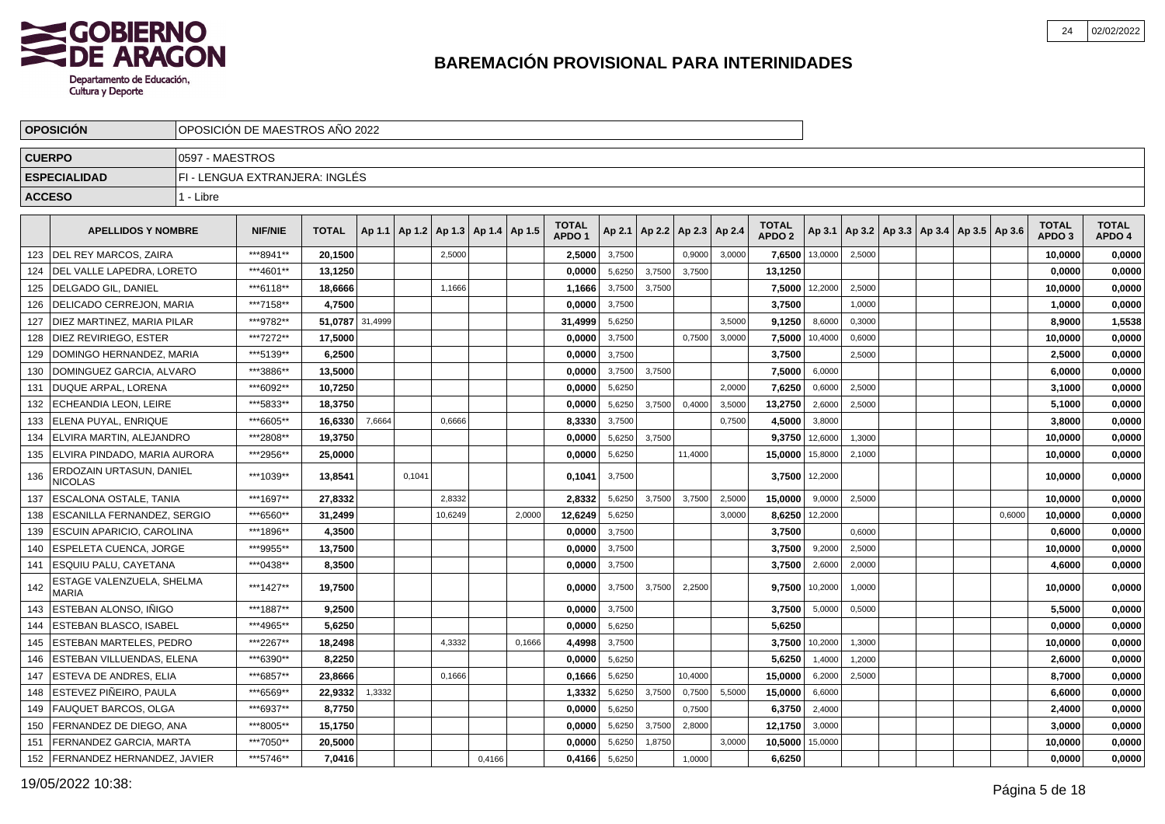

|               | <b>OPOSICION</b>                           |                 | OPOSICIÓN DE MAESTROS AÑO 2022 |              |         |        |                                   |        |        |                                   |        |        |                                   |        |                                   |         |                                                     |  |        |                                   |                        |
|---------------|--------------------------------------------|-----------------|--------------------------------|--------------|---------|--------|-----------------------------------|--------|--------|-----------------------------------|--------|--------|-----------------------------------|--------|-----------------------------------|---------|-----------------------------------------------------|--|--------|-----------------------------------|------------------------|
| <b>CUERPO</b> |                                            | 0597 - MAESTROS |                                |              |         |        |                                   |        |        |                                   |        |        |                                   |        |                                   |         |                                                     |  |        |                                   |                        |
|               | <b>ESPECIALIDAD</b>                        |                 | FI - LENGUA EXTRANJERA: INGLÉS |              |         |        |                                   |        |        |                                   |        |        |                                   |        |                                   |         |                                                     |  |        |                                   |                        |
| <b>ACCESO</b> |                                            | 1 - Libre       |                                |              |         |        |                                   |        |        |                                   |        |        |                                   |        |                                   |         |                                                     |  |        |                                   |                        |
|               |                                            |                 |                                |              |         |        |                                   |        |        |                                   |        |        |                                   |        |                                   |         |                                                     |  |        |                                   |                        |
|               | <b>APELLIDOS Y NOMBRE</b>                  |                 | <b>NIF/NIE</b>                 | <b>TOTAL</b> | Ap 1.1  |        | Ap 1.2   Ap 1.3   Ap 1.4   Ap 1.5 |        |        | <b>TOTAL</b><br>APDO <sub>1</sub> |        |        | Ap 2.1   Ap 2.2   Ap 2.3   Ap 2.4 |        | <b>TOTAL</b><br>APDO <sub>2</sub> |         | Ap 3.1   Ap 3.2   Ap 3.3   Ap 3.4   Ap 3.5   Ap 3.6 |  |        | <b>TOTAL</b><br>APDO <sub>3</sub> | <b>TOTAL</b><br>APDO 4 |
| 123           | <b>IDEL REY MARCOS. ZAIRA</b>              |                 | ***8941**                      | 20,1500      |         |        | 2,5000                            |        |        | 2,5000                            | 3,7500 |        | 0,9000                            | 3,0000 | 7,6500                            | 13,0000 | 2,5000                                              |  |        | 10,0000                           | 0,0000                 |
| 124           | DEL VALLE LAPEDRA, LORETO                  |                 | ***4601**                      | 13,1250      |         |        |                                   |        |        | 0,0000                            | 5,6250 | 3,7500 | 3,7500                            |        | 13,1250                           |         |                                                     |  |        | 0,0000                            | 0,0000                 |
| 125           | DELGADO GIL. DANIEL                        |                 | ***6118**                      | 18,6666      |         |        | 1,1666                            |        |        | 1,1666                            | 3,7500 | 3,7500 |                                   |        | 7,5000                            | 12,2000 | 2,5000                                              |  |        | 10,0000                           | 0,0000                 |
| 126           | DELICADO CERREJON, MARIA                   |                 | ***7158**                      | 4,7500       |         |        |                                   |        |        | 0,0000                            | 3,7500 |        |                                   |        | 3,7500                            |         | 1,0000                                              |  |        | 1,0000                            | 0,0000                 |
| 127           | DIEZ MARTINEZ, MARIA PILAR                 |                 | ***9782**                      | 51,0787      | 31,4999 |        |                                   |        |        | 31,4999                           | 5,6250 |        |                                   | 3,5000 | 9,1250                            | 8,6000  | 0,3000                                              |  |        | 8,9000                            | 1,5538                 |
| 128           | I DIEZ REVIRIEGO. ESTER                    |                 | ***7272**                      | 17,5000      |         |        |                                   |        |        | 0,0000                            | 3,7500 |        | 0,7500                            | 3,0000 | 7,5000                            | 10,4000 | 0,6000                                              |  |        | 10,0000                           | 0,0000                 |
| 129           | I DOMINGO HERNANDEZ. MARIA                 |                 | ***5139**                      | 6,2500       |         |        |                                   |        |        | 0,0000                            | 3,7500 |        |                                   |        | 3,7500                            |         | 2,5000                                              |  |        | 2,5000                            | 0,0000                 |
| 130           | DOMINGUEZ GARCIA, ALVARO                   |                 | ***3886**                      | 13,5000      |         |        |                                   |        |        | 0,0000                            | 3,7500 | 3,7500 |                                   |        | 7,5000                            | 6,0000  |                                                     |  |        | 6,0000                            | 0,0000                 |
| 131           | DUQUE ARPAL, LORENA                        |                 | ***6092**                      | 10,7250      |         |        |                                   |        |        | 0,0000                            | 5,6250 |        |                                   | 2,0000 | 7,6250                            | 0,6000  | 2,5000                                              |  |        | 3,1000                            | 0,0000                 |
| 132           | <b>ECHEANDIA LEON, LEIRE</b>               |                 | ***5833**                      | 18,3750      |         |        |                                   |        |        | 0,0000                            | 5,6250 | 3,7500 | 0,4000                            | 3,5000 | 13,2750                           | 2,6000  | 2,5000                                              |  |        | 5,1000                            | 0,0000                 |
| 133           | <b>IELENA PUYAL. ENRIQUE</b>               |                 | ***6605**                      | 16,6330      | 7,6664  |        | 0,6666                            |        |        | 8,3330                            | 3,7500 |        |                                   | 0,7500 | 4,5000                            | 3,8000  |                                                     |  |        | 3,8000                            | 0,0000                 |
| 134           | ELVIRA MARTIN, ALEJANDRO                   |                 | ***2808**                      | 19,3750      |         |        |                                   |        |        | 0,0000                            | 5,6250 | 3,7500 |                                   |        | 9,3750                            | 12,6000 | 1,3000                                              |  |        | 10,0000                           | 0,0000                 |
| 135           | ELVIRA PINDADO, MARIA AURORA               |                 | ***2956**                      | 25,0000      |         |        |                                   |        |        | 0,0000                            | 5,6250 |        | 11,4000                           |        | 15,0000                           | 15,8000 | 2,1000                                              |  |        | 10,0000                           | 0,0000                 |
| 136           | ERDOZAIN URTASUN, DANIEL<br><b>NICOLAS</b> |                 | ***1039**                      | 13,8541      |         | 0,1041 |                                   |        |        | 0,1041                            | 3,7500 |        |                                   |        | 3,7500                            | 12,2000 |                                                     |  |        | 10,0000                           | 0,0000                 |
| 137           | <b>ESCALONA OSTALE, TANIA</b>              |                 | ***1697**                      | 27,8332      |         |        | 2.8332                            |        |        | 2,8332                            | 5,6250 | 3.7500 | 3,7500                            | 2,5000 | 15,0000                           | 9,0000  | 2,5000                                              |  |        | 10,0000                           | 0,0000                 |
| 138           | <b>ESCANILLA FERNANDEZ, SERGIO</b>         |                 | ***6560**                      | 31,2499      |         |        | 10,6249                           |        | 2,0000 | 12,6249                           | 5,6250 |        |                                   | 3,0000 | 8,6250                            | 12,2000 |                                                     |  | 0,6000 | 10,0000                           | 0,0000                 |
| 139           | <b>ESCUIN APARICIO, CAROLINA</b>           |                 | ***1896**                      | 4,3500       |         |        |                                   |        |        | 0,0000                            | 3,7500 |        |                                   |        | 3,7500                            |         | 0,6000                                              |  |        | 0,6000                            | 0,0000                 |
| 140           | ESPELETA CUENCA, JORGE                     |                 | ***9955**                      | 13,7500      |         |        |                                   |        |        | 0,0000                            | 3,7500 |        |                                   |        | 3,7500                            | 9,2000  | 2,5000                                              |  |        | 10,0000                           | 0,0000                 |
| 141           | ESQUIU PALU, CAYETANA                      |                 | ***0438**                      | 8,3500       |         |        |                                   |        |        | 0,0000                            | 3,7500 |        |                                   |        | 3,7500                            | 2,6000  | 2,0000                                              |  |        | 4,6000                            | 0,0000                 |
| 142           | ESTAGE VALENZUELA, SHELMA<br><b>MARIA</b>  |                 | ***1427**                      | 19,7500      |         |        |                                   |        |        | 0.0000                            | 3,7500 | 3,7500 | 2,2500                            |        | 9.7500                            | 10,2000 | 1,0000                                              |  |        | 10,0000                           | 0,0000                 |
| 143           | ESTEBAN ALONSO, IÑIGO                      |                 | ***1887**                      | 9,2500       |         |        |                                   |        |        | 0,0000                            | 3,7500 |        |                                   |        | 3,7500                            | 5,0000  | 0,5000                                              |  |        | 5,5000                            | 0,0000                 |
| 144           | <b>ESTEBAN BLASCO, ISABEL</b>              |                 | ***4965**                      | 5,6250       |         |        |                                   |        |        | 0,0000                            | 5,6250 |        |                                   |        | 5,6250                            |         |                                                     |  |        | 0,0000                            | 0,0000                 |
| 145           | <b>ESTEBAN MARTELES, PEDRO</b>             |                 | ***2267**                      | 18,2498      |         |        | 4,3332                            |        | 0,1666 | 4,4998                            | 3,7500 |        |                                   |        | 3,7500                            | 10,2000 | 1,3000                                              |  |        | 10,0000                           | 0,0000                 |
| 146           | ESTEBAN VILLUENDAS, ELENA                  |                 | ***6390**                      | 8.2250       |         |        |                                   |        |        | 0,0000                            | 5,6250 |        |                                   |        | 5,6250                            | 1,4000  | 1,2000                                              |  |        | 2,6000                            | 0,0000                 |
| 147           | lESTEVA DE ANDRES. ELIA                    |                 | ***6857**                      | 23.8666      |         |        | 0,1666                            |        |        | 0.1666                            | 5,6250 |        | 10,4000                           |        | 15,0000                           | 6,2000  | 2,5000                                              |  |        | 8,7000                            | 0,0000                 |
| 148           | ESTEVEZ PIÑEIRO, PAULA                     |                 | ***6569**                      | 22,9332      | 1,3332  |        |                                   |        |        | 1,3332                            | 5,6250 | 3,7500 | 0,7500                            | 5,5000 | 15,0000                           | 6,6000  |                                                     |  |        | 6,6000                            | 0,0000                 |
| 149           | FAUQUET BARCOS, OLGA                       |                 | ***6937**                      | 8,7750       |         |        |                                   |        |        | 0,0000                            | 5,6250 |        | 0,7500                            |        | 6,3750                            | 2,4000  |                                                     |  |        | 2,4000                            | 0,0000                 |
| 150           | FERNANDEZ DE DIEGO, ANA                    |                 | ***8005**                      | 15,1750      |         |        |                                   |        |        | 0,0000                            | 5,6250 | 3,7500 | 2,8000                            |        | 12,1750                           | 3,0000  |                                                     |  |        | 3,0000                            | 0,0000                 |
| 151           | FERNANDEZ GARCIA, MARTA                    |                 | ***7050**                      | 20,5000      |         |        |                                   |        |        | 0,0000                            | 5,6250 | 1,8750 |                                   | 3,0000 | 10,5000                           | 15,0000 |                                                     |  |        | 10,0000                           | 0,0000                 |
| 152           | <b>FERNANDEZ HERNANDEZ, JAVIER</b>         |                 | ***5746**                      | 7,0416       |         |        |                                   | 0,4166 |        | 0,4166                            | 5,6250 |        | 1,0000                            |        | 6,6250                            |         |                                                     |  |        | 0,0000                            | 0,0000                 |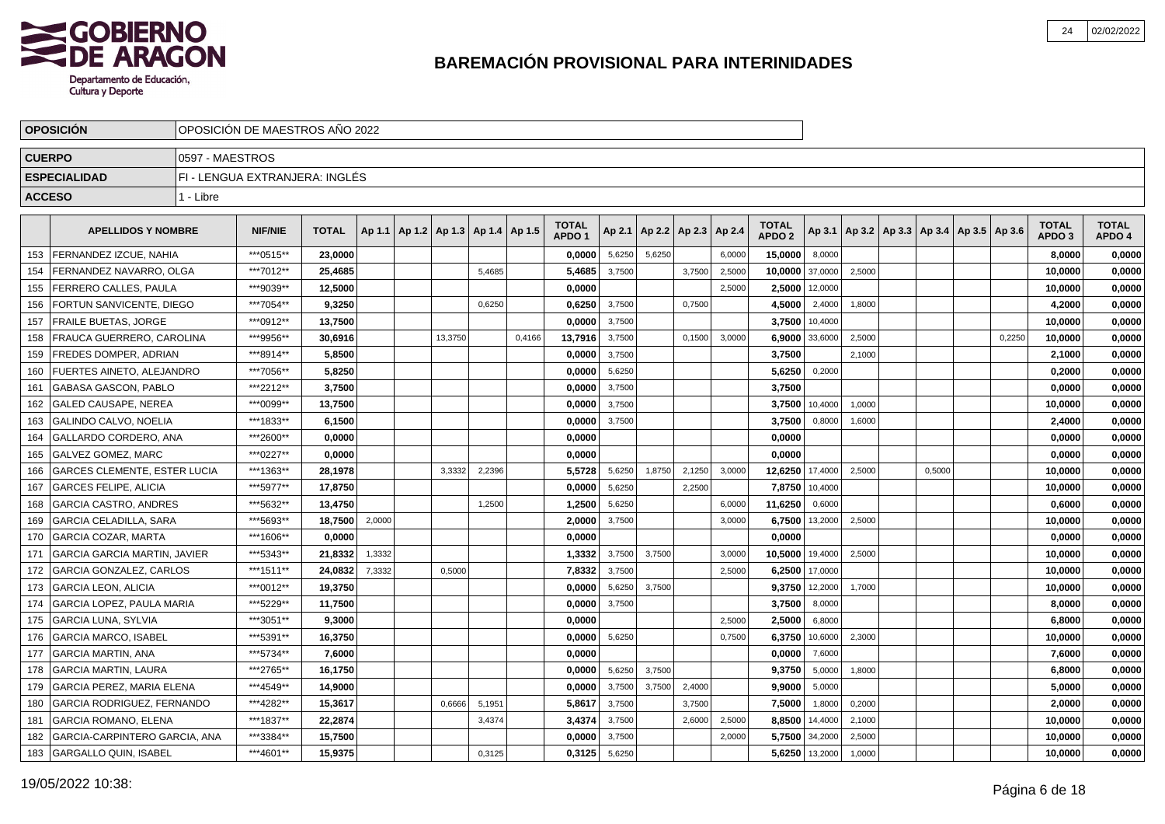

|               | <b>OPOSICION</b>                    | OPOSICION DE MAESTROS ANO 2022 |                                |              |        |                                   |        |        |                                   |        |        |                          |        |                                   |         |        |        |                                            |        |                                   |                        |
|---------------|-------------------------------------|--------------------------------|--------------------------------|--------------|--------|-----------------------------------|--------|--------|-----------------------------------|--------|--------|--------------------------|--------|-----------------------------------|---------|--------|--------|--------------------------------------------|--------|-----------------------------------|------------------------|
| <b>CUERPO</b> |                                     | 0597 - MAESTROS                |                                |              |        |                                   |        |        |                                   |        |        |                          |        |                                   |         |        |        |                                            |        |                                   |                        |
|               | <b>ESPECIALIDAD</b>                 |                                | FI - LENGUA EXTRANJERA: INGLÉS |              |        |                                   |        |        |                                   |        |        |                          |        |                                   |         |        |        |                                            |        |                                   |                        |
| <b>ACCESO</b> |                                     | 1 - Libre                      |                                |              |        |                                   |        |        |                                   |        |        |                          |        |                                   |         |        |        |                                            |        |                                   |                        |
|               | <b>APELLIDOS Y NOMBRE</b>           |                                | <b>NIF/NIE</b>                 | <b>TOTAL</b> | Ap 1.1 | Ap 1.2   Ap 1.3   Ap 1.4   Ap 1.5 |        |        | <b>TOTAL</b><br>APDO <sub>1</sub> | Ap 2.1 |        | Ap 2.2   Ap 2.3   Ap 2.4 |        | <b>TOTAL</b><br>APDO <sub>2</sub> | Ap 3.1  |        |        | Ap 3.2   Ap 3.3   Ap 3.4   Ap 3.5   Ap 3.6 |        | <b>TOTAL</b><br>APDO <sub>3</sub> | <b>TOTAL</b><br>APDO 4 |
| 153           | FERNANDEZ IZCUE, NAHIA              |                                | ***0515**                      | 23,0000      |        |                                   |        |        | 0,0000                            | 5,6250 | 5,6250 |                          | 6,0000 | 15,0000                           | 8,0000  |        |        |                                            |        | 8,0000                            | 0,0000                 |
| 154           | FERNANDEZ NAVARRO, OLGA             |                                | ***7012**                      | 25,4685      |        |                                   | 5,4685 |        | 5,4685                            | 3,7500 |        | 3,7500                   | 2,5000 | 10,0000                           | 37,0000 | 2,5000 |        |                                            |        | 10,0000                           | 0,0000                 |
| 155           | FERRERO CALLES, PAULA               |                                | ***9039**                      | 12,5000      |        |                                   |        |        | 0,0000                            |        |        |                          | 2.5000 | 2,5000                            | 12,0000 |        |        |                                            |        | 10,0000                           | 0,0000                 |
| 156           | FORTUN SANVICENTE, DIEGO            |                                | ***7054**                      | 9,3250       |        |                                   | 0,6250 |        | 0.6250                            | 3,7500 |        | 0,7500                   |        | 4,5000                            | 2,4000  | 1,8000 |        |                                            |        | 4,2000                            | 0,0000                 |
| 157           | <b>FRAILE BUETAS, JORGE</b>         |                                | ***0912**                      | 13,7500      |        |                                   |        |        | 0.0000                            | 3,7500 |        |                          |        | 3,7500                            | 10,4000 |        |        |                                            |        | 10,0000                           | 0,0000                 |
| 158           | <b>FRAUCA GUERRERO, CAROLINA</b>    |                                | ***9956**                      | 30,6916      |        | 13,3750                           |        | 0,4166 | 13,7916                           | 3,7500 |        | 0,1500                   | 3,0000 | 6,9000                            | 33,6000 | 2,5000 |        |                                            | 0,2250 | 10,0000                           | 0,0000                 |
| 159           | <b>FREDES DOMPER, ADRIAN</b>        |                                | ***8914**                      | 5,8500       |        |                                   |        |        | 0,0000                            | 3,7500 |        |                          |        | 3,7500                            |         | 2,1000 |        |                                            |        | 2,1000                            | 0,0000                 |
| 160           | <b>IFUERTES AINETO, ALEJANDRO</b>   |                                | ***7056**                      | 5,8250       |        |                                   |        |        | 0,0000                            | 5,6250 |        |                          |        | 5,6250                            | 0,2000  |        |        |                                            |        | 0,2000                            | 0,0000                 |
| 161           | GABASA GASCON, PABLO                |                                | ***2212**                      | 3,7500       |        |                                   |        |        | 0,0000                            | 3,7500 |        |                          |        | 3,7500                            |         |        |        |                                            |        | 0,0000                            | 0,0000                 |
| 162           | <b>GALED CAUSAPE, NEREA</b>         |                                | ***0099**                      | 13,7500      |        |                                   |        |        | 0,0000                            | 3,7500 |        |                          |        | 3,7500                            | 10,4000 | 1,0000 |        |                                            |        | 10,0000                           | 0,0000                 |
| 163           | <b>GALINDO CALVO, NOELIA</b>        |                                | ***1833**                      | 6,1500       |        |                                   |        |        | 0,0000                            | 3,7500 |        |                          |        | 3,7500                            | 0,8000  | 1,6000 |        |                                            |        | 2,4000                            | 0,0000                 |
| 164           | GALLARDO CORDERO, ANA               |                                | ***2600**                      | 0.0000       |        |                                   |        |        | 0,0000                            |        |        |                          |        | 0,0000                            |         |        |        |                                            |        | 0.0000                            | 0,0000                 |
| 165           | <b>GALVEZ GOMEZ. MARC</b>           |                                | ***0227**                      | 0.0000       |        |                                   |        |        | 0,0000                            |        |        |                          |        | 0,0000                            |         |        |        |                                            |        | 0,0000                            | 0,0000                 |
| 166           | <b>GARCES CLEMENTE, ESTER LUCIA</b> |                                | ***1363**                      | 28,1978      |        | 3,3332                            | 2,2396 |        | 5,5728                            | 5,6250 | 1,8750 | 2,1250                   | 3,0000 | 12,6250                           | 17,4000 | 2,5000 | 0,5000 |                                            |        | 10,0000                           | 0,0000                 |
| 167           | <b>GARCES FELIPE, ALICIA</b>        |                                | ***5977**                      | 17,8750      |        |                                   |        |        | 0,0000                            | 5,6250 |        | 2,2500                   |        | 7,8750                            | 10,4000 |        |        |                                            |        | 10,0000                           | 0,0000                 |
| 168           | <b>GARCIA CASTRO, ANDRES</b>        |                                | ***5632**                      | 13,4750      |        |                                   | 1,2500 |        | 1,2500                            | 5,6250 |        |                          | 6,0000 | 11,6250                           | 0,6000  |        |        |                                            |        | 0,6000                            | 0,0000                 |
| 169           | <b>GARCIA CELADILLA, SARA</b>       |                                | ***5693**                      | 18.7500      | 2,0000 |                                   |        |        | 2,0000                            | 3,7500 |        |                          | 3,0000 | 6,7500                            | 13,2000 | 2,5000 |        |                                            |        | 10,0000                           | 0,0000                 |
| 170           | <b>GARCIA COZAR. MARTA</b>          |                                | ***1606**                      | 0.0000       |        |                                   |        |        | 0,0000                            |        |        |                          |        | 0,0000                            |         |        |        |                                            |        | 0,0000                            | 0,0000                 |
| 171           | <b>GARCIA GARCIA MARTIN, JAVIER</b> |                                | ***5343**                      | 21,8332      | 1,3332 |                                   |        |        | 1,3332                            | 3,7500 | 3,7500 |                          | 3,0000 | 10,5000                           | 19,4000 | 2,5000 |        |                                            |        | 10,0000                           | 0,0000                 |
| 172           | <b>GARCIA GONZALEZ, CARLOS</b>      |                                | ***1511**                      | 24,0832      | 7,3332 | 0,5000                            |        |        | 7,8332                            | 3,7500 |        |                          | 2,5000 | 6,2500                            | 17,0000 |        |        |                                            |        | 10,0000                           | 0,0000                 |
| 173           | <b>GARCIA LEON, ALICIA</b>          |                                | ***0012**                      | 19,3750      |        |                                   |        |        | 0.0000                            | 5,6250 | 3.7500 |                          |        | 9,3750                            | 12,2000 | 1,7000 |        |                                            |        | 10,0000                           | 0,0000                 |
| 174           | <b>GARCIA LOPEZ. PAULA MARIA</b>    |                                | ***5229**                      | 11,7500      |        |                                   |        |        | 0,0000                            | 3,7500 |        |                          |        | 3,7500                            | 8,0000  |        |        |                                            |        | 8.0000                            | 0,0000                 |
| 175           | <b>GARCIA LUNA, SYLVIA</b>          |                                | ***3051**                      | 9,3000       |        |                                   |        |        | 0,0000                            |        |        |                          | 2,5000 | 2,5000                            | 6,8000  |        |        |                                            |        | 6,8000                            | 0,0000                 |
| 176           | <b>GARCIA MARCO, ISABEL</b>         |                                | ***5391**                      | 16,3750      |        |                                   |        |        | 0,0000                            | 5,6250 |        |                          | 0,7500 | 6,3750                            | 10,6000 | 2,3000 |        |                                            |        | 10,0000                           | 0,0000                 |
| 177           | <b>GARCIA MARTIN, ANA</b>           |                                | ***5734**                      | 7,6000       |        |                                   |        |        | 0,0000                            |        |        |                          |        | 0,0000                            | 7,6000  |        |        |                                            |        | 7,6000                            | 0,0000                 |
| 178           | <b>GARCIA MARTIN, LAURA</b>         |                                | ***2765**                      | 16.1750      |        |                                   |        |        | 0.0000                            | 5,6250 | 3,7500 |                          |        | 9,3750                            | 5,0000  | 1,8000 |        |                                            |        | 6,8000                            | 0,0000                 |
| 179           | <b>GARCIA PEREZ, MARIA ELENA</b>    |                                | ***4549**                      | 14,9000      |        |                                   |        |        | 0,0000                            | 3,7500 | 3,7500 | 2,4000                   |        | 9,9000                            | 5,0000  |        |        |                                            |        | 5,0000                            | 0,0000                 |
| 180           | <b>GARCIA RODRIGUEZ, FERNANDO</b>   |                                | ***4282**                      | 15,3617      |        | 0,6666                            | 5,1951 |        | 5,8617                            | 3,7500 |        | 3,7500                   |        | 7,5000                            | 1,8000  | 0,2000 |        |                                            |        | 2,0000                            | 0,0000                 |
| 181           | <b>GARCIA ROMANO, ELENA</b>         |                                | ***1837**                      | 22,2874      |        |                                   | 3,4374 |        | 3,4374                            | 3,7500 |        | 2,6000                   | 2,5000 | 8,8500                            | 14,4000 | 2,1000 |        |                                            |        | 10,0000                           | 0,0000                 |
| 182           | GARCIA-CARPINTERO GARCIA. ANA       |                                | ***3384**                      | 15,7500      |        |                                   |        |        | 0.0000                            | 3,7500 |        |                          | 2,0000 | 5,7500                            | 34,2000 | 2,5000 |        |                                            |        | 10.0000                           | 0,0000                 |
| 183           | GARGALLO QUIN, ISABEL               |                                | ***4601**                      | 15.9375      |        |                                   | 0,3125 |        | 0,3125                            | 5,6250 |        |                          |        | 5,6250                            | 13,2000 | 1,0000 |        |                                            |        | 10.0000                           | 0,0000                 |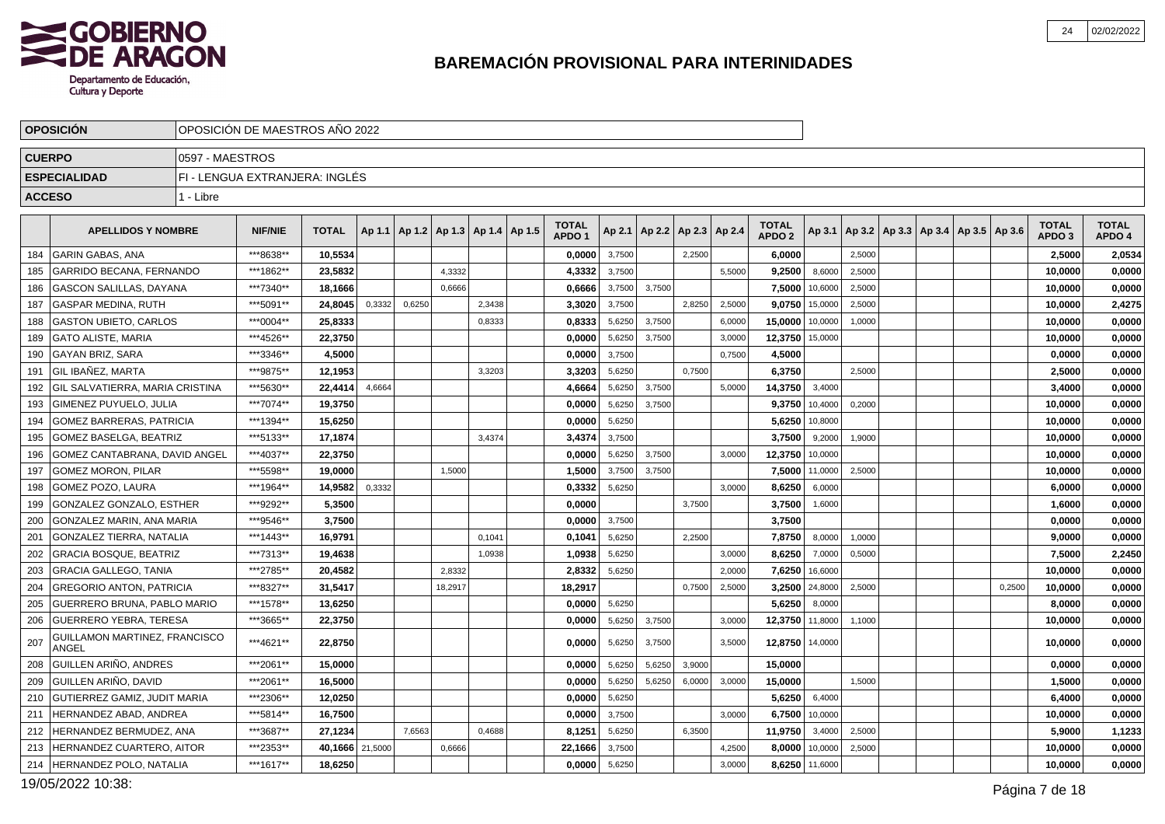

|               | <b>OPOSICION</b>                       | OPOSICION DE MAESTROS ANO 2022 |                                |                 |        |                                            |         |        |                                   |        |                                   |        |        |                                   |                |        |  |                                                     |        |                                   |                        |
|---------------|----------------------------------------|--------------------------------|--------------------------------|-----------------|--------|--------------------------------------------|---------|--------|-----------------------------------|--------|-----------------------------------|--------|--------|-----------------------------------|----------------|--------|--|-----------------------------------------------------|--------|-----------------------------------|------------------------|
| <b>CUERPO</b> |                                        | 0597 - MAESTROS                |                                |                 |        |                                            |         |        |                                   |        |                                   |        |        |                                   |                |        |  |                                                     |        |                                   |                        |
|               | <b>ESPECIALIDAD</b>                    |                                | FI - LENGUA EXTRANJERA: INGLÉS |                 |        |                                            |         |        |                                   |        |                                   |        |        |                                   |                |        |  |                                                     |        |                                   |                        |
| <b>ACCESO</b> |                                        | 1 - Libre                      |                                |                 |        |                                            |         |        |                                   |        |                                   |        |        |                                   |                |        |  |                                                     |        |                                   |                        |
|               | <b>APELLIDOS Y NOMBRE</b>              |                                | <b>NIF/NIE</b>                 | <b>TOTAL</b>    |        | Ap 1.1   Ap 1.2   Ap 1.3   Ap 1.4   Ap 1.5 |         |        | <b>TOTAL</b><br>APDO <sub>1</sub> |        | Ap 2.1   Ap 2.2   Ap 2.3   Ap 2.4 |        |        | <b>TOTAL</b><br>APDO <sub>2</sub> |                |        |  | Ap 3.1   Ap 3.2   Ap 3.3   Ap 3.4   Ap 3.5   Ap 3.6 |        | <b>TOTAL</b><br>APDO <sub>3</sub> | <b>TOTAL</b><br>APDO 4 |
| 184           | <b>GARIN GABAS, ANA</b>                |                                | ***8638**                      | 10,5534         |        |                                            |         |        | 0,0000                            | 3,7500 |                                   | 2.2500 |        | 6,0000                            |                | 2.5000 |  |                                                     |        | 2,5000                            | 2,0534                 |
| 185           | GARRIDO BECANA. FERNANDO               |                                | ***1862**                      | 23,5832         |        |                                            | 4,3332  |        | 4,3332                            | 3,7500 |                                   |        | 5,5000 | 9,2500                            | 8,6000         | 2,5000 |  |                                                     |        | 10,0000                           | 0,0000                 |
| 186           | GASCON SALILLAS. DAYANA                |                                | ***7340**                      | 18.1666         |        |                                            | 0.6666  |        | 0,6666                            | 3,7500 | 3.7500                            |        |        | 7.5000                            | 10,6000        | 2,5000 |  |                                                     |        | 10.0000                           | 0,0000                 |
| 187           | GASPAR MEDINA, RUTH                    |                                | ***5091**                      | 24,8045         | 0,3332 | 0,6250                                     |         | 2,3438 | 3,3020                            | 3,7500 |                                   | 2,8250 | 2,5000 |                                   | 9,0750 15,0000 | 2,5000 |  |                                                     |        | 10,0000                           | 2,4275                 |
| 188           | <b>GASTON UBIETO, CARLOS</b>           |                                | ***0004**                      | 25.8333         |        |                                            |         | 0.8333 | 0.8333                            | 5,6250 | 3,7500                            |        | 6,0000 | 15,0000                           | 10,0000        | 1,0000 |  |                                                     |        | 10,0000                           | 0,0000                 |
| 189           | <b>GATO ALISTE, MARIA</b>              |                                | ***4526**                      | 22,3750         |        |                                            |         |        | 0,0000                            | 5,6250 | 3,7500                            |        | 3,0000 | 12,3750                           | 15,0000        |        |  |                                                     |        | 10,0000                           | 0,0000                 |
| 190           | <b>GAYAN BRIZ, SARA</b>                |                                | ***3346**                      | 4,5000          |        |                                            |         |        | 0.0000                            | 3,7500 |                                   |        | 0.7500 | 4,5000                            |                |        |  |                                                     |        | 0,0000                            | 0,0000                 |
| 191           | GIL IBAÑEZ. MARTA                      |                                | ***9875**                      | 12,1953         |        |                                            |         | 3,3203 | 3,3203                            | 5,6250 |                                   | 0,7500 |        | 6,3750                            |                | 2,5000 |  |                                                     |        | 2,5000                            | 0,0000                 |
| 192           | GIL SALVATIERRA, MARIA CRISTINA        |                                | ***5630**                      | 22.4414         | 4,6664 |                                            |         |        | 4,6664                            | 5,6250 | 3,7500                            |        | 5.0000 | 14,3750                           | 3,4000         |        |  |                                                     |        | 3,4000                            | 0,0000                 |
| 193           | GIMENEZ PUYUELO, JULIA                 |                                | ***7074**                      | 19,3750         |        |                                            |         |        | 0,0000                            | 5,6250 | 3,7500                            |        |        | 9,3750                            | 10,4000        | 0,2000 |  |                                                     |        | 10,0000                           | 0,0000                 |
| 194           | <b>GOMEZ BARRERAS, PATRICIA</b>        |                                | ***1394**                      | 15.6250         |        |                                            |         |        | 0.0000                            | 5,6250 |                                   |        |        |                                   | 5,6250 10,8000 |        |  |                                                     |        | 10,0000                           | 0,0000                 |
| 195           | <b>GOMEZ BASELGA, BEATRIZ</b>          |                                | ***5133**                      | 17,1874         |        |                                            |         | 3,4374 | 3,4374                            | 3,7500 |                                   |        |        | 3,7500                            | 9,2000         | 1,9000 |  |                                                     |        | 10,0000                           | 0,0000                 |
| 196           | l GOMEZ CANTABRANA. DAVID ANGEL        |                                | ***4037**                      | 22.3750         |        |                                            |         |        | 0,0000                            | 5,6250 | 3,7500                            |        | 3.0000 | 12,3750                           | 10,0000        |        |  |                                                     |        | 10,0000                           | 0,0000                 |
| 197           | <b>GOMEZ MORON, PILAR</b>              |                                | ***5598**                      | 19,0000         |        |                                            | 1,5000  |        | 1,5000                            | 3,7500 | 3,7500                            |        |        | 7,5000                            | 11,0000        | 2,5000 |  |                                                     |        | 10,0000                           | 0,0000                 |
| 198           | GOMEZ POZO, LAURA                      |                                | ***1964**                      | 14,9582         | 0,3332 |                                            |         |        | 0,3332                            | 5,6250 |                                   |        | 3.0000 | 8,6250                            | 6,0000         |        |  |                                                     |        | 6,0000                            | 0,0000                 |
| 199           | GONZALEZ GONZALO, ESTHER               |                                | ***9292**                      | 5,3500          |        |                                            |         |        | 0,0000                            |        |                                   | 3,7500 |        | 3,7500                            | 1,6000         |        |  |                                                     |        | 1,6000                            | 0,0000                 |
| 200           | GONZALEZ MARIN, ANA MARIA              |                                | ***9546**                      | 3,7500          |        |                                            |         |        | 0.0000                            | 3,7500 |                                   |        |        | 3,7500                            |                |        |  |                                                     |        | 0,0000                            | 0,0000                 |
| 201           | GONZALEZ TIERRA, NATALIA               |                                | ***1443**                      | 16,9791         |        |                                            |         | 0.1041 | 0,1041                            | 5,6250 |                                   | 2,2500 |        | 7,8750                            | 8,0000         | 1,0000 |  |                                                     |        | 9,0000                            | 0,0000                 |
| 202           | <b>GRACIA BOSQUE, BEATRIZ</b>          |                                | ***7313**                      | 19.4638         |        |                                            |         | 1,0938 | 1.0938                            | 5,6250 |                                   |        | 3,0000 | 8,6250                            | 7,0000         | 0,5000 |  |                                                     |        | 7,5000                            | 2,2450                 |
| 203           | <b>GRACIA GALLEGO, TANIA</b>           |                                | ***2785**                      | 20,4582         |        |                                            | 2,8332  |        | 2,8332                            | 5,6250 |                                   |        | 2,0000 | 7,6250                            | 16,6000        |        |  |                                                     |        | 10,0000                           | 0,0000                 |
| 204           | <b>GREGORIO ANTON, PATRICIA</b>        |                                | ***8327**                      | 31,5417         |        |                                            | 18,2917 |        | 18,2917                           |        |                                   | 0,7500 | 2,5000 |                                   | 3,2500 24,8000 | 2,5000 |  |                                                     | 0,2500 | 10,0000                           | 0,0000                 |
| 205           | GUERRERO BRUNA, PABLO MARIO            |                                | ***1578**                      | 13,6250         |        |                                            |         |        | 0,0000                            | 5,6250 |                                   |        |        | 5,6250                            | 8,0000         |        |  |                                                     |        | 8,0000                            | 0,0000                 |
| 206           | <b>GUERRERO YEBRA, TERESA</b>          |                                | ***3665**                      | 22,3750         |        |                                            |         |        | 0,0000                            | 5,6250 | 3,7500                            |        | 3,0000 | 12,3750 11,8000                   |                | 1,1000 |  |                                                     |        | 10,0000                           | 0,0000                 |
| 207           | GUILLAMON MARTINEZ. FRANCISCO<br>ANGEL |                                | ***4621**                      | 22,8750         |        |                                            |         |        | 0,0000                            | 5,6250 | 3,7500                            |        | 3,5000 | 12,8750 14,0000                   |                |        |  |                                                     |        | 10,0000                           | 0,0000                 |
| 208           | GUILLEN ARIÑO, ANDRES                  |                                | ***2061**                      | 15,0000         |        |                                            |         |        | 0,0000                            | 5,6250 | 5,6250                            | 3,9000 |        | 15,0000                           |                |        |  |                                                     |        | 0,0000                            | 0,0000                 |
| 209           | <b>GUILLEN ARIÑO, DAVID</b>            |                                | ***2061**                      | 16,5000         |        |                                            |         |        | 0,0000                            | 5,6250 | 5,6250                            | 6,0000 | 3,0000 | 15,0000                           |                | 1,5000 |  |                                                     |        | 1,5000                            | 0,0000                 |
| 210           | <b>GUTIERREZ GAMIZ, JUDIT MARIA</b>    |                                | ***2306**                      | 12,0250         |        |                                            |         |        | 0,0000                            | 5,6250 |                                   |        |        | 5,6250                            | 6,4000         |        |  |                                                     |        | 6,4000                            | 0,0000                 |
| 211           | <b>HERNANDEZ ABAD, ANDREA</b>          |                                | ***5814**                      | 16,7500         |        |                                            |         |        | 0,0000                            | 3,7500 |                                   |        | 3.0000 |                                   | 6,7500 10,0000 |        |  |                                                     |        | 10,0000                           | 0,0000                 |
| 212           | <b>HERNANDEZ BERMUDEZ, ANA</b>         |                                | ***3687**                      | 27,1234         |        | 7.6563                                     |         | 0,4688 | 8,1251                            | 5,6250 |                                   | 6,3500 |        | 11,9750                           | 3,4000         | 2,5000 |  |                                                     |        | 5,9000                            | 1,1233                 |
| 213           | HERNANDEZ CUARTERO, AITOR              |                                | ***2353**                      | 40,1666 21,5000 |        |                                            | 0,6666  |        | 22,1666                           | 3,7500 |                                   |        | 4,2500 | 8,0000                            | 10,0000        | 2,5000 |  |                                                     |        | 10,0000                           | 0,0000                 |
|               | 214   HERNANDEZ POLO, NATALIA          |                                | ***1617**                      | 18,6250         |        |                                            |         |        | 0,0000                            | 5,6250 |                                   |        | 3,0000 |                                   | 8,6250 11,6000 |        |  |                                                     |        | 10,0000                           | 0,0000                 |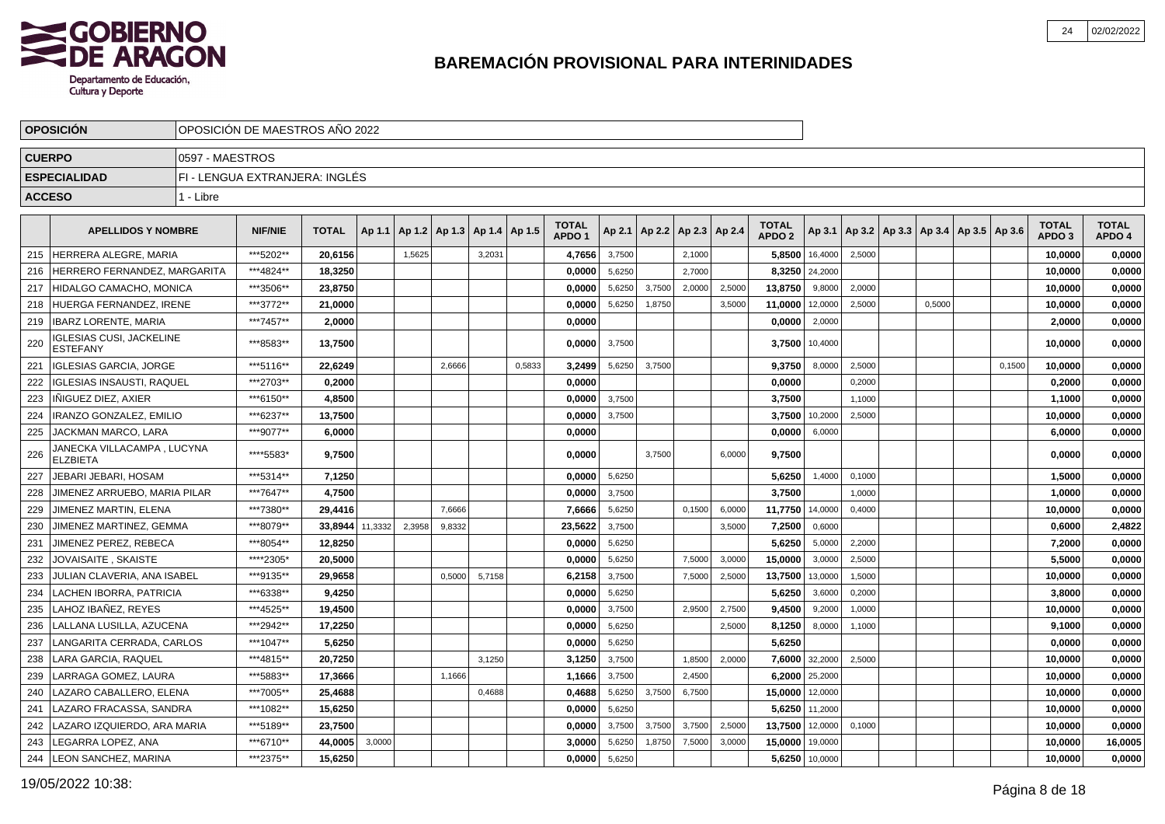

|               | <b>OPOSICION</b>                                   | OPOSICION DE MAESTROS ANO 2022 |                                |              |         |        |                          |        |        |                                   |        |        |                          |        |                                   |                |                                                     |        |        |                                   |                        |
|---------------|----------------------------------------------------|--------------------------------|--------------------------------|--------------|---------|--------|--------------------------|--------|--------|-----------------------------------|--------|--------|--------------------------|--------|-----------------------------------|----------------|-----------------------------------------------------|--------|--------|-----------------------------------|------------------------|
| <b>CUERPO</b> |                                                    | 0597 - MAESTROS                |                                |              |         |        |                          |        |        |                                   |        |        |                          |        |                                   |                |                                                     |        |        |                                   |                        |
|               | <b>ESPECIALIDAD</b>                                |                                | FI - LENGUA EXTRANJERA: INGLÉS |              |         |        |                          |        |        |                                   |        |        |                          |        |                                   |                |                                                     |        |        |                                   |                        |
| <b>ACCESO</b> |                                                    | 1 - Libre                      |                                |              |         |        |                          |        |        |                                   |        |        |                          |        |                                   |                |                                                     |        |        |                                   |                        |
|               |                                                    |                                |                                |              |         |        |                          |        |        |                                   |        |        |                          |        |                                   |                |                                                     |        |        |                                   |                        |
|               | <b>APELLIDOS Y NOMBRE</b>                          |                                | <b>NIF/NIE</b>                 | <b>TOTAL</b> | Ap 1.1  |        | Ap 1.2   Ap 1.3   Ap 1.4 |        | Ap 1.5 | <b>TOTAL</b><br>APDO <sub>1</sub> | Ap 2.1 |        | Ap 2.2   Ap 2.3   Ap 2.4 |        | <b>TOTAL</b><br>APDO <sub>2</sub> |                | Ap 3.1   Ap 3.2   Ap 3.3   Ap 3.4   Ap 3.5   Ap 3.6 |        |        | <b>TOTAL</b><br>APDO <sub>3</sub> | <b>TOTAL</b><br>APDO 4 |
| 215           | HERRERA ALEGRE, MARIA                              |                                | ***5202**                      | 20,6156      |         | 1,5625 |                          | 3,2031 |        | 4,7656                            | 3,7500 |        | 2,1000                   |        | 5,8500                            | 16,4000        | 2,5000                                              |        |        | 10,0000                           | 0,0000                 |
| 216           | HERRERO FERNANDEZ, MARGARITA                       |                                | ***4824**                      | 18,3250      |         |        |                          |        |        | 0,0000                            | 5,6250 |        | 2,7000                   |        | 8,3250                            | 24,2000        |                                                     |        |        | 10,0000                           | 0,0000                 |
| 217           | HIDALGO CAMACHO, MONICA                            |                                | ***3506**                      | 23,8750      |         |        |                          |        |        | 0,0000                            | 5,6250 | 3,7500 | 2,0000                   | 2,5000 | 13,8750                           | 9,8000         | 2,0000                                              |        |        | 10,0000                           | 0,0000                 |
| 218           | HUERGA FERNANDEZ, IRENE                            |                                | ***3772**                      | 21,0000      |         |        |                          |        |        | 0,0000                            | 5,6250 | 1,8750 |                          | 3,5000 | 11,0000                           | 12,0000        | 2,5000                                              | 0.5000 |        | 10,0000                           | 0,0000                 |
| 219           | IBARZ LORENTE. MARIA                               |                                | ***7457**                      | 2.0000       |         |        |                          |        |        | 0.0000                            |        |        |                          |        | 0,0000                            | 2,0000         |                                                     |        |        | 2.0000                            | 0,0000                 |
| 220           | <b>IGLESIAS CUSI, JACKELINE</b><br><b>ESTEFANY</b> |                                | ***8583**                      | 13,7500      |         |        |                          |        |        | 0,0000                            | 3,7500 |        |                          |        | 3,7500                            | 10,4000        |                                                     |        |        | 10,0000                           | 0,0000                 |
| 221           | <b>IGLESIAS GARCIA, JORGE</b>                      |                                | ***5116**                      | 22.6249      |         |        | 2,6666                   |        | 0,5833 | 3.2499                            | 5,6250 | 3,7500 |                          |        | 9.3750                            | 8,0000         | 2,5000                                              |        | 0,1500 | 10,0000                           | 0,0000                 |
| 222           | <b>IGLESIAS INSAUSTI, RAQUEL</b>                   |                                | ***2703**                      | 0,2000       |         |        |                          |        |        | 0.0000                            |        |        |                          |        | 0,0000                            |                | 0.2000                                              |        |        | 0,2000                            | 0,0000                 |
| 223           | IÑIGUEZ DIEZ, AXIER                                |                                | ***6150**                      | 4,8500       |         |        |                          |        |        | 0,0000                            | 3,7500 |        |                          |        | 3,7500                            |                | 1,1000                                              |        |        | 1,1000                            | 0,0000                 |
| 224           | IRANZO GONZALEZ, EMILIO                            |                                | ***6237**                      | 13,7500      |         |        |                          |        |        | 0,0000                            | 3,7500 |        |                          |        | 3,7500                            | 10,2000        | 2,5000                                              |        |        | 10,0000                           | 0,0000                 |
| 225           | JACKMAN MARCO, LARA                                |                                | ***9077**                      | 6,0000       |         |        |                          |        |        | 0,0000                            |        |        |                          |        | 0,0000                            | 6,0000         |                                                     |        |        | 6,0000                            | 0,0000                 |
| 226           | JANECKA VILLACAMPA , LUCYNA<br><b>ELZBIETA</b>     |                                | ****5583*                      | 9,7500       |         |        |                          |        |        | 0.0000                            |        | 3,7500 |                          | 6.0000 | 9,7500                            |                |                                                     |        |        | 0,0000                            | 0,0000                 |
| 227           | JEBARI JEBARI, HOSAM                               |                                | ***5314**                      | 7,1250       |         |        |                          |        |        | 0,0000                            | 5,6250 |        |                          |        | 5,6250                            | 1,4000         | 0,1000                                              |        |        | 1,5000                            | 0,0000                 |
| 228           | JIMENEZ ARRUEBO, MARIA PILAR                       |                                | ***7647**                      | 4,7500       |         |        |                          |        |        | 0,0000                            | 3,7500 |        |                          |        | 3,7500                            |                | 1,0000                                              |        |        | 1,0000                            | 0,0000                 |
| 229           | JIMENEZ MARTIN, ELENA                              |                                | ***7380**                      | 29,4416      |         |        | 7,6666                   |        |        | 7,6666                            | 5,6250 |        | 0,1500                   | 6,0000 | 11,7750                           | 14,0000        | 0,4000                                              |        |        | 10,0000                           | 0,0000                 |
| 230           | JIMENEZ MARTINEZ, GEMMA                            |                                | ***8079**                      | 33,8944      | 11,3332 | 2,3958 | 9,8332                   |        |        | 23,5622                           | 3,7500 |        |                          | 3,5000 | 7,2500                            | 0,6000         |                                                     |        |        | 0,6000                            | 2,4822                 |
| 231           | JIMENEZ PEREZ. REBECA                              |                                | ***8054**                      | 12.8250      |         |        |                          |        |        | 0,0000                            | 5,6250 |        |                          |        | 5,6250                            | 5,0000         | 2,2000                                              |        |        | 7,2000                            | 0,0000                 |
| 232           | JOVAISAITE, SKAISTE                                |                                | *****2305*                     | 20,5000      |         |        |                          |        |        | 0.0000                            | 5,6250 |        | 7,5000                   | 3,0000 | 15,0000                           | 3,0000         | 2,5000                                              |        |        | 5.5000                            | 0,0000                 |
| 233           | JULIAN CLAVERIA, ANA ISABEL                        |                                | ***9135**                      | 29,9658      |         |        | 0,5000                   | 5,7158 |        | 6,2158                            | 3,7500 |        | 7,5000                   | 2,5000 | 13,7500                           | 13,0000        | 1,5000                                              |        |        | 10,0000                           | 0,0000                 |
| 234           | LACHEN IBORRA, PATRICIA                            |                                | ***6338**                      | 9,4250       |         |        |                          |        |        | 0,0000                            | 5,6250 |        |                          |        | 5,6250                            | 3,6000         | 0,2000                                              |        |        | 3,8000                            | 0,0000                 |
| 235           | LAHOZ IBAÑEZ. REYES                                |                                | ***4525**                      | 19,4500      |         |        |                          |        |        | 0,0000                            | 3,7500 |        | 2,9500                   | 2,7500 | 9,4500                            | 9,2000         | 1,0000                                              |        |        | 10,0000                           | 0,0000                 |
| 236           | LALLANA LUSILLA, AZUCENA                           |                                | ***2942**                      | 17,2250      |         |        |                          |        |        | 0,0000                            | 5,6250 |        |                          | 2,5000 | 8,1250                            | 8,0000         | 1,1000                                              |        |        | 9,1000                            | 0,0000                 |
| 237           | LANGARITA CERRADA, CARLOS                          |                                | ***1047**                      | 5,6250       |         |        |                          |        |        | 0,0000                            | 5,6250 |        |                          |        | 5,6250                            |                |                                                     |        |        | 0,0000                            | 0,0000                 |
| 238           | LARA GARCIA, RAQUEL                                |                                | ***4815**                      | 20.7250      |         |        |                          | 3.1250 |        | 3.1250                            | 3,7500 |        | 1,8500                   | 2,0000 | 7.6000                            | 32,2000        | 2,5000                                              |        |        | 10,0000                           | 0,0000                 |
| 239           | LARRAGA GOMEZ. LAURA                               |                                | ***5883**                      | 17.3666      |         |        | 1,1666                   |        |        | 1,1666                            | 3,7500 |        | 2,4500                   |        |                                   | 6,2000 25,2000 |                                                     |        |        | 10,0000                           | 0,0000                 |
| 240           | LAZARO CABALLERO, ELENA                            |                                | ***7005**                      | 25,4688      |         |        |                          | 0,4688 |        | 0,4688                            | 5,6250 | 3,7500 | 6,7500                   |        | 15,0000                           | 12,0000        |                                                     |        |        | 10,0000                           | 0,0000                 |
| 241           | LAZARO FRACASSA, SANDRA                            |                                | ***1082**                      | 15,6250      |         |        |                          |        |        | 0,0000                            | 5,6250 |        |                          |        | 5,6250                            | 11,2000        |                                                     |        |        | 10,0000                           | 0,0000                 |
| 242           | LAZARO IZQUIERDO, ARA MARIA                        |                                | ***5189**                      | 23,7500      |         |        |                          |        |        | 0,0000                            | 3,7500 | 3,7500 | 3,7500                   | 2,5000 | 13,7500                           | 12,0000        | 0,1000                                              |        |        | 10,0000                           | 0,0000                 |
| 243           | LEGARRA LOPEZ, ANA                                 |                                | ***6710**                      | 44,0005      | 3,0000  |        |                          |        |        | 3,0000                            | 5,6250 | 1,8750 | 7,5000                   | 3,0000 | 15,0000                           | 19,0000        |                                                     |        |        | 10,0000                           | 16,0005                |
| 244           | LEON SANCHEZ, MARINA                               |                                | ***2375**                      | 15,6250      |         |        |                          |        |        | 0,0000                            | 5,6250 |        |                          |        |                                   | 5,6250 10,0000 |                                                     |        |        | 10,0000                           | 0,0000                 |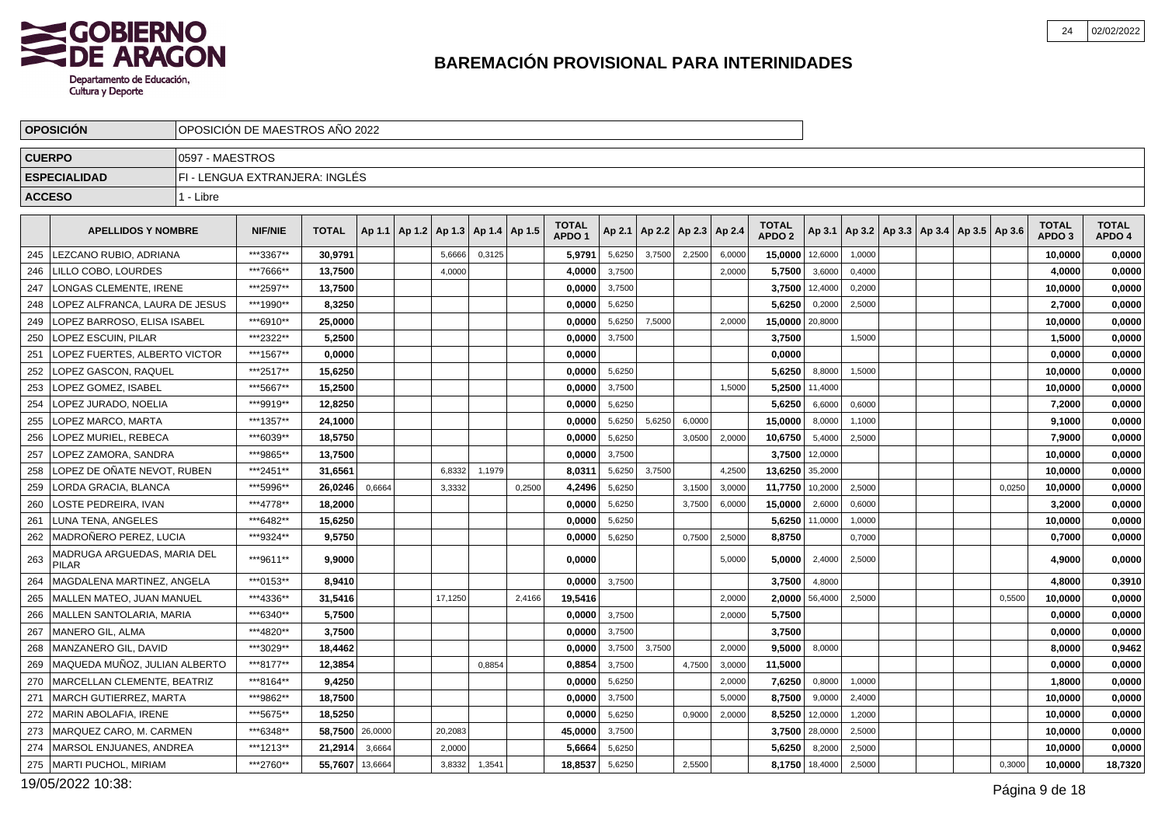

|               | <b>OPOSICION</b>                            | OPOSICIÓN DE MAESTROS AÑO 2022 |                                |                 |         |                          |         |                 |        |                                   |        |                          |        |        |                                   |                |        |                                                     |        |                                   |                        |
|---------------|---------------------------------------------|--------------------------------|--------------------------------|-----------------|---------|--------------------------|---------|-----------------|--------|-----------------------------------|--------|--------------------------|--------|--------|-----------------------------------|----------------|--------|-----------------------------------------------------|--------|-----------------------------------|------------------------|
|               | <b>CUERPO</b>                               | 0597 - MAESTROS                |                                |                 |         |                          |         |                 |        |                                   |        |                          |        |        |                                   |                |        |                                                     |        |                                   |                        |
|               | <b>ESPECIALIDAD</b>                         |                                | FI - LENGUA EXTRANJERA: INGLES |                 |         |                          |         |                 |        |                                   |        |                          |        |        |                                   |                |        |                                                     |        |                                   |                        |
| <b>ACCESO</b> |                                             | 1 - Libre                      |                                |                 |         |                          |         |                 |        |                                   |        |                          |        |        |                                   |                |        |                                                     |        |                                   |                        |
|               | <b>APELLIDOS Y NOMBRE</b>                   |                                | <b>NIF/NIE</b>                 | <b>TOTAL</b>    |         | Ap 1.1   Ap 1.2   Ap 1.3 |         | Ap 1.4   Ap 1.5 |        | <b>TOTAL</b><br>APDO <sub>1</sub> | Ap 2.1 | Ap 2.2   Ap 2.3   Ap 2.4 |        |        | <b>TOTAL</b><br>APDO <sub>2</sub> |                |        | Ap 3.1   Ap 3.2   Ap 3.3   Ap 3.4   Ap 3.5   Ap 3.6 |        | <b>TOTAL</b><br>APDO <sub>3</sub> | <b>TOTAL</b><br>APDO 4 |
|               | 245 LEZCANO RUBIO, ADRIANA                  |                                | ***3367**                      | 30.9791         |         |                          | 5,6666  | 0,3125          |        | 5,9791                            | 5,6250 | 3,7500                   | 2,2500 | 6,0000 | 15,0000 12,6000                   |                | 1,0000 |                                                     |        | 10,0000                           | 0,0000                 |
| 246           | LILLO COBO, LOURDES                         |                                | ***7666**                      | 13,7500         |         |                          | 4,0000  |                 |        | 4,0000                            | 3,7500 |                          |        | 2.0000 | 5,7500                            | 3,6000         | 0,4000 |                                                     |        | 4,0000                            | 0,0000                 |
| 247           | <b>LONGAS CLEMENTE, IRENE</b>               |                                | ***2597**                      | 13,7500         |         |                          |         |                 |        | 0,0000                            | 3,7500 |                          |        |        | 3,7500                            | 12,4000        | 0,2000 |                                                     |        | 10,0000                           | 0,0000                 |
| 248           | LOPEZ ALFRANCA. LAURA DE JESUS              |                                | ***1990**                      | 8,3250          |         |                          |         |                 |        | 0.0000                            | 5,6250 |                          |        |        | 5,6250                            | 0,2000         | 2,5000 |                                                     |        | 2,7000                            | 0,0000                 |
| 249           | LOPEZ BARROSO, ELISA ISABEL                 |                                | ***6910**                      | 25,0000         |         |                          |         |                 |        | 0,0000                            | 5,6250 | 7,5000                   |        | 2,0000 | 15,0000 20,8000                   |                |        |                                                     |        | 10,0000                           | 0,0000                 |
| 250           | <b>LOPEZ ESCUIN. PILAR</b>                  |                                | ***2322**                      | 5,2500          |         |                          |         |                 |        | 0,0000                            | 3,7500 |                          |        |        | 3,7500                            |                | 1,5000 |                                                     |        | 1,5000                            | 0,0000                 |
| 251           | OPEZ FUERTES, ALBERTO VICTOR                |                                | ***1567**                      | 0,0000          |         |                          |         |                 |        | 0,0000                            |        |                          |        |        | 0,0000                            |                |        |                                                     |        | 0,0000                            | 0,0000                 |
| 252           | OPEZ GASCON, RAQUEL                         |                                | ***2517**                      | 15,6250         |         |                          |         |                 |        | 0.0000                            | 5,6250 |                          |        |        | 5,6250                            | 8,8000         | 1,5000 |                                                     |        | 10,0000                           | 0,0000                 |
| 253           | <b>LOPEZ GOMEZ, ISABEL</b>                  |                                | ***5667**                      | 15,2500         |         |                          |         |                 |        | 0,0000                            | 3,7500 |                          |        | 1.5000 | 5,2500                            | 11,4000        |        |                                                     |        | 10,0000                           | 0,0000                 |
| 254           | LOPEZ JURADO, NOELIA                        |                                | ***9919**                      | 12,8250         |         |                          |         |                 |        | 0.0000                            | 5,6250 |                          |        |        | 5,6250                            | 6,6000         | 0,6000 |                                                     |        | 7,2000                            | 0,0000                 |
| 255           | LOPEZ MARCO, MARTA                          |                                | ***1357**                      | 24.1000         |         |                          |         |                 |        | 0.0000                            | 5,6250 | 5,6250                   | 6,0000 |        | 15.0000                           | 8,0000         | 1,1000 |                                                     |        | 9.1000                            | 0,0000                 |
| 256           | LOPEZ MURIEL, REBECA                        |                                | ***6039**                      | 18,5750         |         |                          |         |                 |        | 0,0000                            | 5,6250 |                          | 3,0500 | 2,0000 | 10,6750                           | 5,4000         | 2,5000 |                                                     |        | 7,9000                            | 0,0000                 |
| 257           | LOPEZ ZAMORA, SANDRA                        |                                | ***9865**                      | 13,7500         |         |                          |         |                 |        | 0,0000                            | 3,7500 |                          |        |        |                                   | 3,7500 12,0000 |        |                                                     |        | 10,0000                           | 0,0000                 |
| 258           | LOPEZ DE OÑATE NEVOT, RUBEN                 |                                | ***2451**                      | 31,6561         |         |                          | 6,8332  | 1,1979          |        | 8,0311                            | 5,6250 | 3,7500                   |        | 4,2500 | 13,6250 35,2000                   |                |        |                                                     |        | 10,0000                           | 0,0000                 |
| 259           | LORDA GRACIA, BLANCA                        |                                | ***5996**                      | 26,0246         | 0,6664  |                          | 3,3332  |                 | 0,2500 | 4,2496                            | 5,6250 |                          | 3,1500 | 3,0000 | 11,7750                           | 10,2000        | 2,5000 |                                                     | 0,0250 | 10,0000                           | 0,0000                 |
| 260           | LOSTE PEDREIRA. IVAN                        |                                | ***4778**                      | 18.2000         |         |                          |         |                 |        | 0.0000                            | 5,6250 |                          | 3,7500 | 6,0000 | 15,0000                           | 2,6000         | 0,6000 |                                                     |        | 3,2000                            | 0,0000                 |
| 261           | LUNA TENA, ANGELES                          |                                | ***6482**                      | 15,6250         |         |                          |         |                 |        | 0,0000                            | 5,6250 |                          |        |        | 5,6250                            | 11,0000        | 1,0000 |                                                     |        | 10,0000                           | 0,0000                 |
| 262           | MADROÑERO PEREZ. LUCIA                      |                                | ***9324**                      | 9,5750          |         |                          |         |                 |        | 0.0000                            | 5,6250 |                          | 0,7500 | 2,5000 | 8,8750                            |                | 0,7000 |                                                     |        | 0,7000                            | 0,0000                 |
| 263           | MADRUGA ARGUEDAS, MARIA DEL<br><b>PILAR</b> |                                | ***9611**                      | 9,9000          |         |                          |         |                 |        | 0,0000                            |        |                          |        | 5,0000 | 5,0000                            | 2,4000         | 2,5000 |                                                     |        | 4,9000                            | 0,0000                 |
| 264           | MAGDALENA MARTINEZ. ANGELA                  |                                | ***0153**                      | 8,9410          |         |                          |         |                 |        | 0.0000                            | 3,7500 |                          |        |        | 3,7500                            | 4,8000         |        |                                                     |        | 4,8000                            | 0,3910                 |
| 265           | MALLEN MATEO, JUAN MANUEL                   |                                | ***4336**                      | 31,5416         |         |                          | 17,1250 |                 | 2,4166 | 19,5416                           |        |                          |        | 2,0000 | 2,0000                            | 56,4000        | 2,5000 |                                                     | 0,5500 | 10,0000                           | 0,0000                 |
| 266           | MALLEN SANTOLARIA, MARIA                    |                                | ***6340**                      | 5,7500          |         |                          |         |                 |        | 0,0000                            | 3,7500 |                          |        | 2,0000 | 5,7500                            |                |        |                                                     |        | 0,0000                            | 0,0000                 |
| 267           | l MANERO GIL. ALMA                          |                                | ***4820**                      | 3.7500          |         |                          |         |                 |        | 0.0000                            | 3,7500 |                          |        |        | 3.7500                            |                |        |                                                     |        | 0.0000                            | 0,0000                 |
| 268           | MANZANERO GIL, DAVID                        |                                | ***3029**                      | 18,4462         |         |                          |         |                 |        | 0,0000                            | 3,7500 | 3,7500                   |        | 2.0000 | 9,5000                            | 8,0000         |        |                                                     |        | 8,0000                            | 0,9462                 |
| 269           | MAQUEDA MUÑOZ, JULIAN ALBERTO               |                                | ***8177**                      | 12,3854         |         |                          |         | 0,8854          |        | 0.8854                            | 3,7500 |                          | 4,7500 | 3,0000 | 11,5000                           |                |        |                                                     |        | 0.0000                            | 0,0000                 |
| 270           | MARCELLAN CLEMENTE, BEATRIZ                 |                                | ***8164**                      | 9,4250          |         |                          |         |                 |        | 0,0000                            | 5,6250 |                          |        | 2,0000 | 7,6250                            | 0,8000         | 1,0000 |                                                     |        | 1,8000                            | 0,0000                 |
| 271           | MARCH GUTIERREZ, MARTA                      |                                | ***9862**                      | 18,7500         |         |                          |         |                 |        | 0,0000                            | 3,7500 |                          |        | 5.0000 | 8,7500                            | 9,0000         | 2,4000 |                                                     |        | 10,0000                           | 0,0000                 |
| 272           | MARIN ABOLAFIA, IRENE                       |                                | ***5675**                      | 18,5250         |         |                          |         |                 |        | 0,0000                            | 5,6250 |                          | 0,9000 | 2,0000 | 8,5250                            | 12,0000        | 1,2000 |                                                     |        | 10,0000                           | 0,0000                 |
| 273           | MARQUEZ CARO, M. CARMEN                     |                                | ***6348**                      | 58,7500 26,0000 |         |                          | 20,2083 |                 |        | 45,0000                           | 3,7500 |                          |        |        |                                   | 3,7500 28,0000 | 2,5000 |                                                     |        | 10,0000                           | 0,0000                 |
| 274           | MARSOL ENJUANES, ANDREA                     |                                | ***1213**                      | 21,2914         | 3,6664  |                          | 2,0000  |                 |        | 5.6664                            | 5,6250 |                          |        |        | 5,6250                            | 8,2000         | 2,5000 |                                                     |        | 10,0000                           | 0,0000                 |
|               | 275   MARTI PUCHOL, MIRIAM                  |                                | ***2760**                      | 55,7607         | 13,6664 |                          | 3,8332  | 1,3541          |        | 18,8537                           | 5,6250 |                          | 2,5500 |        |                                   | 8,1750 18,4000 | 2,5000 |                                                     | 0,3000 | 10,0000                           | 18,7320                |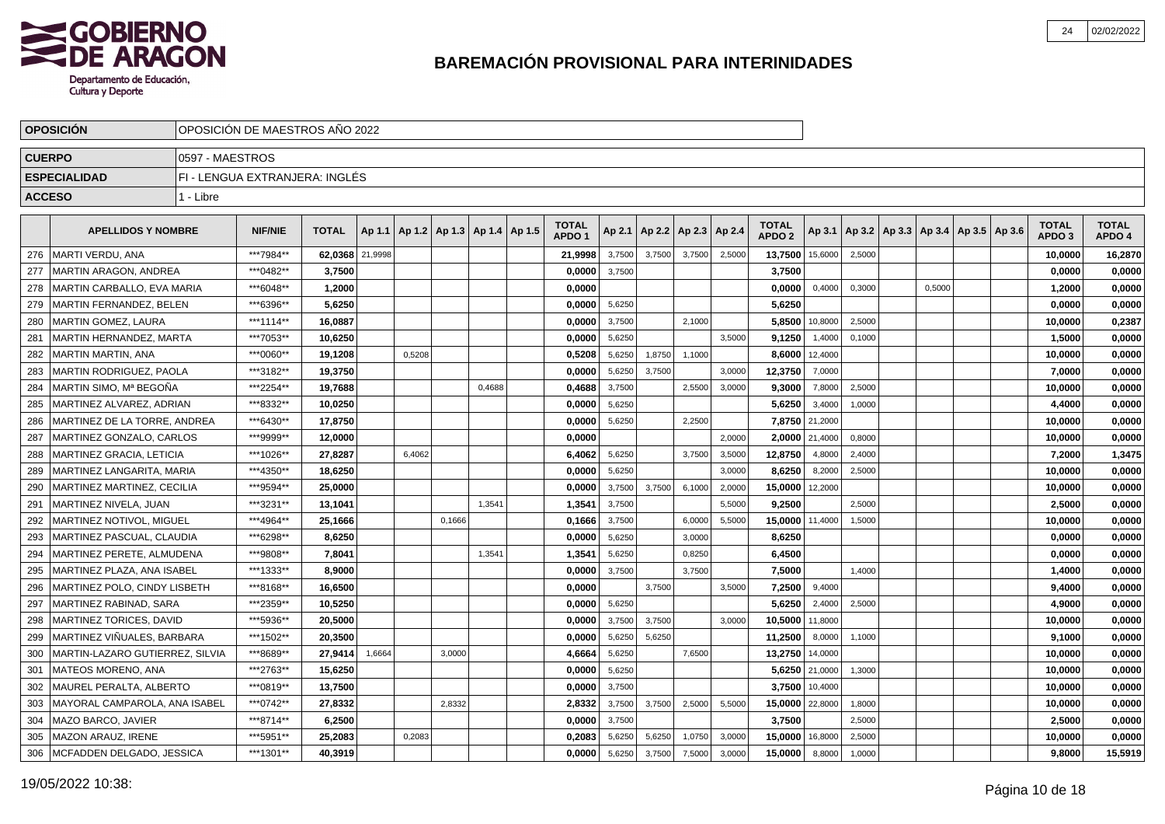

|               | <b>OPOSICION</b>                |                 | OPOSICION DE MAESTROS ANO 2022 |              |         |        |                                   |        |                                   |        |        |                          |        |                                   |                |        |        |                                            |                                   |                        |
|---------------|---------------------------------|-----------------|--------------------------------|--------------|---------|--------|-----------------------------------|--------|-----------------------------------|--------|--------|--------------------------|--------|-----------------------------------|----------------|--------|--------|--------------------------------------------|-----------------------------------|------------------------|
| <b>CUERPO</b> |                                 | 0597 - MAESTROS |                                |              |         |        |                                   |        |                                   |        |        |                          |        |                                   |                |        |        |                                            |                                   |                        |
|               | <b>ESPECIALIDAD</b>             |                 | FI - LENGUA EXTRANJERA: INGLÉS |              |         |        |                                   |        |                                   |        |        |                          |        |                                   |                |        |        |                                            |                                   |                        |
|               | <b>ACCESO</b>                   | 1 - Libre       |                                |              |         |        |                                   |        |                                   |        |        |                          |        |                                   |                |        |        |                                            |                                   |                        |
|               | <b>APELLIDOS Y NOMBRE</b>       |                 | <b>NIF/NIE</b>                 | <b>TOTAL</b> | Ap 1.1  |        | Ap 1.2   Ap 1.3   Ap 1.4   Ap 1.5 |        | <b>TOTAL</b><br>APDO <sub>1</sub> | Ap 2.1 |        | Ap 2.2   Ap 2.3   Ap 2.4 |        | <b>TOTAL</b><br>APDO <sub>2</sub> | Ap 3.1         |        |        | Ap 3.2   Ap 3.3   Ap 3.4   Ap 3.5   Ap 3.6 | <b>TOTAL</b><br>APDO <sub>3</sub> | <b>TOTAL</b><br>APDO 4 |
| 276           | <b>MARTI VERDU, ANA</b>         |                 | ***7984**                      | 62,0368      | 21,9998 |        |                                   |        | 21.9998                           | 3,7500 | 3.7500 | 3,7500                   | 2,5000 | 13,7500                           | 15,6000        | 2,5000 |        |                                            | 10,0000                           | 16,2870                |
| 277           | MARTIN ARAGON, ANDREA           |                 | ***0482**                      | 3,7500       |         |        |                                   |        | 0,0000                            | 3,7500 |        |                          |        | 3,7500                            |                |        |        |                                            | 0,0000                            | 0,0000                 |
| 278           | MARTIN CARBALLO, EVA MARIA      |                 | ***6048**                      | 1,2000       |         |        |                                   |        | 0,0000                            |        |        |                          |        | 0,0000                            | 0,4000         | 0,3000 | 0,5000 |                                            | 1,2000                            | 0,0000                 |
| 279           | MARTIN FERNANDEZ, BELEN         |                 | ***6396**                      | 5,6250       |         |        |                                   |        | 0,0000                            | 5,6250 |        |                          |        | 5,6250                            |                |        |        |                                            | 0,0000                            | 0,0000                 |
| 280           | MARTIN GOMEZ, LAURA             |                 | ***1114**                      | 16,0887      |         |        |                                   |        | 0,0000                            | 3,7500 |        | 2,1000                   |        | 5,8500                            | 10,8000        | 2,5000 |        |                                            | 10,0000                           | 0,2387                 |
| 281           | MARTIN HERNANDEZ, MARTA         |                 | ***7053**                      | 10.6250      |         |        |                                   |        | 0.0000                            | 5,6250 |        |                          | 3.5000 | 9.1250                            | 1,4000         | 0.1000 |        |                                            | 1.5000                            | 0,0000                 |
| 282           | <b>MARTIN MARTIN, ANA</b>       |                 | ***0060**                      | 19.1208      |         | 0,5208 |                                   |        | 0,5208                            | 5,6250 | 1,8750 | 1,1000                   |        | 8,6000                            | 12,4000        |        |        |                                            | 10,0000                           | 0,0000                 |
| 283           | MARTIN RODRIGUEZ, PAOLA         |                 | ***3182**                      | 19,3750      |         |        |                                   |        | 0,0000                            | 5,6250 | 3,7500 |                          | 3,0000 | 12,3750                           | 7,0000         |        |        |                                            | 7,0000                            | 0,0000                 |
| 284           | MARTIN SIMO. Mª BEGOÑA          |                 | ***2254**                      | 19,7688      |         |        |                                   | 0,4688 | 0,4688                            | 3,7500 |        | 2,5500                   | 3,0000 | 9,3000                            | 7,8000         | 2,5000 |        |                                            | 10,0000                           | 0,0000                 |
| 285           | MARTINEZ ALVAREZ, ADRIAN        |                 | ***8332**                      | 10,0250      |         |        |                                   |        | 0,0000                            | 5,6250 |        |                          |        | 5,6250                            | 3,4000         | 1,0000 |        |                                            | 4,4000                            | 0,0000                 |
| 286           | MARTINEZ DE LA TORRE, ANDREA    |                 | ***6430**                      | 17,8750      |         |        |                                   |        | 0,0000                            | 5,6250 |        | 2,2500                   |        |                                   | 7,8750 21,2000 |        |        |                                            | 10,0000                           | 0,0000                 |
| 287           | MARTINEZ GONZALO, CARLOS        |                 | ***9999**                      | 12,0000      |         |        |                                   |        | 0,0000                            |        |        |                          | 2.0000 |                                   | 2,0000 21,4000 | 0,8000 |        |                                            | 10,0000                           | 0,0000                 |
| 288           | <b>MARTINEZ GRACIA, LETICIA</b> |                 | ***1026**                      | 27,8287      |         | 6.4062 |                                   |        | 6,4062                            | 5,6250 |        | 3,7500                   | 3,5000 | 12,8750                           | 4,8000         | 2,4000 |        |                                            | 7,2000                            | 1,3475                 |
| 289           | MARTINEZ LANGARITA, MARIA       |                 | ***4350**                      | 18.6250      |         |        |                                   |        | 0,0000                            | 5,6250 |        |                          | 3,0000 | 8,6250                            | 8,2000         | 2,5000 |        |                                            | 10,0000                           | 0,0000                 |
| 290           | MARTINEZ MARTINEZ, CECILIA      |                 | ***9594**                      | 25,0000      |         |        |                                   |        | 0,0000                            | 3,7500 | 3,7500 | 6,1000                   | 2,0000 | 15,0000                           | 12,2000        |        |        |                                            | 10,0000                           | 0,0000                 |
| 291           | MARTINEZ NIVELA, JUAN           |                 | ***3231**                      | 13,1041      |         |        |                                   | 1,3541 | 1,354'                            | 3,7500 |        |                          | 5,5000 | 9,2500                            |                | 2,5000 |        |                                            | 2,5000                            | 0,0000                 |
| 292           | MARTINEZ NOTIVOL. MIGUEL        |                 | ***4964**                      | 25,1666      |         |        | 0,1666                            |        | 0,1666                            | 3,7500 |        | 6,0000                   | 5,5000 | 15,0000                           | 11,4000        | 1,5000 |        |                                            | 10,0000                           | 0,0000                 |
| 293           | MARTINEZ PASCUAL. CLAUDIA       |                 | ***6298**                      | 8,6250       |         |        |                                   |        | 0.0000                            | 5,6250 |        | 3,0000                   |        | 8,6250                            |                |        |        |                                            | 0,0000                            | 0,0000                 |
| 294           | MARTINEZ PERETE, ALMUDENA       |                 | ***9808**                      | 7.8041       |         |        |                                   | 1,3541 | 1,3541                            | 5,6250 |        | 0,8250                   |        | 6,4500                            |                |        |        |                                            | 0,0000                            | 0,0000                 |
| 295           | MARTINEZ PLAZA, ANA ISABEL      |                 | ***1333**                      | 8,9000       |         |        |                                   |        | 0,0000                            | 3,7500 |        | 3,7500                   |        | 7,5000                            |                | 1,4000 |        |                                            | 1,4000                            | 0,0000                 |
| 296           | MARTINEZ POLO, CINDY LISBETH    |                 | ***8168**                      | 16,6500      |         |        |                                   |        | 0,0000                            |        | 3,7500 |                          | 3,5000 | 7,2500                            | 9,4000         |        |        |                                            | 9,4000                            | 0,0000                 |
| 297           | MARTINEZ RABINAD, SARA          |                 | ***2359**                      | 10,5250      |         |        |                                   |        | 0,0000                            | 5,6250 |        |                          |        | 5,6250                            | 2,4000         | 2,5000 |        |                                            | 4,9000                            | 0,0000                 |
| 298           | MARTINEZ TORICES, DAVID         |                 | ***5936**                      | 20,5000      |         |        |                                   |        | 0,0000                            | 3,7500 | 3,7500 |                          | 3,0000 | 10,5000                           | 11,8000        |        |        |                                            | 10,0000                           | 0,0000                 |
| 299           | MARTINEZ VIÑUALES, BARBARA      |                 | ***1502**                      | 20.3500      |         |        |                                   |        | 0.0000                            | 5,6250 | 5,6250 |                          |        | 11,2500                           | 8,0000         | 1,1000 |        |                                            | 9.1000                            | 0,0000                 |
| 300           | MARTIN-LAZARO GUTIERREZ, SILVIA |                 | ***8689**                      | 27.9414      | 1,6664  |        | 3,0000                            |        | 4,6664                            | 5,6250 |        | 7,6500                   |        | 13,2750                           | 14,0000        |        |        |                                            | 10,0000                           | 0,0000                 |
| 301           | <b>MATEOS MORENO, ANA</b>       |                 | ***2763**                      | 15,6250      |         |        |                                   |        | 0,0000                            | 5,6250 |        |                          |        |                                   | 5,6250 21,0000 | 1,3000 |        |                                            | 10,0000                           | 0,0000                 |
| 302           | MAUREL PERALTA, ALBERTO         |                 | ***0819**                      | 13,7500      |         |        |                                   |        | 0,0000                            | 3,7500 |        |                          |        | 3,7500                            | 10,4000        |        |        |                                            | 10,0000                           | 0,0000                 |
| 303           | MAYORAL CAMPAROLA, ANA ISABEL   |                 | ***0742**                      | 27,8332      |         |        | 2,8332                            |        | 2,8332                            | 3,7500 | 3,7500 | 2,5000                   | 5,5000 | 15,0000                           | 22,8000        | 1,8000 |        |                                            | 10,0000                           | 0,0000                 |
| 304           | MAZO BARCO, JAVIER              |                 | ***8714**                      | 6,2500       |         |        |                                   |        | 0,0000                            | 3,7500 |        |                          |        | 3,7500                            |                | 2,5000 |        |                                            | 2,5000                            | 0,0000                 |
| 305           | <b>MAZON ARAUZ, IRENE</b>       |                 | ***5951**                      | 25,2083      |         | 0.2083 |                                   |        | 0.2083                            | 5,6250 | 5,6250 | 1,0750                   | 3,0000 | 15,0000                           | 16,8000        | 2,5000 |        |                                            | 10,0000                           | 0,0000                 |
| 306           | MCFADDEN DELGADO, JESSICA       |                 | ***1301**                      | 40,3919      |         |        |                                   |        | 0,0000                            | 5,6250 | 3,7500 | 7,5000                   | 3,0000 | 15,0000                           | 8,8000         | 1,0000 |        |                                            | 9,8000                            | 15,5919                |

Página 10 de 18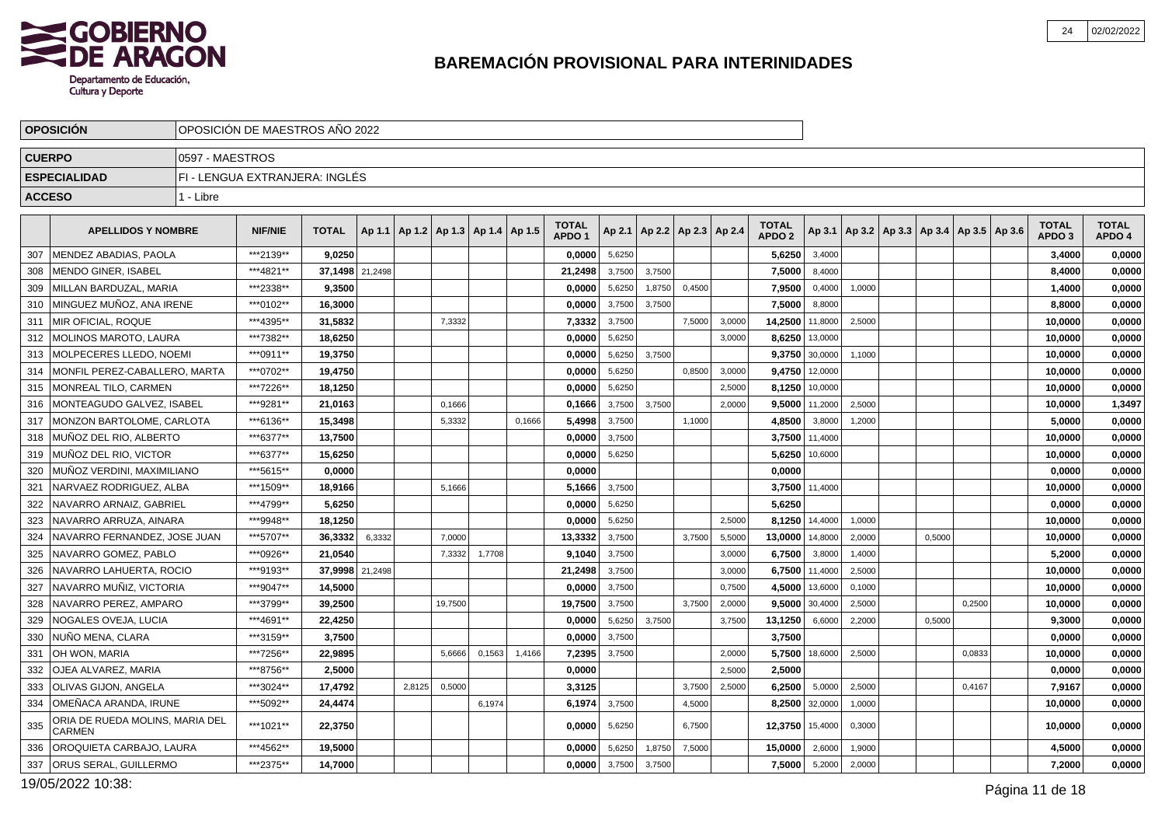

| <b>CUERPO</b><br>0597 - MAESTROS<br><b>ESPECIALIDAD</b><br>FI - LENGUA EXTRANJERA: INGLÉS<br><b>ACCESO</b><br>1 - Libre<br><b>TOTAL</b><br><b>TOTAL</b><br><b>TOTAL</b><br><b>APELLIDOS Y NOMBRE</b><br><b>NIF/NIE</b><br><b>TOTAL</b><br>Ap 1.1   Ap 1.2   Ap 1.3   Ap 1.4   Ap 1.5<br>Ap 2.1   Ap 2.2   Ap 2.3   Ap 2.4<br>Ap 3.1   Ap 3.2   Ap 3.3   Ap 3.4   Ap 3.5   Ap 3.6<br>APDO <sub>2</sub><br>APDO <sub>1</sub><br>APDO <sub>3</sub><br>MENDEZ ABADIAS, PAOLA<br>***2139**<br>9,0250<br>0,0000<br>5,6250<br>5,6250<br>3,4000<br>307<br>3,4000<br>***4821**<br>308<br>MENDO GINER, ISABEL<br>37,1498 21,2498<br>21,2498<br>3,7500<br>3,7500<br>7,5000<br>8,4000<br>8,4000<br>***2338**<br>9.3500<br>309<br><b>IMILLAN BARDUZAL, MARIA</b><br>0.0000<br>5,6250<br>1,8750<br>0,4500<br>7,9500<br>0,4000<br>1,0000<br>1.4000<br>MINGUEZ MUÑOZ, ANA IRENE<br>***0102**<br>8,8000<br>310<br>16,3000<br>0,0000<br>3,7500<br>3.7500<br>7,5000<br>8,8000<br>***4395**<br><b>IMIR OFICIAL, ROQUE</b><br>3,7500<br>14,2500<br>11,8000<br>2,5000<br>311<br>31.5832<br>7,3332<br>7,3332<br>7,5000<br>3,0000<br>10,0000<br>MOLINOS MAROTO, LAURA<br>***7382**<br>0,0000<br>8,6250 13,0000<br>312<br>18,6250<br>5,6250<br>3,0000<br>10,0000<br>9,3750<br>313<br><b>IMOLPECERES LLEDO. NOEMI</b><br>***0911**<br>19.3750<br>0.0000<br>5,6250<br>3.7500<br>30,0000<br>1.1000<br>10,0000<br>MONFIL PEREZ-CABALLERO, MARTA<br>***0702**<br>19,4750<br>9,4750<br>12,0000<br>314<br>0,0000<br>5,6250<br>0,8500<br>3,0000<br>10,0000<br>MONREAL TILO. CARMEN<br>***7226**<br>18.1250<br>0.0000<br>2.5000<br>8,1250<br>10,0000<br>10.0000<br>315<br>5,6250<br>***9281**<br>316<br>MONTEAGUDO GALVEZ, ISABEL<br>21,0163<br>0,1666<br>3,7500<br>3.7500<br>2.0000<br>9,5000<br>11,2000<br>2,5000<br>0,1666<br>10,0000<br>MONZON BARTOLOME. CARLOTA<br>***6136**<br>15.3498<br>5,4998<br>3,7500<br>4.8500<br>3,8000<br>5.0000<br>317<br>5,3332<br>0,1666<br>1,1000<br>1,2000<br>***6377**<br>3,7500 11,4000<br>318<br>MUÑOZ DEL RIO, ALBERTO<br>13,7500<br>0,0000<br>3,7500<br>10,0000<br>***6377**<br><b>IMUÑOZ DEL RIO. VICTOR</b><br>15,6250<br>5,6250 10,6000<br>319<br>0,0000<br>5,6250<br>10,0000<br>***5615**<br>0,0000<br>0,0000<br>320<br>MUÑOZ VERDINI, MAXIMILIANO<br>0,0000<br>0,0000<br>***1509**<br>3,7500 11,4000<br>321<br>INARVAEZ RODRIGUEZ. ALBA<br>18,9166<br>5,1666<br>5,1666<br>3,7500<br>10,0000<br>NAVARRO ARNAIZ, GABRIEL<br>***4799**<br>322<br>5,6250<br>5,6250<br>0,0000<br>5,6250<br>0,0000<br>323<br>NAVARRO ARRUZA, AINARA<br>***9948**<br>18.1250<br>0.0000<br>8,1250 14,4000<br>10,0000<br>5,6250<br>2.5000<br>1,0000<br>324<br>NAVARRO FERNANDEZ, JOSE JUAN<br>***5707**<br>6,3332<br>13,3332<br>36,3332<br>7,0000<br>3,7500<br>3,7500<br>5,5000<br>13,0000<br>14,8000<br>2,0000<br>0,5000<br>10,0000<br>325<br>NAVARRO GOMEZ, PABLO<br>***0926**<br>21.0540<br>9.1040<br>3,7500<br>6,7500<br>3,8000<br>5,2000<br>7,3332<br>1,7708<br>3,0000<br>1,4000<br>326<br>NAVARRO LAHUERTA, ROCIO<br>***9193**<br>37,9998 21,2498<br>21,2498<br>3,7500<br>6,7500 11,4000<br>2,5000<br>10,0000<br>3,0000<br>NAVARRO MUÑIZ, VICTORIA<br>***9047**<br>4,5000<br>327<br>14,5000<br>0.0000<br>3,7500<br>0,7500<br>13,6000<br>10,0000<br>0,1000<br>NAVARRO PEREZ, AMPARO<br>***3799**<br>39,2500<br>19,7500<br>3,7500<br>3,7500<br>9,5000 30,4000<br>2,5000<br>0,2500<br>10,0000<br>328<br>19,7500<br>2,0000<br><b>NOGALES OVEJA, LUCIA</b><br>***4691**<br>22,4250<br>13,1250<br>9,3000<br>329<br>0,0000<br>5,6250<br>3,7500<br>3,7500<br>6,6000<br>2,2000<br>0,5000<br>***3159**<br>330<br><b>INUÑO MENA, CLARA</b><br>3,7500<br>0.0000<br>3,7500<br>3,7500<br>0,0000<br>***7256**<br>22,9895<br>3,7500<br>5,7500<br>18,6000<br>2,5000<br>0,0833<br>10,0000<br>331<br>I OH WON. MARIA<br>5,6666<br>0,1563<br>1,4166<br>7,2395<br>2,0000<br>***8756**<br><b>IOJEA ALVAREZ. MARIA</b><br>2.5000<br>0.0000<br>2,5000<br>332<br>2,5000<br>0,0000<br>***3024**<br>333<br><b>lOLIVAS GIJON. ANGELA</b><br>17,4792<br>0,5000<br>3,3125<br>3,7500<br>2,5000<br>6,2500<br>5,0000<br>2,5000<br>7,9167<br>2,8125<br>0,4167<br>I OMEÑACA ARANDA. IRUNE<br>334<br>***5092**<br>6.1974<br>3,7500<br>8.2500<br>32,0000<br>1,0000<br>10.0000<br>24.4474<br>6.1974<br>4,5000<br>ORIA DE RUEDA MOLINS, MARIA DEL<br>***1021**<br>335<br>22.3750<br>0.0000<br>12,3750 15,4000<br>5,6250<br>6,7500<br>0,3000<br>10.0000<br>CARMEN<br>  OROQUIETA CARBAJO. LAURA<br>***4562**<br>15,0000<br>2,6000<br>4,5000<br>336<br>19.5000<br>0.0000<br>5,6250<br>1,8750<br>7,5000<br>1,9000 |     | <b>OPOSICION</b>             | OPOSICION DE MAESTROS ANO 2022 |           |         |  |  |        |        |        |  |        |        |        |  |  |        |                        |
|------------------------------------------------------------------------------------------------------------------------------------------------------------------------------------------------------------------------------------------------------------------------------------------------------------------------------------------------------------------------------------------------------------------------------------------------------------------------------------------------------------------------------------------------------------------------------------------------------------------------------------------------------------------------------------------------------------------------------------------------------------------------------------------------------------------------------------------------------------------------------------------------------------------------------------------------------------------------------------------------------------------------------------------------------------------------------------------------------------------------------------------------------------------------------------------------------------------------------------------------------------------------------------------------------------------------------------------------------------------------------------------------------------------------------------------------------------------------------------------------------------------------------------------------------------------------------------------------------------------------------------------------------------------------------------------------------------------------------------------------------------------------------------------------------------------------------------------------------------------------------------------------------------------------------------------------------------------------------------------------------------------------------------------------------------------------------------------------------------------------------------------------------------------------------------------------------------------------------------------------------------------------------------------------------------------------------------------------------------------------------------------------------------------------------------------------------------------------------------------------------------------------------------------------------------------------------------------------------------------------------------------------------------------------------------------------------------------------------------------------------------------------------------------------------------------------------------------------------------------------------------------------------------------------------------------------------------------------------------------------------------------------------------------------------------------------------------------------------------------------------------------------------------------------------------------------------------------------------------------------------------------------------------------------------------------------------------------------------------------------------------------------------------------------------------------------------------------------------------------------------------------------------------------------------------------------------------------------------------------------------------------------------------------------------------------------------------------------------------------------------------------------------------------------------------------------------------------------------------------------------------------------------------------------------------------------------------------------------------------------------------------------------------------------------------------------------------------------------------------------------------------------------------------------------------------------------------------------------------------------------------------------------------------------------------------------------------------------------------------------------------------------------------------------------------------------------------------------------------------------------------------------------------------------------------------|-----|------------------------------|--------------------------------|-----------|---------|--|--|--------|--------|--------|--|--------|--------|--------|--|--|--------|------------------------|
|                                                                                                                                                                                                                                                                                                                                                                                                                                                                                                                                                                                                                                                                                                                                                                                                                                                                                                                                                                                                                                                                                                                                                                                                                                                                                                                                                                                                                                                                                                                                                                                                                                                                                                                                                                                                                                                                                                                                                                                                                                                                                                                                                                                                                                                                                                                                                                                                                                                                                                                                                                                                                                                                                                                                                                                                                                                                                                                                                                                                                                                                                                                                                                                                                                                                                                                                                                                                                                                                                                                                                                                                                                                                                                                                                                                                                                                                                                                                                                                                                                                                                                                                                                                                                                                                                                                                                                                                                                                                                                                                                                  |     |                              |                                |           |         |  |  |        |        |        |  |        |        |        |  |  |        |                        |
|                                                                                                                                                                                                                                                                                                                                                                                                                                                                                                                                                                                                                                                                                                                                                                                                                                                                                                                                                                                                                                                                                                                                                                                                                                                                                                                                                                                                                                                                                                                                                                                                                                                                                                                                                                                                                                                                                                                                                                                                                                                                                                                                                                                                                                                                                                                                                                                                                                                                                                                                                                                                                                                                                                                                                                                                                                                                                                                                                                                                                                                                                                                                                                                                                                                                                                                                                                                                                                                                                                                                                                                                                                                                                                                                                                                                                                                                                                                                                                                                                                                                                                                                                                                                                                                                                                                                                                                                                                                                                                                                                                  |     |                              |                                |           |         |  |  |        |        |        |  |        |        |        |  |  |        |                        |
|                                                                                                                                                                                                                                                                                                                                                                                                                                                                                                                                                                                                                                                                                                                                                                                                                                                                                                                                                                                                                                                                                                                                                                                                                                                                                                                                                                                                                                                                                                                                                                                                                                                                                                                                                                                                                                                                                                                                                                                                                                                                                                                                                                                                                                                                                                                                                                                                                                                                                                                                                                                                                                                                                                                                                                                                                                                                                                                                                                                                                                                                                                                                                                                                                                                                                                                                                                                                                                                                                                                                                                                                                                                                                                                                                                                                                                                                                                                                                                                                                                                                                                                                                                                                                                                                                                                                                                                                                                                                                                                                                                  |     |                              |                                |           |         |  |  |        |        |        |  |        |        |        |  |  |        |                        |
|                                                                                                                                                                                                                                                                                                                                                                                                                                                                                                                                                                                                                                                                                                                                                                                                                                                                                                                                                                                                                                                                                                                                                                                                                                                                                                                                                                                                                                                                                                                                                                                                                                                                                                                                                                                                                                                                                                                                                                                                                                                                                                                                                                                                                                                                                                                                                                                                                                                                                                                                                                                                                                                                                                                                                                                                                                                                                                                                                                                                                                                                                                                                                                                                                                                                                                                                                                                                                                                                                                                                                                                                                                                                                                                                                                                                                                                                                                                                                                                                                                                                                                                                                                                                                                                                                                                                                                                                                                                                                                                                                                  |     |                              |                                |           |         |  |  |        |        |        |  |        |        |        |  |  |        | <b>TOTAL</b><br>APDO 4 |
|                                                                                                                                                                                                                                                                                                                                                                                                                                                                                                                                                                                                                                                                                                                                                                                                                                                                                                                                                                                                                                                                                                                                                                                                                                                                                                                                                                                                                                                                                                                                                                                                                                                                                                                                                                                                                                                                                                                                                                                                                                                                                                                                                                                                                                                                                                                                                                                                                                                                                                                                                                                                                                                                                                                                                                                                                                                                                                                                                                                                                                                                                                                                                                                                                                                                                                                                                                                                                                                                                                                                                                                                                                                                                                                                                                                                                                                                                                                                                                                                                                                                                                                                                                                                                                                                                                                                                                                                                                                                                                                                                                  |     |                              |                                |           |         |  |  |        |        |        |  |        |        |        |  |  |        | 0,0000                 |
|                                                                                                                                                                                                                                                                                                                                                                                                                                                                                                                                                                                                                                                                                                                                                                                                                                                                                                                                                                                                                                                                                                                                                                                                                                                                                                                                                                                                                                                                                                                                                                                                                                                                                                                                                                                                                                                                                                                                                                                                                                                                                                                                                                                                                                                                                                                                                                                                                                                                                                                                                                                                                                                                                                                                                                                                                                                                                                                                                                                                                                                                                                                                                                                                                                                                                                                                                                                                                                                                                                                                                                                                                                                                                                                                                                                                                                                                                                                                                                                                                                                                                                                                                                                                                                                                                                                                                                                                                                                                                                                                                                  |     |                              |                                |           |         |  |  |        |        |        |  |        |        |        |  |  |        | 0,0000                 |
|                                                                                                                                                                                                                                                                                                                                                                                                                                                                                                                                                                                                                                                                                                                                                                                                                                                                                                                                                                                                                                                                                                                                                                                                                                                                                                                                                                                                                                                                                                                                                                                                                                                                                                                                                                                                                                                                                                                                                                                                                                                                                                                                                                                                                                                                                                                                                                                                                                                                                                                                                                                                                                                                                                                                                                                                                                                                                                                                                                                                                                                                                                                                                                                                                                                                                                                                                                                                                                                                                                                                                                                                                                                                                                                                                                                                                                                                                                                                                                                                                                                                                                                                                                                                                                                                                                                                                                                                                                                                                                                                                                  |     |                              |                                |           |         |  |  |        |        |        |  |        |        |        |  |  |        | 0,0000                 |
|                                                                                                                                                                                                                                                                                                                                                                                                                                                                                                                                                                                                                                                                                                                                                                                                                                                                                                                                                                                                                                                                                                                                                                                                                                                                                                                                                                                                                                                                                                                                                                                                                                                                                                                                                                                                                                                                                                                                                                                                                                                                                                                                                                                                                                                                                                                                                                                                                                                                                                                                                                                                                                                                                                                                                                                                                                                                                                                                                                                                                                                                                                                                                                                                                                                                                                                                                                                                                                                                                                                                                                                                                                                                                                                                                                                                                                                                                                                                                                                                                                                                                                                                                                                                                                                                                                                                                                                                                                                                                                                                                                  |     |                              |                                |           |         |  |  |        |        |        |  |        |        |        |  |  |        | 0,0000                 |
|                                                                                                                                                                                                                                                                                                                                                                                                                                                                                                                                                                                                                                                                                                                                                                                                                                                                                                                                                                                                                                                                                                                                                                                                                                                                                                                                                                                                                                                                                                                                                                                                                                                                                                                                                                                                                                                                                                                                                                                                                                                                                                                                                                                                                                                                                                                                                                                                                                                                                                                                                                                                                                                                                                                                                                                                                                                                                                                                                                                                                                                                                                                                                                                                                                                                                                                                                                                                                                                                                                                                                                                                                                                                                                                                                                                                                                                                                                                                                                                                                                                                                                                                                                                                                                                                                                                                                                                                                                                                                                                                                                  |     |                              |                                |           |         |  |  |        |        |        |  |        |        |        |  |  |        | 0,0000                 |
|                                                                                                                                                                                                                                                                                                                                                                                                                                                                                                                                                                                                                                                                                                                                                                                                                                                                                                                                                                                                                                                                                                                                                                                                                                                                                                                                                                                                                                                                                                                                                                                                                                                                                                                                                                                                                                                                                                                                                                                                                                                                                                                                                                                                                                                                                                                                                                                                                                                                                                                                                                                                                                                                                                                                                                                                                                                                                                                                                                                                                                                                                                                                                                                                                                                                                                                                                                                                                                                                                                                                                                                                                                                                                                                                                                                                                                                                                                                                                                                                                                                                                                                                                                                                                                                                                                                                                                                                                                                                                                                                                                  |     |                              |                                |           |         |  |  |        |        |        |  |        |        |        |  |  |        | 0,0000                 |
|                                                                                                                                                                                                                                                                                                                                                                                                                                                                                                                                                                                                                                                                                                                                                                                                                                                                                                                                                                                                                                                                                                                                                                                                                                                                                                                                                                                                                                                                                                                                                                                                                                                                                                                                                                                                                                                                                                                                                                                                                                                                                                                                                                                                                                                                                                                                                                                                                                                                                                                                                                                                                                                                                                                                                                                                                                                                                                                                                                                                                                                                                                                                                                                                                                                                                                                                                                                                                                                                                                                                                                                                                                                                                                                                                                                                                                                                                                                                                                                                                                                                                                                                                                                                                                                                                                                                                                                                                                                                                                                                                                  |     |                              |                                |           |         |  |  |        |        |        |  |        |        |        |  |  |        | 0,0000                 |
|                                                                                                                                                                                                                                                                                                                                                                                                                                                                                                                                                                                                                                                                                                                                                                                                                                                                                                                                                                                                                                                                                                                                                                                                                                                                                                                                                                                                                                                                                                                                                                                                                                                                                                                                                                                                                                                                                                                                                                                                                                                                                                                                                                                                                                                                                                                                                                                                                                                                                                                                                                                                                                                                                                                                                                                                                                                                                                                                                                                                                                                                                                                                                                                                                                                                                                                                                                                                                                                                                                                                                                                                                                                                                                                                                                                                                                                                                                                                                                                                                                                                                                                                                                                                                                                                                                                                                                                                                                                                                                                                                                  |     |                              |                                |           |         |  |  |        |        |        |  |        |        |        |  |  |        | 0,0000                 |
|                                                                                                                                                                                                                                                                                                                                                                                                                                                                                                                                                                                                                                                                                                                                                                                                                                                                                                                                                                                                                                                                                                                                                                                                                                                                                                                                                                                                                                                                                                                                                                                                                                                                                                                                                                                                                                                                                                                                                                                                                                                                                                                                                                                                                                                                                                                                                                                                                                                                                                                                                                                                                                                                                                                                                                                                                                                                                                                                                                                                                                                                                                                                                                                                                                                                                                                                                                                                                                                                                                                                                                                                                                                                                                                                                                                                                                                                                                                                                                                                                                                                                                                                                                                                                                                                                                                                                                                                                                                                                                                                                                  |     |                              |                                |           |         |  |  |        |        |        |  |        |        |        |  |  |        | 0,0000                 |
|                                                                                                                                                                                                                                                                                                                                                                                                                                                                                                                                                                                                                                                                                                                                                                                                                                                                                                                                                                                                                                                                                                                                                                                                                                                                                                                                                                                                                                                                                                                                                                                                                                                                                                                                                                                                                                                                                                                                                                                                                                                                                                                                                                                                                                                                                                                                                                                                                                                                                                                                                                                                                                                                                                                                                                                                                                                                                                                                                                                                                                                                                                                                                                                                                                                                                                                                                                                                                                                                                                                                                                                                                                                                                                                                                                                                                                                                                                                                                                                                                                                                                                                                                                                                                                                                                                                                                                                                                                                                                                                                                                  |     |                              |                                |           |         |  |  |        |        |        |  |        |        |        |  |  |        | 1,3497                 |
|                                                                                                                                                                                                                                                                                                                                                                                                                                                                                                                                                                                                                                                                                                                                                                                                                                                                                                                                                                                                                                                                                                                                                                                                                                                                                                                                                                                                                                                                                                                                                                                                                                                                                                                                                                                                                                                                                                                                                                                                                                                                                                                                                                                                                                                                                                                                                                                                                                                                                                                                                                                                                                                                                                                                                                                                                                                                                                                                                                                                                                                                                                                                                                                                                                                                                                                                                                                                                                                                                                                                                                                                                                                                                                                                                                                                                                                                                                                                                                                                                                                                                                                                                                                                                                                                                                                                                                                                                                                                                                                                                                  |     |                              |                                |           |         |  |  |        |        |        |  |        |        |        |  |  |        | 0,0000                 |
|                                                                                                                                                                                                                                                                                                                                                                                                                                                                                                                                                                                                                                                                                                                                                                                                                                                                                                                                                                                                                                                                                                                                                                                                                                                                                                                                                                                                                                                                                                                                                                                                                                                                                                                                                                                                                                                                                                                                                                                                                                                                                                                                                                                                                                                                                                                                                                                                                                                                                                                                                                                                                                                                                                                                                                                                                                                                                                                                                                                                                                                                                                                                                                                                                                                                                                                                                                                                                                                                                                                                                                                                                                                                                                                                                                                                                                                                                                                                                                                                                                                                                                                                                                                                                                                                                                                                                                                                                                                                                                                                                                  |     |                              |                                |           |         |  |  |        |        |        |  |        |        |        |  |  |        | 0,0000                 |
|                                                                                                                                                                                                                                                                                                                                                                                                                                                                                                                                                                                                                                                                                                                                                                                                                                                                                                                                                                                                                                                                                                                                                                                                                                                                                                                                                                                                                                                                                                                                                                                                                                                                                                                                                                                                                                                                                                                                                                                                                                                                                                                                                                                                                                                                                                                                                                                                                                                                                                                                                                                                                                                                                                                                                                                                                                                                                                                                                                                                                                                                                                                                                                                                                                                                                                                                                                                                                                                                                                                                                                                                                                                                                                                                                                                                                                                                                                                                                                                                                                                                                                                                                                                                                                                                                                                                                                                                                                                                                                                                                                  |     |                              |                                |           |         |  |  |        |        |        |  |        |        |        |  |  |        | 0,0000                 |
|                                                                                                                                                                                                                                                                                                                                                                                                                                                                                                                                                                                                                                                                                                                                                                                                                                                                                                                                                                                                                                                                                                                                                                                                                                                                                                                                                                                                                                                                                                                                                                                                                                                                                                                                                                                                                                                                                                                                                                                                                                                                                                                                                                                                                                                                                                                                                                                                                                                                                                                                                                                                                                                                                                                                                                                                                                                                                                                                                                                                                                                                                                                                                                                                                                                                                                                                                                                                                                                                                                                                                                                                                                                                                                                                                                                                                                                                                                                                                                                                                                                                                                                                                                                                                                                                                                                                                                                                                                                                                                                                                                  |     |                              |                                |           |         |  |  |        |        |        |  |        |        |        |  |  |        | 0,0000                 |
|                                                                                                                                                                                                                                                                                                                                                                                                                                                                                                                                                                                                                                                                                                                                                                                                                                                                                                                                                                                                                                                                                                                                                                                                                                                                                                                                                                                                                                                                                                                                                                                                                                                                                                                                                                                                                                                                                                                                                                                                                                                                                                                                                                                                                                                                                                                                                                                                                                                                                                                                                                                                                                                                                                                                                                                                                                                                                                                                                                                                                                                                                                                                                                                                                                                                                                                                                                                                                                                                                                                                                                                                                                                                                                                                                                                                                                                                                                                                                                                                                                                                                                                                                                                                                                                                                                                                                                                                                                                                                                                                                                  |     |                              |                                |           |         |  |  |        |        |        |  |        |        |        |  |  |        | 0,0000                 |
|                                                                                                                                                                                                                                                                                                                                                                                                                                                                                                                                                                                                                                                                                                                                                                                                                                                                                                                                                                                                                                                                                                                                                                                                                                                                                                                                                                                                                                                                                                                                                                                                                                                                                                                                                                                                                                                                                                                                                                                                                                                                                                                                                                                                                                                                                                                                                                                                                                                                                                                                                                                                                                                                                                                                                                                                                                                                                                                                                                                                                                                                                                                                                                                                                                                                                                                                                                                                                                                                                                                                                                                                                                                                                                                                                                                                                                                                                                                                                                                                                                                                                                                                                                                                                                                                                                                                                                                                                                                                                                                                                                  |     |                              |                                |           |         |  |  |        |        |        |  |        |        |        |  |  |        | 0,0000                 |
|                                                                                                                                                                                                                                                                                                                                                                                                                                                                                                                                                                                                                                                                                                                                                                                                                                                                                                                                                                                                                                                                                                                                                                                                                                                                                                                                                                                                                                                                                                                                                                                                                                                                                                                                                                                                                                                                                                                                                                                                                                                                                                                                                                                                                                                                                                                                                                                                                                                                                                                                                                                                                                                                                                                                                                                                                                                                                                                                                                                                                                                                                                                                                                                                                                                                                                                                                                                                                                                                                                                                                                                                                                                                                                                                                                                                                                                                                                                                                                                                                                                                                                                                                                                                                                                                                                                                                                                                                                                                                                                                                                  |     |                              |                                |           |         |  |  |        |        |        |  |        |        |        |  |  |        | 0,0000                 |
|                                                                                                                                                                                                                                                                                                                                                                                                                                                                                                                                                                                                                                                                                                                                                                                                                                                                                                                                                                                                                                                                                                                                                                                                                                                                                                                                                                                                                                                                                                                                                                                                                                                                                                                                                                                                                                                                                                                                                                                                                                                                                                                                                                                                                                                                                                                                                                                                                                                                                                                                                                                                                                                                                                                                                                                                                                                                                                                                                                                                                                                                                                                                                                                                                                                                                                                                                                                                                                                                                                                                                                                                                                                                                                                                                                                                                                                                                                                                                                                                                                                                                                                                                                                                                                                                                                                                                                                                                                                                                                                                                                  |     |                              |                                |           |         |  |  |        |        |        |  |        |        |        |  |  |        | 0,0000                 |
|                                                                                                                                                                                                                                                                                                                                                                                                                                                                                                                                                                                                                                                                                                                                                                                                                                                                                                                                                                                                                                                                                                                                                                                                                                                                                                                                                                                                                                                                                                                                                                                                                                                                                                                                                                                                                                                                                                                                                                                                                                                                                                                                                                                                                                                                                                                                                                                                                                                                                                                                                                                                                                                                                                                                                                                                                                                                                                                                                                                                                                                                                                                                                                                                                                                                                                                                                                                                                                                                                                                                                                                                                                                                                                                                                                                                                                                                                                                                                                                                                                                                                                                                                                                                                                                                                                                                                                                                                                                                                                                                                                  |     |                              |                                |           |         |  |  |        |        |        |  |        |        |        |  |  |        | 0,0000                 |
|                                                                                                                                                                                                                                                                                                                                                                                                                                                                                                                                                                                                                                                                                                                                                                                                                                                                                                                                                                                                                                                                                                                                                                                                                                                                                                                                                                                                                                                                                                                                                                                                                                                                                                                                                                                                                                                                                                                                                                                                                                                                                                                                                                                                                                                                                                                                                                                                                                                                                                                                                                                                                                                                                                                                                                                                                                                                                                                                                                                                                                                                                                                                                                                                                                                                                                                                                                                                                                                                                                                                                                                                                                                                                                                                                                                                                                                                                                                                                                                                                                                                                                                                                                                                                                                                                                                                                                                                                                                                                                                                                                  |     |                              |                                |           |         |  |  |        |        |        |  |        |        |        |  |  |        | 0,0000                 |
|                                                                                                                                                                                                                                                                                                                                                                                                                                                                                                                                                                                                                                                                                                                                                                                                                                                                                                                                                                                                                                                                                                                                                                                                                                                                                                                                                                                                                                                                                                                                                                                                                                                                                                                                                                                                                                                                                                                                                                                                                                                                                                                                                                                                                                                                                                                                                                                                                                                                                                                                                                                                                                                                                                                                                                                                                                                                                                                                                                                                                                                                                                                                                                                                                                                                                                                                                                                                                                                                                                                                                                                                                                                                                                                                                                                                                                                                                                                                                                                                                                                                                                                                                                                                                                                                                                                                                                                                                                                                                                                                                                  |     |                              |                                |           |         |  |  |        |        |        |  |        |        |        |  |  |        | 0,0000                 |
|                                                                                                                                                                                                                                                                                                                                                                                                                                                                                                                                                                                                                                                                                                                                                                                                                                                                                                                                                                                                                                                                                                                                                                                                                                                                                                                                                                                                                                                                                                                                                                                                                                                                                                                                                                                                                                                                                                                                                                                                                                                                                                                                                                                                                                                                                                                                                                                                                                                                                                                                                                                                                                                                                                                                                                                                                                                                                                                                                                                                                                                                                                                                                                                                                                                                                                                                                                                                                                                                                                                                                                                                                                                                                                                                                                                                                                                                                                                                                                                                                                                                                                                                                                                                                                                                                                                                                                                                                                                                                                                                                                  |     |                              |                                |           |         |  |  |        |        |        |  |        |        |        |  |  |        | 0,0000                 |
|                                                                                                                                                                                                                                                                                                                                                                                                                                                                                                                                                                                                                                                                                                                                                                                                                                                                                                                                                                                                                                                                                                                                                                                                                                                                                                                                                                                                                                                                                                                                                                                                                                                                                                                                                                                                                                                                                                                                                                                                                                                                                                                                                                                                                                                                                                                                                                                                                                                                                                                                                                                                                                                                                                                                                                                                                                                                                                                                                                                                                                                                                                                                                                                                                                                                                                                                                                                                                                                                                                                                                                                                                                                                                                                                                                                                                                                                                                                                                                                                                                                                                                                                                                                                                                                                                                                                                                                                                                                                                                                                                                  |     |                              |                                |           |         |  |  |        |        |        |  |        |        |        |  |  |        | 0,0000                 |
|                                                                                                                                                                                                                                                                                                                                                                                                                                                                                                                                                                                                                                                                                                                                                                                                                                                                                                                                                                                                                                                                                                                                                                                                                                                                                                                                                                                                                                                                                                                                                                                                                                                                                                                                                                                                                                                                                                                                                                                                                                                                                                                                                                                                                                                                                                                                                                                                                                                                                                                                                                                                                                                                                                                                                                                                                                                                                                                                                                                                                                                                                                                                                                                                                                                                                                                                                                                                                                                                                                                                                                                                                                                                                                                                                                                                                                                                                                                                                                                                                                                                                                                                                                                                                                                                                                                                                                                                                                                                                                                                                                  |     |                              |                                |           |         |  |  |        |        |        |  |        |        |        |  |  |        | 0,0000                 |
|                                                                                                                                                                                                                                                                                                                                                                                                                                                                                                                                                                                                                                                                                                                                                                                                                                                                                                                                                                                                                                                                                                                                                                                                                                                                                                                                                                                                                                                                                                                                                                                                                                                                                                                                                                                                                                                                                                                                                                                                                                                                                                                                                                                                                                                                                                                                                                                                                                                                                                                                                                                                                                                                                                                                                                                                                                                                                                                                                                                                                                                                                                                                                                                                                                                                                                                                                                                                                                                                                                                                                                                                                                                                                                                                                                                                                                                                                                                                                                                                                                                                                                                                                                                                                                                                                                                                                                                                                                                                                                                                                                  |     |                              |                                |           |         |  |  |        |        |        |  |        |        |        |  |  |        | 0,0000                 |
|                                                                                                                                                                                                                                                                                                                                                                                                                                                                                                                                                                                                                                                                                                                                                                                                                                                                                                                                                                                                                                                                                                                                                                                                                                                                                                                                                                                                                                                                                                                                                                                                                                                                                                                                                                                                                                                                                                                                                                                                                                                                                                                                                                                                                                                                                                                                                                                                                                                                                                                                                                                                                                                                                                                                                                                                                                                                                                                                                                                                                                                                                                                                                                                                                                                                                                                                                                                                                                                                                                                                                                                                                                                                                                                                                                                                                                                                                                                                                                                                                                                                                                                                                                                                                                                                                                                                                                                                                                                                                                                                                                  |     |                              |                                |           |         |  |  |        |        |        |  |        |        |        |  |  |        | 0,0000                 |
|                                                                                                                                                                                                                                                                                                                                                                                                                                                                                                                                                                                                                                                                                                                                                                                                                                                                                                                                                                                                                                                                                                                                                                                                                                                                                                                                                                                                                                                                                                                                                                                                                                                                                                                                                                                                                                                                                                                                                                                                                                                                                                                                                                                                                                                                                                                                                                                                                                                                                                                                                                                                                                                                                                                                                                                                                                                                                                                                                                                                                                                                                                                                                                                                                                                                                                                                                                                                                                                                                                                                                                                                                                                                                                                                                                                                                                                                                                                                                                                                                                                                                                                                                                                                                                                                                                                                                                                                                                                                                                                                                                  |     |                              |                                |           |         |  |  |        |        |        |  |        |        |        |  |  |        | 0,0000                 |
|                                                                                                                                                                                                                                                                                                                                                                                                                                                                                                                                                                                                                                                                                                                                                                                                                                                                                                                                                                                                                                                                                                                                                                                                                                                                                                                                                                                                                                                                                                                                                                                                                                                                                                                                                                                                                                                                                                                                                                                                                                                                                                                                                                                                                                                                                                                                                                                                                                                                                                                                                                                                                                                                                                                                                                                                                                                                                                                                                                                                                                                                                                                                                                                                                                                                                                                                                                                                                                                                                                                                                                                                                                                                                                                                                                                                                                                                                                                                                                                                                                                                                                                                                                                                                                                                                                                                                                                                                                                                                                                                                                  |     |                              |                                |           |         |  |  |        |        |        |  |        |        |        |  |  |        | 0,0000                 |
|                                                                                                                                                                                                                                                                                                                                                                                                                                                                                                                                                                                                                                                                                                                                                                                                                                                                                                                                                                                                                                                                                                                                                                                                                                                                                                                                                                                                                                                                                                                                                                                                                                                                                                                                                                                                                                                                                                                                                                                                                                                                                                                                                                                                                                                                                                                                                                                                                                                                                                                                                                                                                                                                                                                                                                                                                                                                                                                                                                                                                                                                                                                                                                                                                                                                                                                                                                                                                                                                                                                                                                                                                                                                                                                                                                                                                                                                                                                                                                                                                                                                                                                                                                                                                                                                                                                                                                                                                                                                                                                                                                  |     |                              |                                |           |         |  |  |        |        |        |  |        |        |        |  |  |        | 0,0000                 |
|                                                                                                                                                                                                                                                                                                                                                                                                                                                                                                                                                                                                                                                                                                                                                                                                                                                                                                                                                                                                                                                                                                                                                                                                                                                                                                                                                                                                                                                                                                                                                                                                                                                                                                                                                                                                                                                                                                                                                                                                                                                                                                                                                                                                                                                                                                                                                                                                                                                                                                                                                                                                                                                                                                                                                                                                                                                                                                                                                                                                                                                                                                                                                                                                                                                                                                                                                                                                                                                                                                                                                                                                                                                                                                                                                                                                                                                                                                                                                                                                                                                                                                                                                                                                                                                                                                                                                                                                                                                                                                                                                                  |     |                              |                                |           |         |  |  |        |        |        |  |        |        |        |  |  |        | 0,0000                 |
|                                                                                                                                                                                                                                                                                                                                                                                                                                                                                                                                                                                                                                                                                                                                                                                                                                                                                                                                                                                                                                                                                                                                                                                                                                                                                                                                                                                                                                                                                                                                                                                                                                                                                                                                                                                                                                                                                                                                                                                                                                                                                                                                                                                                                                                                                                                                                                                                                                                                                                                                                                                                                                                                                                                                                                                                                                                                                                                                                                                                                                                                                                                                                                                                                                                                                                                                                                                                                                                                                                                                                                                                                                                                                                                                                                                                                                                                                                                                                                                                                                                                                                                                                                                                                                                                                                                                                                                                                                                                                                                                                                  | 337 | <b>ORUS SERAL, GUILLERMO</b> |                                | ***2375** | 14,7000 |  |  | 0,0000 | 3,7500 | 3,7500 |  | 7,5000 | 5,2000 | 2,0000 |  |  | 7,2000 | 0,0000                 |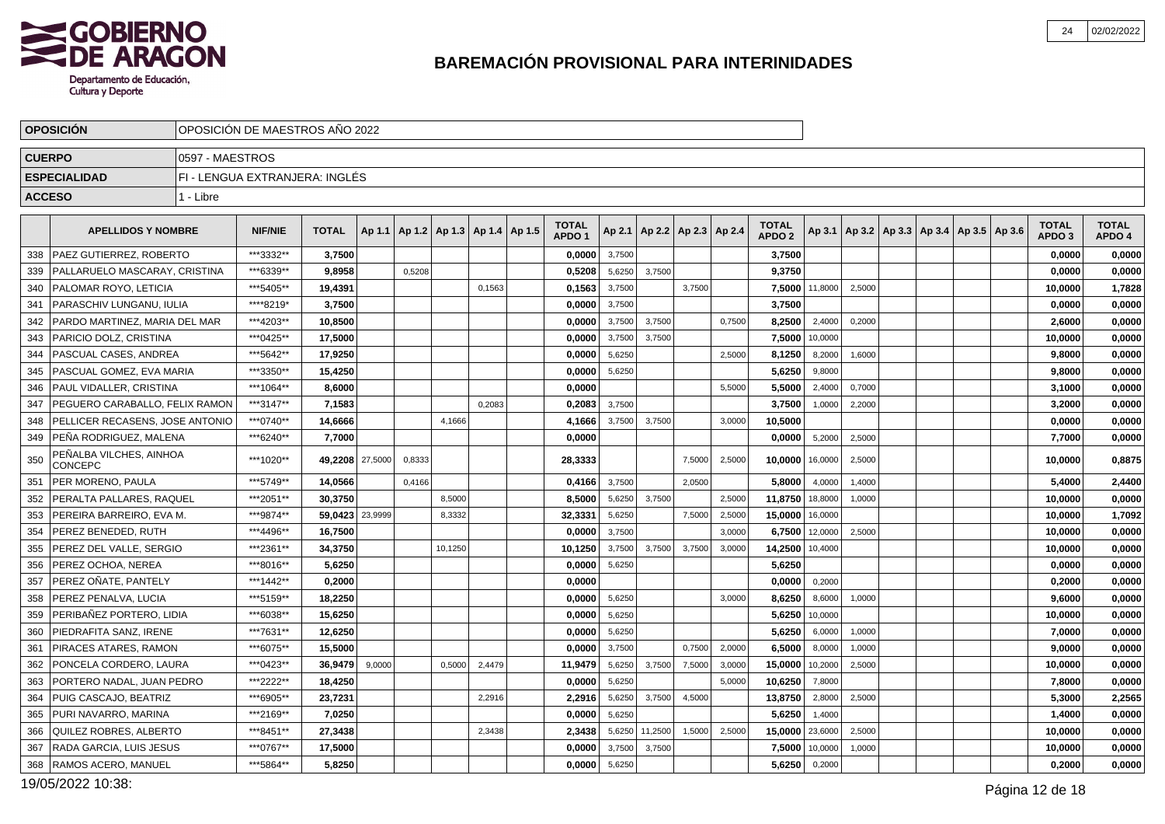

|               | <b>OPOSICION</b>                          | OPOSICION DE MAESTROS ANO 2022 |                                |              |         |        |         |                                   |                                   |        |         |                                   |        |                                   |         |                                                     |  |  |                                   |                        |
|---------------|-------------------------------------------|--------------------------------|--------------------------------|--------------|---------|--------|---------|-----------------------------------|-----------------------------------|--------|---------|-----------------------------------|--------|-----------------------------------|---------|-----------------------------------------------------|--|--|-----------------------------------|------------------------|
| <b>CUERPO</b> |                                           | 0597 - MAESTROS                |                                |              |         |        |         |                                   |                                   |        |         |                                   |        |                                   |         |                                                     |  |  |                                   |                        |
|               | <b>ESPECIALIDAD</b>                       |                                | FI - LENGUA EXTRANJERA: INGLÉS |              |         |        |         |                                   |                                   |        |         |                                   |        |                                   |         |                                                     |  |  |                                   |                        |
| <b>ACCESO</b> |                                           | 1 - Libre                      |                                |              |         |        |         |                                   |                                   |        |         |                                   |        |                                   |         |                                                     |  |  |                                   |                        |
|               | <b>APELLIDOS Y NOMBRE</b>                 |                                | <b>NIF/NIE</b>                 | <b>TOTAL</b> | Ap 1.1  |        |         | Ap 1.2   Ap 1.3   Ap 1.4   Ap 1.5 | <b>TOTAL</b><br>APDO <sub>1</sub> |        |         | Ap 2.1   Ap 2.2   Ap 2.3   Ap 2.4 |        | <b>TOTAL</b><br>APDO <sub>2</sub> |         | Ap 3.1   Ap 3.2   Ap 3.3   Ap 3.4   Ap 3.5   Ap 3.6 |  |  | <b>TOTAL</b><br>APDO <sub>3</sub> | <b>TOTAL</b><br>APDO 4 |
| 338           | <b>PAEZ GUTIERREZ, ROBERTO</b>            |                                | ***3332**                      | 3,7500       |         |        |         |                                   | 0,0000                            | 3,7500 |         |                                   |        | 3,7500                            |         |                                                     |  |  | 0,0000                            | 0,0000                 |
| 339           | I PALLARUELO MASCARAY. CRISTINA           |                                | ***6339**                      | 9.8958       |         | 0,5208 |         |                                   | 0.5208                            | 5,6250 | 3.7500  |                                   |        | 9.3750                            |         |                                                     |  |  | 0.0000                            | 0,0000                 |
| 340           | <b>PALOMAR ROYO, LETICIA</b>              |                                | ***5405**                      | 19,4391      |         |        |         | 0,1563                            | 0,1563                            | 3,7500 |         | 3,7500                            |        | 7,5000                            | 11,8000 | 2,5000                                              |  |  | 10,0000                           | 1,7828                 |
| 341           | PARASCHIV LUNGANU. IULIA                  |                                | ****8219*                      | 3.7500       |         |        |         |                                   | 0,0000                            | 3,7500 |         |                                   |        | 3,7500                            |         |                                                     |  |  | 0.0000                            | 0,0000                 |
| 342           | PARDO MARTINEZ, MARIA DEL MAR             |                                | ***4203**                      | 10,8500      |         |        |         |                                   | 0,0000                            | 3,7500 | 3,7500  |                                   | 0,7500 | 8,2500                            | 2,4000  | 0,2000                                              |  |  | 2,6000                            | 0,0000                 |
| 343           | <b>PARICIO DOLZ, CRISTINA</b>             |                                | ***0425**                      | 17,5000      |         |        |         |                                   | 0,0000                            | 3,7500 | 3,7500  |                                   |        | 7,5000                            | 10,0000 |                                                     |  |  | 10,0000                           | 0,0000                 |
| 344           | PASCUAL CASES. ANDREA                     |                                | ***5642**                      | 17.9250      |         |        |         |                                   | 0.0000                            | 5,6250 |         |                                   | 2,5000 | 8,1250                            | 8,2000  | 1,6000                                              |  |  | 9.8000                            | 0,0000                 |
| 345           | PASCUAL GOMEZ, EVA MARIA                  |                                | ***3350**                      | 15,4250      |         |        |         |                                   | 0,0000                            | 5,6250 |         |                                   |        | 5,6250                            | 9,8000  |                                                     |  |  | 9,8000                            | 0,0000                 |
| 346           | PAUL VIDALLER, CRISTINA                   |                                | ***1064**                      | 8,6000       |         |        |         |                                   | 0.0000                            |        |         |                                   | 5,5000 | 5,5000                            | 2,4000  | 0,7000                                              |  |  | 3,1000                            | 0,0000                 |
| 347           | PEGUERO CARABALLO, FELIX RAMON            |                                | ***3147**                      | 7,1583       |         |        |         | 0,2083                            | 0,2083                            | 3,7500 |         |                                   |        | 3,7500                            | 1,0000  | 2,2000                                              |  |  | 3,2000                            | 0,0000                 |
| 348           | PELLICER RECASENS, JOSE ANTONIO           |                                | ***0740**                      | 14,6666      |         |        | 4,1666  |                                   | 4,1666                            | 3,7500 | 3,7500  |                                   | 3,0000 | 10,5000                           |         |                                                     |  |  | 0,0000                            | 0,0000                 |
| 349           | PEÑA RODRIGUEZ, MALENA                    |                                | ***6240**                      | 7.7000       |         |        |         |                                   | 0.0000                            |        |         |                                   |        | 0.0000                            | 5,2000  | 2,5000                                              |  |  | 7,7000                            | 0,0000                 |
| 350           | PEÑALBA VILCHES, AINHOA<br><b>CONCEPC</b> |                                | ***1020**                      | 49,2208      | 27,5000 | 0,8333 |         |                                   | 28,3333                           |        |         | 7,5000                            | 2,5000 | 10,0000                           | 16,0000 | 2,5000                                              |  |  | 10,0000                           | 0,8875                 |
| 351           | PER MORENO. PAULA                         |                                | ***5749**                      | 14,0566      |         | 0,4166 |         |                                   | 0,4166                            | 3,7500 |         | 2,0500                            |        | 5,8000                            | 4,0000  | 1,4000                                              |  |  | 5,4000                            | 2,4400                 |
| 352           | PERALTA PALLARES, RAQUEL                  |                                | ***2051**                      | 30,3750      |         |        | 8.5000  |                                   | 8,5000                            | 5,6250 | 3.7500  |                                   | 2,5000 | 11,8750                           | 18,8000 | 1,0000                                              |  |  | 10,0000                           | 0,0000                 |
| 353           | PEREIRA BARREIRO, EVA M.                  |                                | ***9874**                      | 59,0423      | 23,9999 |        | 8,3332  |                                   | 32,3331                           | 5,6250 |         | 7,5000                            | 2,5000 | 15,0000                           | 16,0000 |                                                     |  |  | 10,0000                           | 1,7092                 |
| 354           | PEREZ BENEDED. RUTH                       |                                | ***4496**                      | 16.7500      |         |        |         |                                   | 0.0000                            | 3,7500 |         |                                   | 3,0000 | 6,7500                            | 12,0000 | 2,5000                                              |  |  | 10,0000                           | 0,0000                 |
| 355           | PEREZ DEL VALLE, SERGIO                   |                                | ***2361**                      | 34,3750      |         |        | 10,1250 |                                   | 10,1250                           | 3,7500 | 3,7500  | 3,7500                            | 3,0000 | 14,2500                           | 10,4000 |                                                     |  |  | 10,0000                           | 0,0000                 |
| 356           | PEREZ OCHOA. NEREA                        |                                | ***8016**                      | 5,6250       |         |        |         |                                   | 0,0000                            | 5,6250 |         |                                   |        | 5,6250                            |         |                                                     |  |  | 0,0000                            | 0,0000                 |
| 357           | PEREZ OÑATE, PANTELY                      |                                | ***1442**                      | 0,2000       |         |        |         |                                   | 0,0000                            |        |         |                                   |        | 0,0000                            | 0,2000  |                                                     |  |  | 0,2000                            | 0,0000                 |
| 358           | PEREZ PENALVA, LUCIA                      |                                | ***5159**                      | 18,2250      |         |        |         |                                   | 0,0000                            | 5,6250 |         |                                   | 3,0000 | 8,6250                            | 8,6000  | 1,0000                                              |  |  | 9,6000                            | 0,0000                 |
| 359           | PERIBAÑEZ PORTERO. LIDIA                  |                                | ***6038**                      | 15.6250      |         |        |         |                                   | 0.0000                            | 5,6250 |         |                                   |        | 5,6250                            | 10,0000 |                                                     |  |  | 10.0000                           | 0,0000                 |
| 360           | PIEDRAFITA SANZ, IRENE                    |                                | ***7631**                      | 12,6250      |         |        |         |                                   | 0,0000                            | 5,6250 |         |                                   |        | 5,6250                            | 6,0000  | 1,0000                                              |  |  | 7,0000                            | 0,0000                 |
| 361           | PIRACES ATARES, RAMON                     |                                | ***6075**                      | 15.5000      |         |        |         |                                   | 0.0000                            | 3,7500 |         | 0,7500                            | 2,0000 | 6,5000                            | 8,0000  | 1,0000                                              |  |  | 9,0000                            | 0,0000                 |
| 362           | PONCELA CORDERO, LAURA                    |                                | ***0423**                      | 36,9479      | 9,0000  |        | 0,5000  | 2,4479                            | 11,9479                           | 5,6250 | 3,7500  | 7,5000                            | 3,0000 | 15,0000                           | 10,2000 | 2,5000                                              |  |  | 10,0000                           | 0,0000                 |
| 363           | PORTERO NADAL, JUAN PEDRO                 |                                | ***2222**                      | 18,4250      |         |        |         |                                   | 0,0000                            | 5,6250 |         |                                   | 5,0000 | 10,6250                           | 7,8000  |                                                     |  |  | 7,8000                            | 0,0000                 |
| 364           | PUIG CASCAJO, BEATRIZ                     |                                | ***6905**                      | 23.7231      |         |        |         | 2.2916                            | 2,2916                            | 5,6250 | 3,7500  | 4,5000                            |        | 13,8750                           | 2,8000  | 2,5000                                              |  |  | 5.3000                            | 2,2565                 |
| 365           | <b>PURI NAVARRO, MARINA</b>               |                                | ***2169**                      | 7,0250       |         |        |         |                                   | 0,0000                            | 5,6250 |         |                                   |        | 5,6250                            | 1,4000  |                                                     |  |  | 1,4000                            | 0,0000                 |
| 366           | <b>QUILEZ ROBRES, ALBERTO</b>             |                                | ***8451**                      | 27,3438      |         |        |         | 2.3438                            | 2,3438                            | 5,6250 | 11,2500 | 1,5000                            | 2,5000 | 15,0000                           | 23,6000 | 2,5000                                              |  |  | 10,0000                           | 0,0000                 |
| 367           | RADA GARCIA, LUIS JESUS                   |                                | ***0767**                      | 17,5000      |         |        |         |                                   | 0,0000                            | 3,7500 | 3,7500  |                                   |        | 7,5000                            | 10,0000 | 1,0000                                              |  |  | 10,0000                           | 0,0000                 |
| 368           | <b>RAMOS ACERO, MANUEL</b>                |                                | ***5864**                      | 5,8250       |         |        |         |                                   | 0,0000                            | 5,6250 |         |                                   |        | 5,6250                            | 0,2000  |                                                     |  |  | 0,2000                            | 0,0000                 |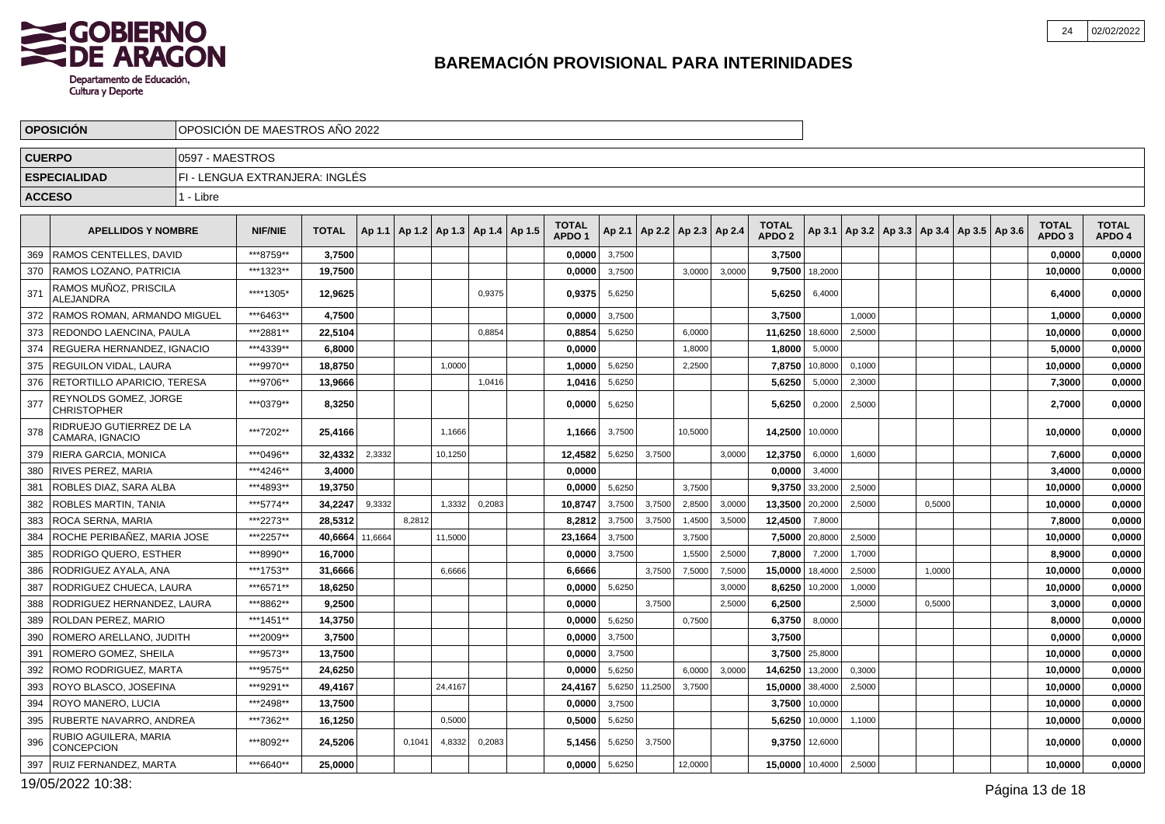

| <b>OPOSICIÓN</b><br>OPOSICIÓN DE MAESTROS AÑO 2022<br><b>CUERPO</b><br>0597 - MAESTROS |                                             |           |                                |              |         |                       |         |        |        |                                   |        |         |                          |        |                                   |                |        |                                                     |        |  |                                   |                        |
|----------------------------------------------------------------------------------------|---------------------------------------------|-----------|--------------------------------|--------------|---------|-----------------------|---------|--------|--------|-----------------------------------|--------|---------|--------------------------|--------|-----------------------------------|----------------|--------|-----------------------------------------------------|--------|--|-----------------------------------|------------------------|
|                                                                                        |                                             |           |                                |              |         |                       |         |        |        |                                   |        |         |                          |        |                                   |                |        |                                                     |        |  |                                   |                        |
|                                                                                        | <b>ESPECIALIDAD</b>                         |           | FI - LENGUA EXTRANJERA: INGLÉS |              |         |                       |         |        |        |                                   |        |         |                          |        |                                   |                |        |                                                     |        |  |                                   |                        |
|                                                                                        | <b>ACCESO</b>                               | 1 - Libre |                                |              |         |                       |         |        |        |                                   |        |         |                          |        |                                   |                |        |                                                     |        |  |                                   |                        |
|                                                                                        | <b>APELLIDOS Y NOMBRE</b>                   |           | <b>NIF/NIE</b>                 | <b>TOTAL</b> | Ap 1.1  | Ap1.2   Ap1.3   Ap1.4 |         |        | Ap 1.5 | <b>TOTAL</b><br>APDO <sub>1</sub> | Ap 2.1 |         | Ap 2.2   Ap 2.3   Ap 2.4 |        | <b>TOTAL</b><br>APDO <sub>2</sub> |                |        | Ap 3.1   Ap 3.2   Ap 3.3   Ap 3.4   Ap 3.5   Ap 3.6 |        |  | <b>TOTAL</b><br>APDO <sub>3</sub> | <b>TOTAL</b><br>APDO 4 |
| 369                                                                                    | <b>RAMOS CENTELLES, DAVID</b>               |           | ***8759**                      | 3,7500       |         |                       |         |        |        | 0,0000                            | 3,7500 |         |                          |        | 3,7500                            |                |        |                                                     |        |  | 0,0000                            | 0,0000                 |
| 370                                                                                    | <b>RAMOS LOZANO, PATRICIA</b>               |           | ***1323**                      | 19.7500      |         |                       |         |        |        | 0.0000                            | 3,7500 |         | 3,0000                   | 3,0000 |                                   | 9.7500 18,2000 |        |                                                     |        |  | 10.0000                           | 0.0000                 |
| 37 <sup>′</sup>                                                                        | RAMOS MUÑOZ, PRISCILA<br><b>ALEJANDRA</b>   |           | ****1305*                      | 12.9625      |         |                       |         | 0.9375 |        | 0.9375                            | 5,6250 |         |                          |        | 5,6250                            | 6,4000         |        |                                                     |        |  | 6.4000                            | 0,0000                 |
| 372                                                                                    | RAMOS ROMAN. ARMANDO MIGUEL                 |           | ***6463**                      | 4,7500       |         |                       |         |        |        | 0.0000                            | 3,7500 |         |                          |        | 3.7500                            |                | 1.0000 |                                                     |        |  | 1,0000                            | 0,0000                 |
| 373                                                                                    | REDONDO LAENCINA, PAULA                     |           | ***2881**                      | 22,5104      |         |                       |         | 0,8854 |        | 0,8854                            | 5,6250 |         | 6,0000                   |        | 11,6250 18,6000                   |                | 2,5000 |                                                     |        |  | 10,0000                           | 0,0000                 |
| 374                                                                                    | I REGUERA HERNANDEZ. IGNACIO                |           | ***4339**                      | 6.8000       |         |                       |         |        |        | 0.0000                            |        |         | 1,8000                   |        | 1,8000                            | 5,0000         |        |                                                     |        |  | 5,0000                            | 0,0000                 |
| 375                                                                                    | REGUILON VIDAL, LAURA                       |           | ***9970**                      | 18,8750      |         |                       | 1,0000  |        |        | 1,0000                            | 5,6250 |         | 2,2500                   |        | 7,8750                            | 10,8000        | 0,1000 |                                                     |        |  | 10,0000                           | 0,0000                 |
| 376                                                                                    | RETORTILLO APARICIO, TERESA                 |           | ***9706**                      | 13,9666      |         |                       |         | 1,0416 |        | 1,0416                            | 5,6250 |         |                          |        | 5,6250                            | 5,0000         | 2,3000 |                                                     |        |  | 7.3000                            | 0,0000                 |
| 377                                                                                    | REYNOLDS GOMEZ, JORGE<br><b>CHRISTOPHER</b> |           | ***0379**                      | 8,3250       |         |                       |         |        |        | 0.0000                            | 5,6250 |         |                          |        | 5.6250                            | 0,2000         | 2,5000 |                                                     |        |  | 2,7000                            | 0,0000                 |
| 378                                                                                    | RIDRUEJO GUTIERREZ DE LA<br>CAMARA, IGNACIO |           | ***7202**                      | 25,4166      |         |                       | 1,1666  |        |        | 1,1666                            | 3,7500 |         | 10,5000                  |        | 14,2500 10,0000                   |                |        |                                                     |        |  | 10,0000                           | 0,0000                 |
| 379                                                                                    | <b>RIERA GARCIA, MONICA</b>                 |           | ***0496**                      | 32,4332      | 2,3332  |                       | 10,1250 |        |        | 12,4582                           | 5,6250 | 3,7500  |                          | 3,0000 | 12,3750                           | 6,0000         | 1,6000 |                                                     |        |  | 7,6000                            | 0,0000                 |
| 380                                                                                    | <b>RIVES PEREZ, MARIA</b>                   |           | ***4246**                      | 3.4000       |         |                       |         |        |        | 0.0000                            |        |         |                          |        | 0.0000                            | 3,4000         |        |                                                     |        |  | 3,4000                            | 0,0000                 |
| 381                                                                                    | ROBLES DIAZ, SARA ALBA                      |           | ***4893**                      | 19,3750      |         |                       |         |        |        | 0,0000                            | 5,6250 |         | 3,7500                   |        |                                   | 9,3750 33,2000 | 2,5000 |                                                     |        |  | 10,0000                           | 0,0000                 |
| 382                                                                                    | <b>ROBLES MARTIN. TANIA</b>                 |           | ***5774**                      | 34.2247      | 9,3332  |                       | 1,3332  | 0,2083 |        | 10,8747                           | 3,7500 | 3,7500  | 2,8500                   | 3.0000 | 13,3500 20,2000                   |                | 2,5000 |                                                     | 0.5000 |  | 10,0000                           | 0,0000                 |
| 383                                                                                    | <b>ROCA SERNA, MARIA</b>                    |           | ***2273**                      | 28,5312      |         | 8.2812                |         |        |        | 8,2812                            | 3,7500 | 3,7500  | 1,4500                   | 3,5000 | 12,4500                           | 7,8000         |        |                                                     |        |  | 7,8000                            | 0,0000                 |
| 384                                                                                    | ROCHE PERIBAÑEZ, MARIA JOSE                 |           | ***2257**                      | 40.6664      | 11,6664 |                       | 11,5000 |        |        | 23,1664                           | 3,7500 |         | 3,7500                   |        |                                   | 7,5000 20,8000 | 2,5000 |                                                     |        |  | 10,0000                           | 0,0000                 |
| 385                                                                                    | RODRIGO QUERO, ESTHER                       |           | ***8990**                      | 16,7000      |         |                       |         |        |        | 0,0000                            | 3,7500 |         | 1,5500                   | 2,5000 | 7,8000                            | 7,2000         | 1,7000 |                                                     |        |  | 8,9000                            | 0,0000                 |
| 386                                                                                    | RODRIGUEZ AYALA, ANA                        |           | ***1753**                      | 31.6666      |         |                       | 6,6666  |        |        | 6.6666                            |        | 3,7500  | 7,5000                   | 7,5000 | 15,0000                           | 18,4000        | 2,5000 |                                                     | 1.0000 |  | 10,0000                           | 0,0000                 |
| 387                                                                                    | RODRIGUEZ CHUECA, LAURA                     |           | ***6571**                      | 18,6250      |         |                       |         |        |        | 0,0000                            | 5,6250 |         |                          | 3,0000 | 8,6250                            | 10,2000        | 1,0000 |                                                     |        |  | 10,0000                           | 0,0000                 |
| 388                                                                                    | RODRIGUEZ HERNANDEZ. LAURA                  |           | ***8862**                      | 9.2500       |         |                       |         |        |        | 0.0000                            |        | 3.7500  |                          | 2.5000 | 6,2500                            |                | 2,5000 |                                                     | 0.5000 |  | 3,0000                            | 0,0000                 |
| 389                                                                                    | <b>ROLDAN PEREZ, MARIO</b>                  |           | ***1451**                      | 14,3750      |         |                       |         |        |        | 0,0000                            | 5,6250 |         | 0,7500                   |        | 6,3750                            | 8,0000         |        |                                                     |        |  | 8,0000                            | 0,0000                 |
| 390                                                                                    | ROMERO ARELLANO, JUDITH                     |           | ***2009**                      | 3,7500       |         |                       |         |        |        | 0.0000                            | 3,7500 |         |                          |        | 3.7500                            |                |        |                                                     |        |  | 0.0000                            | 0,0000                 |
| 391                                                                                    | ROMERO GOMEZ, SHEILA                        |           | ***9573**                      | 13,7500      |         |                       |         |        |        | 0,0000                            | 3,7500 |         |                          |        |                                   | 3,7500 25,8000 |        |                                                     |        |  | 10,0000                           | 0,0000                 |
| 392                                                                                    | ROMO RODRIGUEZ. MARTA                       |           | ***9575**                      | 24.6250      |         |                       |         |        |        | 0.0000                            | 5,6250 |         | 6,0000                   | 3,0000 | 14,6250 13,2000                   |                | 0,3000 |                                                     |        |  | 10.0000                           | 0,0000                 |
| 393                                                                                    | <b>ROYO BLASCO, JOSEFINA</b>                |           | ***9291**                      | 49,4167      |         |                       | 24,4167 |        |        | 24,4167                           | 5,6250 | 11,2500 | 3,7500                   |        | 15,0000 38,4000                   |                | 2,5000 |                                                     |        |  | 10,0000                           | 0,0000                 |
| 394                                                                                    | <b>ROYO MANERO. LUCIA</b>                   |           | ***2498**                      | 13,7500      |         |                       |         |        |        | 0.0000                            | 3,7500 |         |                          |        |                                   | 3,7500 10,0000 |        |                                                     |        |  | 10,0000                           | 0,0000                 |
| 395                                                                                    | <b>RUBERTE NAVARRO, ANDREA</b>              |           | ***7362**                      | 16,1250      |         |                       | 0,5000  |        |        | 0,5000                            | 5,6250 |         |                          |        | 5,6250                            | 10,0000        | 1,1000 |                                                     |        |  | 10,0000                           | 0,0000                 |
| 396                                                                                    | RUBIO AGUILERA, MARIA<br><b>CONCEPCION</b>  |           | ***8092**                      | 24,5206      |         | 0,1041                | 4,8332  | 0,2083 |        | 5,1456                            | 5,6250 | 3,7500  |                          |        |                                   | 9,3750 12,6000 |        |                                                     |        |  | 10,0000                           | 0,0000                 |
| 397                                                                                    | <b>RUIZ FERNANDEZ, MARTA</b>                |           | ***6640**                      | 25,0000      |         |                       |         |        |        | 0,0000                            | 5,6250 |         | 12,0000                  |        | 15,0000 10,4000                   |                | 2,5000 |                                                     |        |  | 10,0000                           | 0,0000                 |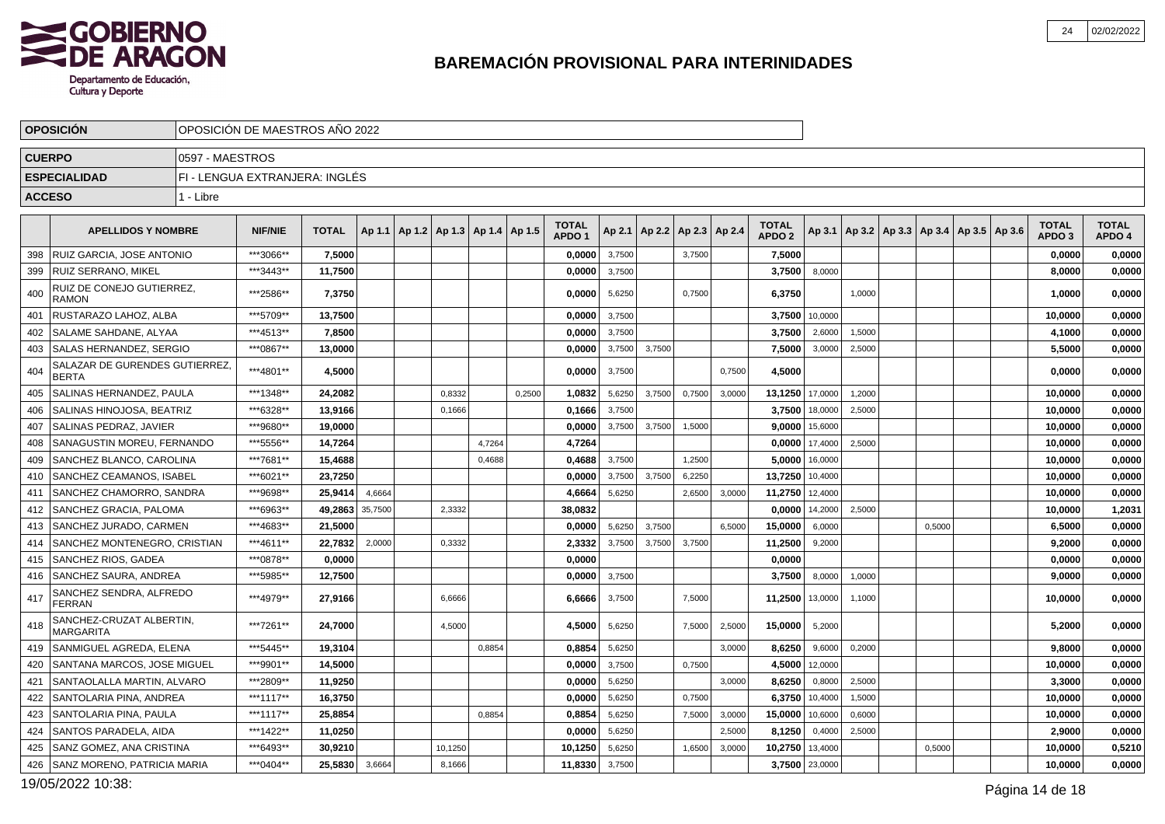

|     | <b>OPOSICIÓN</b><br>OPOSICIÓN DE MAESTROS AÑO 2022<br><b>CUERPO</b><br>0597 - MAESTROS |           |                                |              |         |  |         |                          |        |                                   |        |                          |        |        |                                   |                  |        |                                                     |        |  |                                   |                        |
|-----|----------------------------------------------------------------------------------------|-----------|--------------------------------|--------------|---------|--|---------|--------------------------|--------|-----------------------------------|--------|--------------------------|--------|--------|-----------------------------------|------------------|--------|-----------------------------------------------------|--------|--|-----------------------------------|------------------------|
|     |                                                                                        |           |                                |              |         |  |         |                          |        |                                   |        |                          |        |        |                                   |                  |        |                                                     |        |  |                                   |                        |
|     | <b>ESPECIALIDAD</b>                                                                    |           | FI - LENGUA EXTRANJERA: INGLÉS |              |         |  |         |                          |        |                                   |        |                          |        |        |                                   |                  |        |                                                     |        |  |                                   |                        |
|     | <b>ACCESO</b>                                                                          | 1 - Libre |                                |              |         |  |         |                          |        |                                   |        |                          |        |        |                                   |                  |        |                                                     |        |  |                                   |                        |
|     | <b>APELLIDOS Y NOMBRE</b>                                                              |           | <b>NIF/NIE</b>                 | <b>TOTAL</b> | Ap 1.1  |  |         | Ap 1.2   Ap 1.3   Ap 1.4 | Ap 1.5 | <b>TOTAL</b><br>APDO <sub>1</sub> | Ap 2.1 | Ap 2.2   Ap 2.3   Ap 2.4 |        |        | <b>TOTAL</b><br>APDO <sub>2</sub> |                  |        | Ap 3.1   Ap 3.2   Ap 3.3   Ap 3.4   Ap 3.5   Ap 3.6 |        |  | <b>TOTAL</b><br>APDO <sub>3</sub> | <b>TOTAL</b><br>APDO 4 |
| 398 | <b>RUIZ GARCIA, JOSE ANTONIO</b>                                                       |           | ***3066**                      | 7,5000       |         |  |         |                          |        | 0,0000                            | 3,7500 |                          | 3,7500 |        | 7,5000                            |                  |        |                                                     |        |  | 0,0000                            | 0,0000                 |
| 399 | <b>RUIZ SERRANO, MIKEL</b>                                                             |           | ***3443**                      | 11,7500      |         |  |         |                          |        | 0,0000                            | 3,7500 |                          |        |        | 3,7500                            | 8,0000           |        |                                                     |        |  | 8,0000                            | 0,0000                 |
| 400 | RUIZ DE CONEJO GUTIERREZ,<br><b>RAMON</b>                                              |           | ***2586**                      | 7,3750       |         |  |         |                          |        | 0.0000                            | 5,6250 |                          | 0,7500 |        | 6,3750                            |                  | 1,0000 |                                                     |        |  | 1,0000                            | 0,0000                 |
| 401 | RUSTARAZO LAHOZ. ALBA                                                                  |           | ***5709**                      | 13,7500      |         |  |         |                          |        | 0.0000                            | 3,7500 |                          |        |        |                                   | 3,7500 10,0000   |        |                                                     |        |  | 10,0000                           | 0,0000                 |
| 402 | <b>SALAME SAHDANE. ALYAA</b>                                                           |           | ***4513**                      | 7.8500       |         |  |         |                          |        | 0.0000                            | 3,7500 |                          |        |        | 3.7500                            | 2,6000           | 1,5000 |                                                     |        |  | 4.1000                            | 0.0000                 |
| 403 | SALAS HERNANDEZ, SERGIO                                                                |           | ***0867**                      | 13,0000      |         |  |         |                          |        | 0,0000                            | 3,7500 | 3,7500                   |        |        | 7,5000                            | 3,0000           | 2,5000 |                                                     |        |  | 5,5000                            | 0,0000                 |
| 404 | SALAZAR DE GURENDES GUTIERREZ.<br><b>BERTA</b>                                         |           | ***4801**                      | 4,5000       |         |  |         |                          |        | 0,0000                            | 3,7500 |                          |        | 0,7500 | 4,5000                            |                  |        |                                                     |        |  | 0,0000                            | 0,0000                 |
| 405 | SALINAS HERNANDEZ, PAULA                                                               |           | ***1348**                      | 24.2082      |         |  | 0,8332  |                          | 0,2500 | 1,0832                            | 5,6250 | 3,7500                   | 0,7500 | 3,0000 | 13,1250 17,0000                   |                  | 1,2000 |                                                     |        |  | 10,0000                           | 0,0000                 |
| 406 | I SALINAS HINOJOSA. BEATRIZ                                                            |           | ***6328**                      | 13,9166      |         |  | 0,1666  |                          |        | 0.1666                            | 3,7500 |                          |        |        |                                   | 3,7500 18,0000   | 2,5000 |                                                     |        |  | 10,0000                           | 0,0000                 |
| 407 | <b>SALINAS PEDRAZ, JAVIER</b>                                                          |           | ***9680**                      | 19.0000      |         |  |         |                          |        | 0,0000                            | 3,7500 | 3,7500                   | 1,5000 |        |                                   | 9,0000 15,6000   |        |                                                     |        |  | 10,0000                           | 0,0000                 |
| 408 | SANAGUSTIN MOREU. FERNANDO                                                             |           | ***5556**                      | 14,7264      |         |  |         | 4.7264                   |        | 4,7264                            |        |                          |        |        |                                   | $0.0000$ 17,4000 | 2,5000 |                                                     |        |  | 10,0000                           | 0,0000                 |
| 409 | <b>SANCHEZ BLANCO, CAROLINA</b>                                                        |           | ***7681**                      | 15,4688      |         |  |         | 0,4688                   |        | 0,4688                            | 3,7500 |                          | 1,2500 |        |                                   | 5,0000 16,0000   |        |                                                     |        |  | 10,0000                           | 0,0000                 |
| 410 | <b>SANCHEZ CEAMANOS, ISABEL</b>                                                        |           | ***6021**                      | 23.7250      |         |  |         |                          |        | 0.0000                            | 3,7500 | 3,7500                   | 6,2250 |        | 13,7250 10,4000                   |                  |        |                                                     |        |  | 10,0000                           | 0,0000                 |
| 411 | SANCHEZ CHAMORRO, SANDRA                                                               |           | ***9698**                      | 25,9414      | 4,6664  |  |         |                          |        | 4,6664                            | 5,6250 |                          | 2,6500 | 3,0000 | 11,2750                           | 12,4000          |        |                                                     |        |  | 10,0000                           | 0,0000                 |
| 412 | <b>SANCHEZ GRACIA, PALOMA</b>                                                          |           | ***6963**                      | 49,2863      | 35,7500 |  | 2,3332  |                          |        | 38,0832                           |        |                          |        |        | 0,0000                            | 14,2000          | 2,5000 |                                                     |        |  | 10,0000                           | 1,2031                 |
| 413 | SANCHEZ JURADO, CARMEN                                                                 |           | ***4683**                      | 21,5000      |         |  |         |                          |        | 0,0000                            | 5,6250 | 3,7500                   |        | 6,5000 | 15,0000                           | 6,0000           |        |                                                     | 0,5000 |  | 6,5000                            | 0,0000                 |
| 414 | SANCHEZ MONTENEGRO, CRISTIAN                                                           |           | ***4611**                      | 22,7832      | 2,0000  |  | 0,3332  |                          |        | 2,3332                            | 3,7500 | 3,7500                   | 3,7500 |        | 11,2500                           | 9,2000           |        |                                                     |        |  | 9,2000                            | 0,0000                 |
| 415 | <b>SANCHEZ RIOS, GADEA</b>                                                             |           | ***0878**                      | 0,0000       |         |  |         |                          |        | 0,0000                            |        |                          |        |        | 0,0000                            |                  |        |                                                     |        |  | 0,0000                            | 0,0000                 |
| 416 | <b>SANCHEZ SAURA, ANDREA</b>                                                           |           | ***5985**                      | 12,7500      |         |  |         |                          |        | 0,0000                            | 3,7500 |                          |        |        | 3,7500                            | 8,0000           | 1,0000 |                                                     |        |  | 9.0000                            | 0,0000                 |
| 417 | SANCHEZ SENDRA, ALFREDO<br>FERRAN                                                      |           | ***4979**                      | 27,9166      |         |  | 6,6666  |                          |        | 6,6666                            | 3,7500 |                          | 7,5000 |        | 11,2500                           | 13,0000          | 1,1000 |                                                     |        |  | 10,0000                           | 0,0000                 |
| 418 | SANCHEZ-CRUZAT ALBERTIN,<br><b>MARGARITA</b>                                           |           | ***7261**                      | 24,7000      |         |  | 4,5000  |                          |        | 4,5000                            | 5,6250 |                          | 7,5000 | 2,5000 | 15,0000                           | 5,2000           |        |                                                     |        |  | 5,2000                            | 0,0000                 |
| 419 | SANMIGUEL AGREDA, ELENA                                                                |           | ***5445**                      | 19,3104      |         |  |         | 0.8854                   |        | 0,8854                            | 5,6250 |                          |        | 3.0000 | 8,6250                            | 9,6000           | 0,2000 |                                                     |        |  | 9,8000                            | 0,0000                 |
| 420 | <b>SANTANA MARCOS, JOSE MIGUEL</b>                                                     |           | ***9901**                      | 14,5000      |         |  |         |                          |        | 0.0000                            | 3,7500 |                          | 0,7500 |        | 4,5000                            | 12,0000          |        |                                                     |        |  | 10,0000                           | 0,0000                 |
| 421 | SANTAOLALLA MARTIN, ALVARO                                                             |           | ***2809**                      | 11,9250      |         |  |         |                          |        | 0.0000                            | 5,6250 |                          |        | 3.0000 | 8.6250                            | 0,8000           | 2,5000 |                                                     |        |  | 3,3000                            | 0,0000                 |
| 422 | <b>SANTOLARIA PINA, ANDREA</b>                                                         |           | ***1117**                      | 16,3750      |         |  |         |                          |        | 0,0000                            | 5,6250 |                          | 0,7500 |        | 6,3750                            | 10,4000          | 1,5000 |                                                     |        |  | 10,0000                           | 0,0000                 |
| 423 | SANTOLARIA PINA. PAULA                                                                 |           | ***1117**                      | 25.8854      |         |  |         | 0.8854                   |        | 0.8854                            | 5,6250 |                          | 7,5000 | 3,0000 | 15,0000                           | 10,6000          | 0,6000 |                                                     |        |  | 10,0000                           | 0,0000                 |
| 424 | <b>SANTOS PARADELA, AIDA</b>                                                           |           | ***1422**                      | 11,0250      |         |  |         |                          |        | 0,0000                            | 5,6250 |                          |        | 2,5000 | 8,1250                            | 0,4000           | 2,5000 |                                                     |        |  | 2,9000                            | 0,0000                 |
| 425 | SANZ GOMEZ, ANA CRISTINA                                                               |           | ***6493**                      | 30,9210      |         |  | 10,1250 |                          |        | 10,1250                           | 5,6250 |                          | 1,6500 | 3,0000 | 10,2750                           | 13,4000          |        |                                                     | 0.5000 |  | 10,0000                           | 0,5210                 |
| 426 | <b>SANZ MORENO, PATRICIA MARIA</b>                                                     |           | ***0404**                      | 25,5830      | 3,6664  |  | 8,1666  |                          |        | 11,8330                           | 3,7500 |                          |        |        |                                   | 3,7500 23,0000   |        |                                                     |        |  | 10,0000                           | 0,0000                 |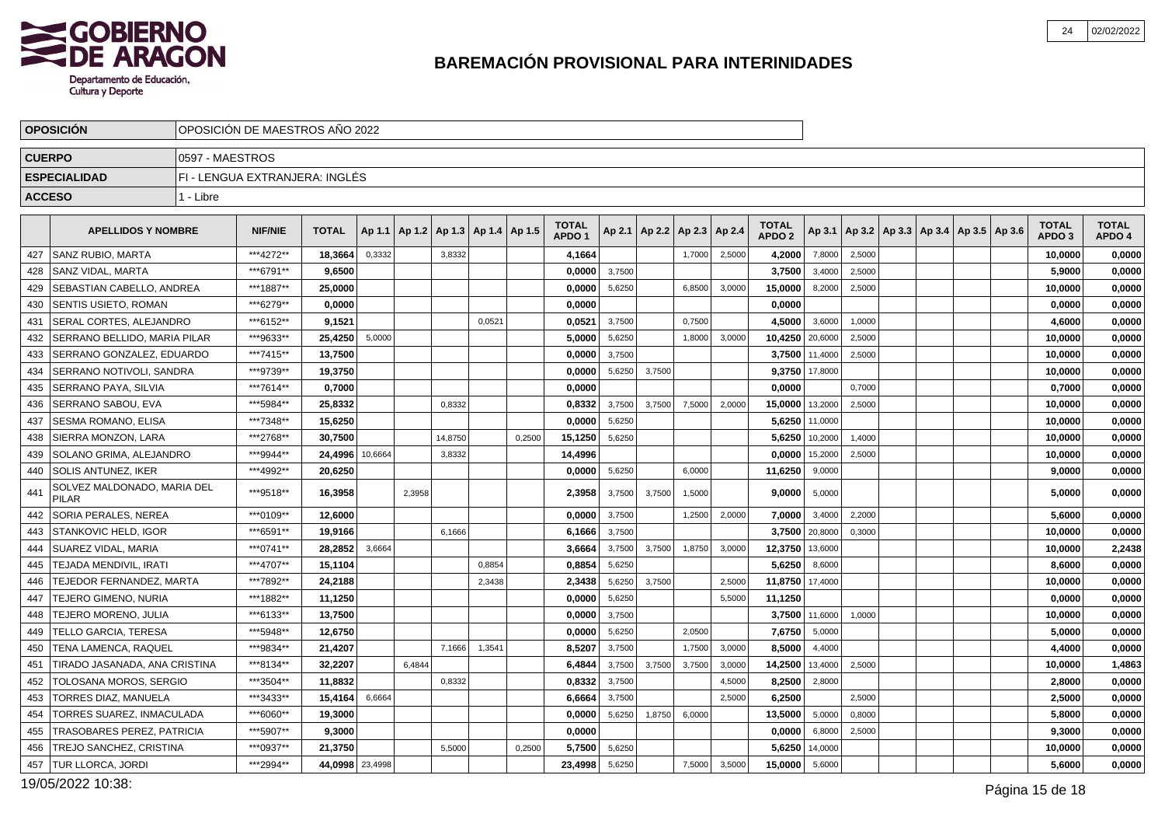

|                 | <b>OPOSICION</b>                            | OPOSICION DE MAESTROS ANO 2022<br>0597 - MAESTROS |                                |                 |        |                                            |         |        |        |                                   |        |                                   |        |        |                                   |                |        |                                                     |  |                                   |                        |
|-----------------|---------------------------------------------|---------------------------------------------------|--------------------------------|-----------------|--------|--------------------------------------------|---------|--------|--------|-----------------------------------|--------|-----------------------------------|--------|--------|-----------------------------------|----------------|--------|-----------------------------------------------------|--|-----------------------------------|------------------------|
| <b>CUERPO</b>   |                                             |                                                   |                                |                 |        |                                            |         |        |        |                                   |        |                                   |        |        |                                   |                |        |                                                     |  |                                   |                        |
|                 | <b>ESPECIALIDAD</b>                         |                                                   | FI - LENGUA EXTRANJERA: INGLÉS |                 |        |                                            |         |        |        |                                   |        |                                   |        |        |                                   |                |        |                                                     |  |                                   |                        |
| <b>ACCESO</b>   |                                             | 1 - Libre                                         |                                |                 |        |                                            |         |        |        |                                   |        |                                   |        |        |                                   |                |        |                                                     |  |                                   |                        |
|                 |                                             |                                                   |                                |                 |        |                                            |         |        |        |                                   |        |                                   |        |        |                                   |                |        |                                                     |  |                                   |                        |
|                 | <b>APELLIDOS Y NOMBRE</b>                   |                                                   | <b>NIF/NIE</b>                 | <b>TOTAL</b>    |        | Ap 1.1   Ap 1.2   Ap 1.3   Ap 1.4   Ap 1.5 |         |        |        | <b>TOTAL</b><br>APDO <sub>1</sub> |        | Ap 2.1   Ap 2.2   Ap 2.3   Ap 2.4 |        |        | <b>TOTAL</b><br>APDO <sub>2</sub> |                |        | Ap 3.1   Ap 3.2   Ap 3.3   Ap 3.4   Ap 3.5   Ap 3.6 |  | <b>TOTAL</b><br>APDO <sub>3</sub> | <b>TOTAL</b><br>APDO 4 |
| 427             | <b>SANZ RUBIO, MARTA</b>                    |                                                   | ***4272**                      | 18,3664         | 0,3332 |                                            | 3,8332  |        |        | 4,1664                            |        |                                   | 1,7000 | 2,5000 | 4,2000                            | 7,8000         | 2,5000 |                                                     |  | 10,0000                           | 0,0000                 |
| 428             | <b>SANZ VIDAL, MARTA</b>                    |                                                   | ***6791**                      | 9,6500          |        |                                            |         |        |        | 0.0000                            | 3,7500 |                                   |        |        | 3,7500                            | 3,4000         | 2,5000 |                                                     |  | 5,9000                            | 0,0000                 |
| 429             | <b>SEBASTIAN CABELLO, ANDREA</b>            |                                                   | ***1887**                      | 25.0000         |        |                                            |         |        |        | 0.0000                            | 5,6250 |                                   | 6,8500 | 3,0000 | 15,0000                           | 8,2000         | 2,5000 |                                                     |  | 10.0000                           | 0,0000                 |
| 430             | SENTIS USIETO, ROMAN                        |                                                   | ***6279**                      | 0,0000          |        |                                            |         |        |        | 0,0000                            |        |                                   |        |        | 0,0000                            |                |        |                                                     |  | 0,0000                            | 0,0000                 |
| 431             | SERAL CORTES, ALEJANDRO                     |                                                   | ***6152**                      | 9.1521          |        |                                            |         | 0.0521 |        | 0,0521                            | 3,7500 |                                   | 0.7500 |        | 4,5000                            | 3,6000         | 1,0000 |                                                     |  | 4,6000                            | 0,0000                 |
| 432             | SERRANO BELLIDO, MARIA PILAR                |                                                   | ***9633**                      | 25,4250         | 5,0000 |                                            |         |        |        | 5,0000                            | 5,6250 |                                   | 1,8000 | 3,0000 | 10,4250                           | 20,6000        | 2,5000 |                                                     |  | 10,0000                           | 0,0000                 |
| 433             | SERRANO GONZALEZ, EDUARDO                   |                                                   | ***7415**                      | 13,7500         |        |                                            |         |        |        | 0,0000                            | 3,7500 |                                   |        |        | 3,7500                            | 11,4000        | 2,5000 |                                                     |  | 10,0000                           | 0,0000                 |
| 434             | SERRANO NOTIVOLI, SANDRA                    |                                                   | ***9739**                      | 19,3750         |        |                                            |         |        |        | 0.0000                            | 5,6250 | 3,7500                            |        |        |                                   | 9,3750 17,8000 |        |                                                     |  | 10.0000                           | 0,0000                 |
| 435             | <b>SERRANO PAYA, SILVIA</b>                 |                                                   | ***7614**                      | 0,7000          |        |                                            |         |        |        | 0,0000                            |        |                                   |        |        | 0,0000                            |                | 0,7000 |                                                     |  | 0,7000                            | 0,0000                 |
| 436             | SERRANO SABOU, EVA                          |                                                   | ***5984**                      | 25,8332         |        |                                            | 0,8332  |        |        | 0,8332                            | 3,7500 | 3.7500                            | 7,5000 | 2.0000 | 15,0000                           | 13,2000        | 2,5000 |                                                     |  | 10,0000                           | 0,0000                 |
| 437             | SESMA ROMANO, ELISA                         |                                                   | ***7348**                      | 15,6250         |        |                                            |         |        |        | 0,0000                            | 5,6250 |                                   |        |        |                                   | 5,6250 11,0000 |        |                                                     |  | 10,0000                           | 0,0000                 |
| 438             | SIERRA MONZON, LARA                         |                                                   | ***2768**                      | 30,7500         |        |                                            | 14,8750 |        | 0,2500 | 15,1250                           | 5,6250 |                                   |        |        |                                   | 5,6250 10,2000 | 1,4000 |                                                     |  | 10,0000                           | 0,0000                 |
| 439             | SOLANO GRIMA, ALEJANDRO                     |                                                   | ***9944**                      | 24,4996 10,6664 |        |                                            | 3,8332  |        |        | 14,4996                           |        |                                   |        |        | 0,0000                            | 15,2000        | 2,5000 |                                                     |  | 10,0000                           | 0,0000                 |
| 440             | SOLIS ANTUNEZ, IKER                         |                                                   | ***4992**                      | 20,6250         |        |                                            |         |        |        | 0,0000                            | 5,6250 |                                   | 6,0000 |        | 11,6250                           | 9,0000         |        |                                                     |  | 9,0000                            | 0,0000                 |
| 44 <sup>°</sup> | SOLVEZ MALDONADO, MARIA DEL<br><b>PILAR</b> |                                                   | ***9518**                      | 16,3958         |        | 2,3958                                     |         |        |        | 2,3958                            | 3,7500 | 3,7500                            | 1,5000 |        | 9,0000                            | 5,0000         |        |                                                     |  | 5,0000                            | 0,0000                 |
| 442             | <b>SORIA PERALES, NEREA</b>                 |                                                   | ***0109**                      | 12.6000         |        |                                            |         |        |        | 0.0000                            | 3,7500 |                                   | 1,2500 | 2,0000 | 7.0000                            | 3,4000         | 2,2000 |                                                     |  | 5.6000                            | 0,0000                 |
| 443             | <b>STANKOVIC HELD, IGOR</b>                 |                                                   | ***6591**                      | 19,9166         |        |                                            | 6,1666  |        |        | 6,1666                            | 3,7500 |                                   |        |        |                                   | 3,7500 20,8000 | 0,3000 |                                                     |  | 10,0000                           | 0,0000                 |
| 444             | <b>SUAREZ VIDAL. MARIA</b>                  |                                                   | ***0741**                      | 28,2852         | 3,6664 |                                            |         |        |        | 3,6664                            | 3,7500 | 3,7500                            | 1,8750 | 3,0000 | 12,3750                           | 13,6000        |        |                                                     |  | 10,0000                           | 2,2438                 |
| 445             | <b>TEJADA MENDIVIL. IRATI</b>               |                                                   | ***4707**                      | 15,1104         |        |                                            |         | 0.8854 |        | 0,8854                            | 5,6250 |                                   |        |        | 5,6250                            | 8,6000         |        |                                                     |  | 8.6000                            | 0,0000                 |
| 446             | TEJEDOR FERNANDEZ, MARTA                    |                                                   | ***7892**                      | 24,2188         |        |                                            |         | 2,3438 |        | 2,3438                            | 5,6250 | 3,7500                            |        | 2,5000 | 11,8750 17,4000                   |                |        |                                                     |  | 10,0000                           | 0,0000                 |
| 447             | TEJERO GIMENO. NURIA                        |                                                   | ***1882**                      | 11,1250         |        |                                            |         |        |        | 0.0000                            | 5,6250 |                                   |        | 5,5000 | 11,1250                           |                |        |                                                     |  | 0,0000                            | 0,0000                 |
| 448             | TEJERO MORENO, JULIA                        |                                                   | ***6133**                      | 13,7500         |        |                                            |         |        |        | 0,0000                            | 3,7500 |                                   |        |        | 3,7500                            | 11,6000        | 1,0000 |                                                     |  | 10,0000                           | 0,0000                 |
| 449             | <b>TELLO GARCIA, TERESA</b>                 |                                                   | ***5948**                      | 12,6750         |        |                                            |         |        |        | 0,0000                            | 5,6250 |                                   | 2,0500 |        | 7,6750                            | 5,0000         |        |                                                     |  | 5,0000                            | 0,0000                 |
| 450             | <b>TENA LAMENCA, RAQUEL</b>                 |                                                   | ***9834**                      | 21,4207         |        |                                            | 7,1666  | 1,3541 |        | 8.5207                            | 3,7500 |                                   | 1,7500 | 3.0000 | 8,5000                            | 4,4000         |        |                                                     |  | 4,4000                            | 0,0000                 |
| 451             | TIRADO JASANADA, ANA CRISTINA               |                                                   | ***8134**                      | 32,2207         |        | 6,4844                                     |         |        |        | 6,4844                            | 3,7500 | 3,7500                            | 3,7500 | 3,0000 | 14,2500                           | 13,4000        | 2,5000 |                                                     |  | 10,0000                           | 1,4863                 |
| 452             | TOLOSANA MOROS, SERGIO                      |                                                   | ***3504**                      | 11.8832         |        |                                            | 0,8332  |        |        | 0,8332                            | 3,7500 |                                   |        | 4.5000 | 8,2500                            | 2,8000         |        |                                                     |  | 2,8000                            | 0,0000                 |
| 453             | TORRES DIAZ, MANUELA                        |                                                   | ***3433**                      | 15,4164         | 6,6664 |                                            |         |        |        | 6.6664                            | 3,7500 |                                   |        | 2.5000 | 6,2500                            |                | 2,5000 |                                                     |  | 2,5000                            | 0,0000                 |
| 454             | TORRES SUAREZ, INMACULADA                   |                                                   | ***6060**                      | 19,3000         |        |                                            |         |        |        | 0,0000                            | 5,6250 | 1,8750                            | 6,0000 |        | 13,5000                           | 5,0000         | 0,8000 |                                                     |  | 5,8000                            | 0,0000                 |
| 455             | <b>TRASOBARES PEREZ, PATRICIA</b>           |                                                   | ***5907**                      | 9,3000          |        |                                            |         |        |        | 0,0000                            |        |                                   |        |        | 0,0000                            | 6,8000         | 2,5000 |                                                     |  | 9,3000                            | 0,0000                 |
| 456             | TREJO SANCHEZ, CRISTINA                     |                                                   | ***0937**                      | 21,3750         |        |                                            | 5,5000  |        | 0,2500 | 5,7500                            | 5,6250 |                                   |        |        | 5,6250                            | 14,0000        |        |                                                     |  | 10,0000                           | 0,0000                 |
| 457             | TUR LLORCA, JORDI                           |                                                   | ***2994**                      | 44,0998 23,4998 |        |                                            |         |        |        | 23,4998                           | 5,6250 |                                   | 7,5000 | 3,5000 | 15,0000                           | 5,6000         |        |                                                     |  | 5,6000                            | 0,0000                 |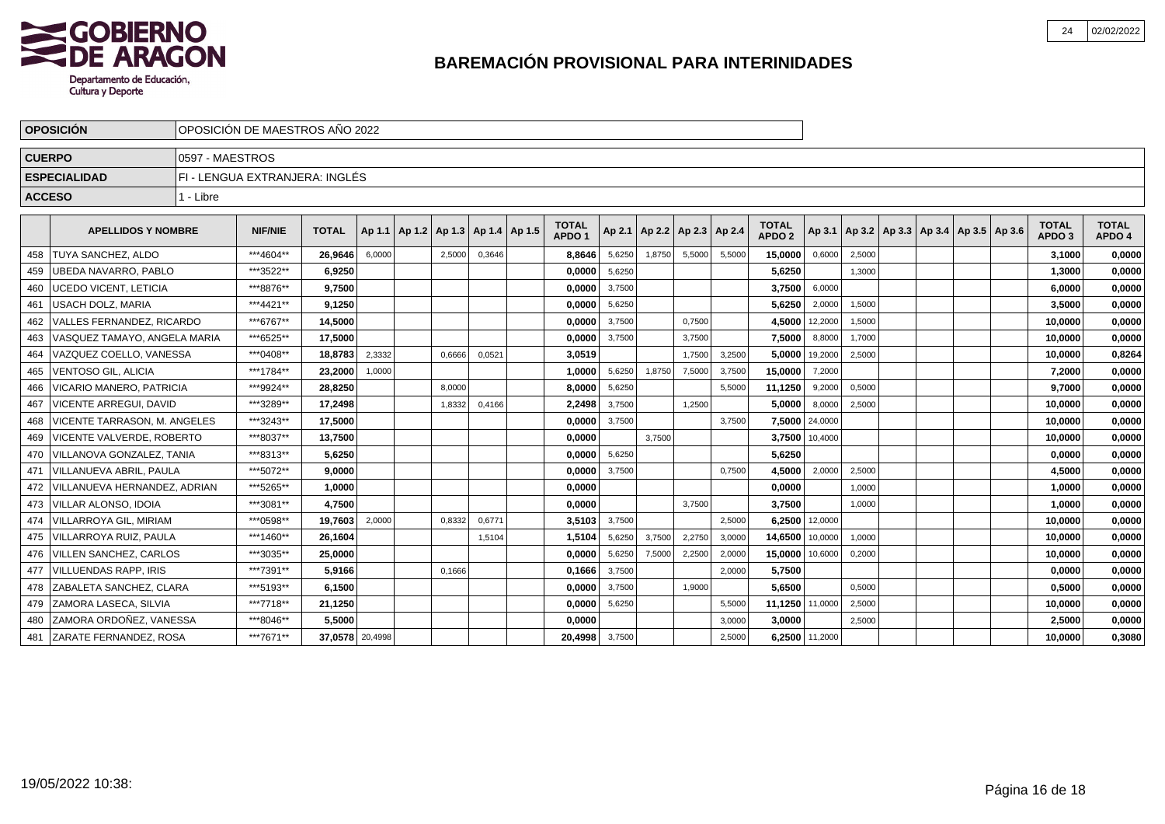

|               | <b>OPOSICIÓN</b>               | OPOSICIÓN DE MAESTROS AÑO 2022 |                                |                 |        |  |                              |        |        |                                   |        |        |                          |        |                                   |                |                                            |  |  |                                   |                        |
|---------------|--------------------------------|--------------------------------|--------------------------------|-----------------|--------|--|------------------------------|--------|--------|-----------------------------------|--------|--------|--------------------------|--------|-----------------------------------|----------------|--------------------------------------------|--|--|-----------------------------------|------------------------|
| <b>CUERPO</b> |                                | 0597 - MAESTROS                |                                |                 |        |  |                              |        |        |                                   |        |        |                          |        |                                   |                |                                            |  |  |                                   |                        |
|               | <b>ESPECIALIDAD</b>            |                                | FI - LENGUA EXTRANJERA: INGLÉS |                 |        |  |                              |        |        |                                   |        |        |                          |        |                                   |                |                                            |  |  |                                   |                        |
| <b>ACCESO</b> |                                | 1 - Libre                      |                                |                 |        |  |                              |        |        |                                   |        |        |                          |        |                                   |                |                                            |  |  |                                   |                        |
|               | <b>APELLIDOS Y NOMBRE</b>      |                                | <b>NIF/NIE</b>                 | <b>TOTAL</b>    | Ap 1.1 |  | $ $ Ap 1.2   Ap 1.3   Ap 1.4 |        | Ap 1.5 | <b>TOTAL</b><br>APDO <sub>1</sub> | Ap 2.1 |        | Ap 2.2   Ap 2.3   Ap 2.4 |        | <b>TOTAL</b><br>APDO <sub>2</sub> | Ap 3.1         | Ap 3.2   Ap 3.3   Ap 3.4   Ap 3.5   Ap 3.6 |  |  | <b>TOTAL</b><br>APDO <sub>3</sub> | <b>TOTAL</b><br>APDO 4 |
| 458           | <b>TUYA SANCHEZ, ALDO</b>      |                                | ***4604**                      | 26,9646         | 6,0000 |  | 2,5000                       | 0,3646 |        | 8,8646                            | 5,6250 | 1,8750 | 5,5000                   | 5,5000 | 15,0000                           | 0,6000         | 2,5000                                     |  |  | 3,1000                            | 0,0000                 |
| 459           | UBEDA NAVARRO, PABLO           |                                | ***3522**                      | 6,9250          |        |  |                              |        |        | 0.0000                            | 5,6250 |        |                          |        | 5,6250                            |                | 1,3000                                     |  |  | 1,3000                            | 0,0000                 |
| 460           | UCEDO VICENT, LETICIA          |                                | ***8876**                      | 9,7500          |        |  |                              |        |        | 0,0000                            | 3,7500 |        |                          |        | 3,7500                            | 6,0000         |                                            |  |  | 6,0000                            | 0,0000                 |
| 461           | <b>USACH DOLZ, MARIA</b>       |                                | ***4421**                      | 9,1250          |        |  |                              |        |        | 0.0000                            | 5,6250 |        |                          |        | 5,6250                            | 2,0000         | 1,5000                                     |  |  | 3.5000                            | 0,0000                 |
| 462           | VALLES FERNANDEZ, RICARDO      |                                | ***6767**                      | 14,5000         |        |  |                              |        |        | 0.0000                            | 3,7500 |        | 0,7500                   |        | 4,5000                            | 12,2000        | 1,5000                                     |  |  | 10,0000                           | 0,0000                 |
| 463           | VASQUEZ TAMAYO. ANGELA MARIA   |                                | ***6525**                      | 17.5000         |        |  |                              |        |        | 0,0000                            | 3,7500 |        | 3,7500                   |        | 7,5000                            | 8,8000         | 1.7000                                     |  |  | 10.0000                           | 0,0000                 |
| 464           | VAZQUEZ COELLO, VANESSA        |                                | ***0408**                      | 18,8783         | 2,3332 |  | 0.6666                       | 0,0521 |        | 3,0519                            |        |        | 1,7500                   | 3,2500 | 5,0000                            | 19,2000        | 2,5000                                     |  |  | 10,0000                           | 0,8264                 |
| 465           | <b>VENTOSO GIL, ALICIA</b>     |                                | ***1784**                      | 23,2000         | 1,0000 |  |                              |        |        | 1.0000                            | 5,6250 | 1,8750 | 7,5000                   | 3,7500 | 15,0000                           | 7,2000         |                                            |  |  | 7,2000                            | 0,0000                 |
| 466           | VICARIO MANERO. PATRICIA       |                                | ***9924**                      | 28,8250         |        |  | 8,0000                       |        |        | 8,0000                            | 5,6250 |        |                          | 5,5000 | 11,1250                           | 9,2000         | 0,5000                                     |  |  | 9.7000                            | 0,0000                 |
| 467           | <b>VICENTE ARREGUI, DAVID</b>  |                                | ***3289**                      | 17.2498         |        |  | 1.8332                       | 0,4166 |        | 2.2498                            | 3,7500 |        | 1.2500                   |        | 5.0000                            | 8,0000         | 2,5000                                     |  |  | 10,0000                           | 0,0000                 |
| 468           | VICENTE TARRASON. M. ANGELES   |                                | ***3243**                      | 17.5000         |        |  |                              |        |        | 0,0000                            | 3,7500 |        |                          | 3,7500 | 7,5000                            | 24,0000        |                                            |  |  | 10,0000                           | 0,0000                 |
| 469           | l VICENTE VALVERDE. ROBERTO    |                                | ***8037**                      | 13.7500         |        |  |                              |        |        | 0.0000                            |        | 3,7500 |                          |        | 3,7500 10,4000                    |                |                                            |  |  | 10,0000                           | 0,0000                 |
| 470           | VILLANOVA GONZALEZ, TANIA      |                                | ***8313**                      | 5,6250          |        |  |                              |        |        | 0.0000                            | 5,6250 |        |                          |        | 5.6250                            |                |                                            |  |  | 0.0000                            | 0,0000                 |
| 471           | VILLANUEVA ABRIL, PAULA        |                                | ***5072**                      | 9.0000          |        |  |                              |        |        | 0.0000                            | 3,7500 |        |                          | 0,7500 | 4,5000                            | 2,0000         | 2,5000                                     |  |  | 4.5000                            | 0,0000                 |
| 472           | l VILLANUEVA HERNANDEZ. ADRIAN |                                | ***5265**                      | 1,0000          |        |  |                              |        |        | 0,0000                            |        |        |                          |        | 0.0000                            |                | 1,0000                                     |  |  | 1,0000                            | 0,0000                 |
| 473           | <b>VILLAR ALONSO, IDOIA</b>    |                                | ***3081**                      | 4.7500          |        |  |                              |        |        | 0.0000                            |        |        | 3,7500                   |        | 3.7500                            |                | 1,0000                                     |  |  | 1,0000                            | 0,0000                 |
| 474           | <b>VILLARROYA GIL, MIRIAM</b>  |                                | ***0598**                      | 19,7603         | 2,0000 |  | 0,8332                       | 0,6771 |        | 3,5103                            | 3,7500 |        |                          | 2,5000 | 6.2500 12,0000                    |                |                                            |  |  | 10.0000                           | 0,0000                 |
| 475           | VILLARROYA RUIZ. PAULA         |                                | ***1460**                      | 26.1604         |        |  |                              | 1,5104 |        | 1,5104                            | 5,6250 | 3,7500 | 2,2750                   | 3,0000 | 14,6500                           | 10,0000        | 1,0000                                     |  |  | 10,0000                           | 0,0000                 |
| 476           | <b>VILLEN SANCHEZ, CARLOS</b>  |                                | ***3035**                      | 25,0000         |        |  |                              |        |        | 0.0000                            | 5,6250 | 7,5000 | 2,2500                   | 2,0000 | 15,0000                           | 10,6000        | 0,2000                                     |  |  | 10.0000                           | 0,0000                 |
| 477           | <b>VILLUENDAS RAPP. IRIS</b>   |                                | ***7391**                      | 5.9166          |        |  | 0,1666                       |        |        | 0.1666                            | 3,7500 |        |                          | 2,0000 | 5.7500                            |                |                                            |  |  | 0.0000                            | 0,0000                 |
| 478           | ZABALETA SANCHEZ, CLARA        |                                | ***5193**                      | 6,1500          |        |  |                              |        |        | 0,0000                            | 3,7500 |        | 1,9000                   |        | 5,6500                            |                | 0,5000                                     |  |  | 0,5000                            | 0,0000                 |
| 479           | <b>ZAMORA LASECA, SILVIA</b>   |                                | ***7718**                      | 21,1250         |        |  |                              |        |        | 0,0000                            | 5,6250 |        |                          | 5,5000 | 11,1250 11,0000                   |                | 2,5000                                     |  |  | 10,0000                           | 0,0000                 |
| 480           | ZAMORA ORDOÑEZ, VANESSA        |                                | ***8046**                      | 5,5000          |        |  |                              |        |        | 0,0000                            |        |        |                          | 3,0000 | 3,0000                            |                | 2,5000                                     |  |  | 2,5000                            | 0,0000                 |
| 481           | ZARATE FERNANDEZ, ROSA         |                                | ***7671**                      | 37,0578 20,4998 |        |  |                              |        |        | 20,4998                           | 3,7500 |        |                          | 2,5000 |                                   | 6,2500 11,2000 |                                            |  |  | 10,0000                           | 0,3080                 |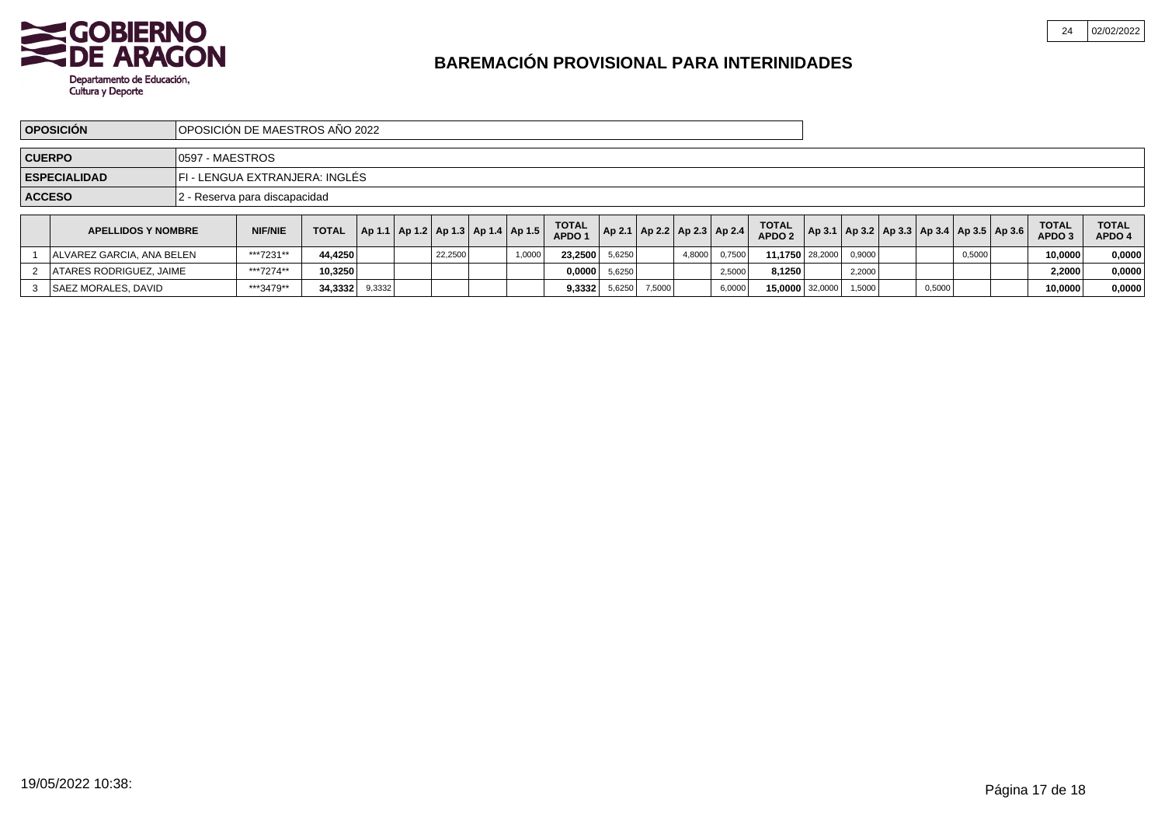

|               | <b>OPOSICIÓN</b>                                      |                  | OPOSICIÓN DE MAESTROS AÑO 2022 |              |        |  |         |  |                                            |                                   |                                   |        |        |        |                                   |        |        |        |                                                         |                                   |                        |
|---------------|-------------------------------------------------------|------------------|--------------------------------|--------------|--------|--|---------|--|--------------------------------------------|-----------------------------------|-----------------------------------|--------|--------|--------|-----------------------------------|--------|--------|--------|---------------------------------------------------------|-----------------------------------|------------------------|
| <b>CUERPO</b> |                                                       | 10597 - MAESTROS |                                |              |        |  |         |  |                                            |                                   |                                   |        |        |        |                                   |        |        |        |                                                         |                                   |                        |
|               | FI - LENGUA EXTRANJERA: INGLÉS<br><b>ESPECIALIDAD</b> |                  |                                |              |        |  |         |  |                                            |                                   |                                   |        |        |        |                                   |        |        |        |                                                         |                                   |                        |
| <b>ACCESO</b> |                                                       |                  | 2 - Reserva para discapacidad  |              |        |  |         |  |                                            |                                   |                                   |        |        |        |                                   |        |        |        |                                                         |                                   |                        |
|               | <b>APELLIDOS Y NOMBRE</b>                             |                  | <b>NIF/NIE</b>                 | <b>TOTAL</b> |        |  |         |  | Ap 1.1   Ap 1.2   Ap 1.3   Ap 1.4   Ap 1.5 | <b>TOTAL</b><br>APDO <sub>1</sub> | Ap 2.1   Ap 2.2   Ap 2.3   Ap 2.4 |        |        |        | <b>TOTAL</b><br>APDO <sub>2</sub> |        |        |        | $ $ Ap 3.1   Ap 3.2   Ap 3.3   Ap 3.4   Ap 3.5   Ap 3.6 | <b>TOTAL</b><br>APDO <sub>3</sub> | <b>TOTAL</b><br>APDO 4 |
|               | <b>IALVAREZ GARCIA. ANA BELEN</b>                     |                  | ***7231**                      | 44,4250      |        |  | 22.2500 |  | 1,0000                                     | 23.2500                           | 5.6250                            |        | 4,8000 | 0.7500 | 11.1750 28,2000                   | 0.9000 |        | 0,5000 |                                                         | 10.0000                           | 0,0000                 |
|               | ATARES RODRIGUEZ, JAIME                               |                  | ***7274**                      | 10,3250      |        |  |         |  |                                            | 0,0000                            | 5,6250                            |        |        | 2,5000 | 8,1250                            | 2,2000 |        |        |                                                         | 2,2000                            | 0,0000                 |
|               | SAEZ MORALES, DAVID                                   |                  | ***3479**                      | 34,3332      | 9,3332 |  |         |  |                                            | 9,3332                            | 5,6250                            | 7,5000 |        | 6,0000 | 15,0000 32,0000                   | 1,5000 | 0,5000 |        |                                                         | 10,0000                           | 0,0000                 |